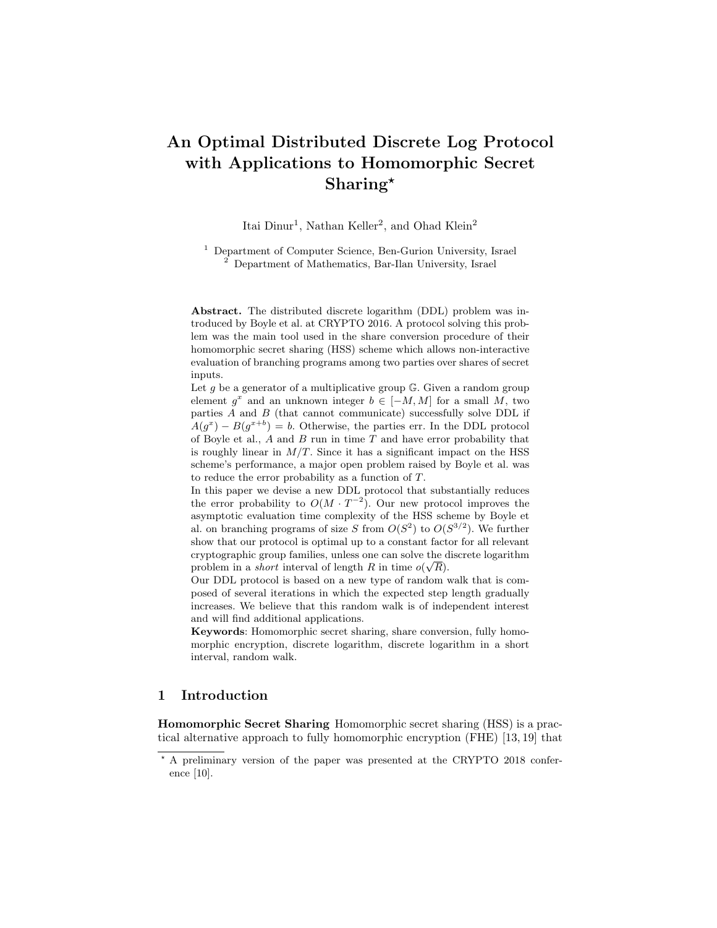# An Optimal Distributed Discrete Log Protocol with Applications to Homomorphic Secret  $Sharing^{\star}$

Itai Dinur<sup>1</sup>, Nathan Keller<sup>2</sup>, and Ohad Klein<sup>2</sup>

<sup>1</sup> Department of Computer Science, Ben-Gurion University, Israel <sup>2</sup> Department of Mathematics, Bar-Ilan University, Israel

Abstract. The distributed discrete logarithm (DDL) problem was introduced by Boyle et al. at CRYPTO 2016. A protocol solving this problem was the main tool used in the share conversion procedure of their homomorphic secret sharing (HSS) scheme which allows non-interactive evaluation of branching programs among two parties over shares of secret inputs.

Let  $g$  be a generator of a multiplicative group  $\mathbb{G}$ . Given a random group element  $g^x$  and an unknown integer  $b \in [-M, M]$  for a small M, two parties  $A$  and  $B$  (that cannot communicate) successfully solve DDL if  $A(g^x) - B(g^{x+b}) = b$ . Otherwise, the parties err. In the DDL protocol of Boyle et al.,  $A$  and  $B$  run in time  $T$  and have error probability that is roughly linear in  $M/T$ . Since it has a significant impact on the HSS scheme's performance, a major open problem raised by Boyle et al. was to reduce the error probability as a function of T.

In this paper we devise a new DDL protocol that substantially reduces the error probability to  $O(M \cdot T^{-2})$ . Our new protocol improves the asymptotic evaluation time complexity of the HSS scheme by Boyle et al. on branching programs of size S from  $O(S^2)$  to  $O(S^{3/2})$ . We further show that our protocol is optimal up to a constant factor for all relevant cryptographic group families, unless one can solve the discrete logarithm √ problem in a *short* interval of length R in time  $o(\sqrt{R})$ .

Our DDL protocol is based on a new type of random walk that is composed of several iterations in which the expected step length gradually increases. We believe that this random walk is of independent interest and will find additional applications.

Keywords: Homomorphic secret sharing, share conversion, fully homomorphic encryption, discrete logarithm, discrete logarithm in a short interval, random walk.

# 1 Introduction

Homomorphic Secret Sharing Homomorphic secret sharing (HSS) is a practical alternative approach to fully homomorphic encryption (FHE) [13, 19] that

<sup>?</sup> A preliminary version of the paper was presented at the CRYPTO 2018 conference [10].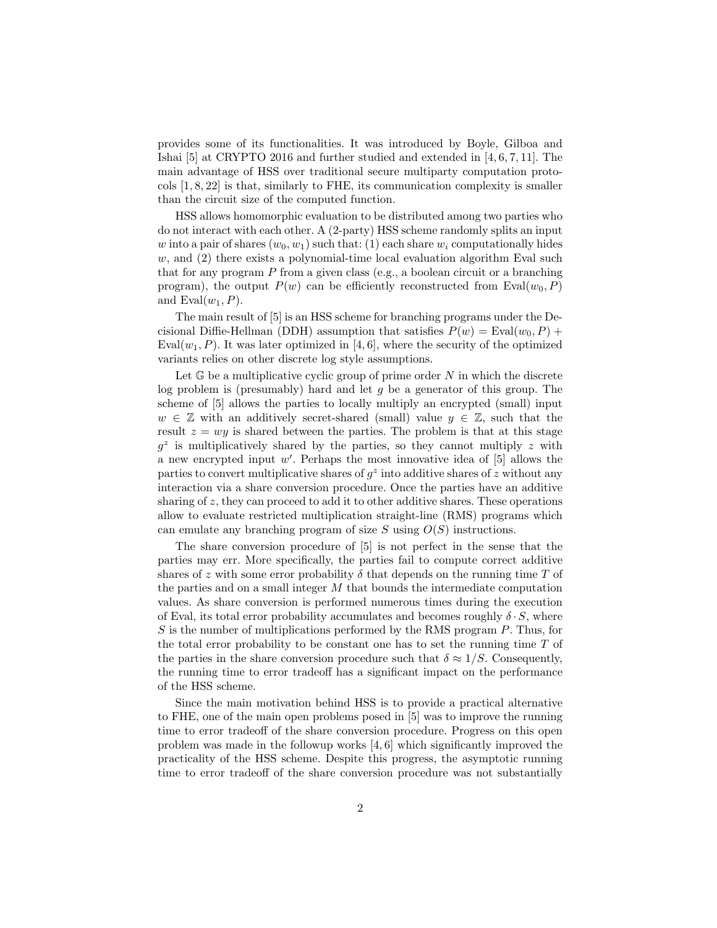provides some of its functionalities. It was introduced by Boyle, Gilboa and Ishai  $[5]$  at CRYPTO 2016 and further studied and extended in  $[4, 6, 7, 11]$ . The main advantage of HSS over traditional secure multiparty computation proto- $\cosh [1, 8, 22]$  is that, similarly to FHE, its communication complexity is smaller than the circuit size of the computed function.

HSS allows homomorphic evaluation to be distributed among two parties who do not interact with each other. A (2-party) HSS scheme randomly splits an input w into a pair of shares  $(w_0, w_1)$  such that: (1) each share  $w_i$  computationally hides  $w$ , and  $(2)$  there exists a polynomial-time local evaluation algorithm Eval such that for any program  $P$  from a given class (e.g., a boolean circuit or a branching program), the output  $P(w)$  can be efficiently reconstructed from Eval $(w_0, P)$ and  $Eval(w_1, P)$ .

The main result of [5] is an HSS scheme for branching programs under the Decisional Diffie-Hellman (DDH) assumption that satisfies  $P(w) = \text{Eval}(w_0, P) +$ Eval $(w_1, P)$ . It was later optimized in [4, 6], where the security of the optimized variants relies on other discrete log style assumptions.

Let  $\mathbb{G}$  be a multiplicative cyclic group of prime order N in which the discrete log problem is (presumably) hard and let  $q$  be a generator of this group. The scheme of [5] allows the parties to locally multiply an encrypted (small) input  $w \in \mathbb{Z}$  with an additively secret-shared (small) value  $y \in \mathbb{Z}$ , such that the result  $z = wy$  is shared between the parties. The problem is that at this stage  $g^z$  is multiplicatively shared by the parties, so they cannot multiply z with a new encrypted input  $w'$ . Perhaps the most innovative idea of  $[5]$  allows the parties to convert multiplicative shares of  $g^z$  into additive shares of z without any interaction via a share conversion procedure. Once the parties have an additive sharing of  $z$ , they can proceed to add it to other additive shares. These operations allow to evaluate restricted multiplication straight-line (RMS) programs which can emulate any branching program of size  $S$  using  $O(S)$  instructions.

The share conversion procedure of [5] is not perfect in the sense that the parties may err. More specifically, the parties fail to compute correct additive shares of z with some error probability  $\delta$  that depends on the running time T of the parties and on a small integer  $M$  that bounds the intermediate computation values. As share conversion is performed numerous times during the execution of Eval, its total error probability accumulates and becomes roughly  $\delta \cdot S$ , where  $S$  is the number of multiplications performed by the RMS program  $P$ . Thus, for the total error probability to be constant one has to set the running time  $T$  of the parties in the share conversion procedure such that  $\delta \approx 1/S$ . Consequently, the running time to error tradeoff has a significant impact on the performance of the HSS scheme.

Since the main motivation behind HSS is to provide a practical alternative to FHE, one of the main open problems posed in [5] was to improve the running time to error tradeoff of the share conversion procedure. Progress on this open problem was made in the followup works  $[4, 6]$  which significantly improved the practicality of the HSS scheme. Despite this progress, the asymptotic running time to error tradeoff of the share conversion procedure was not substantially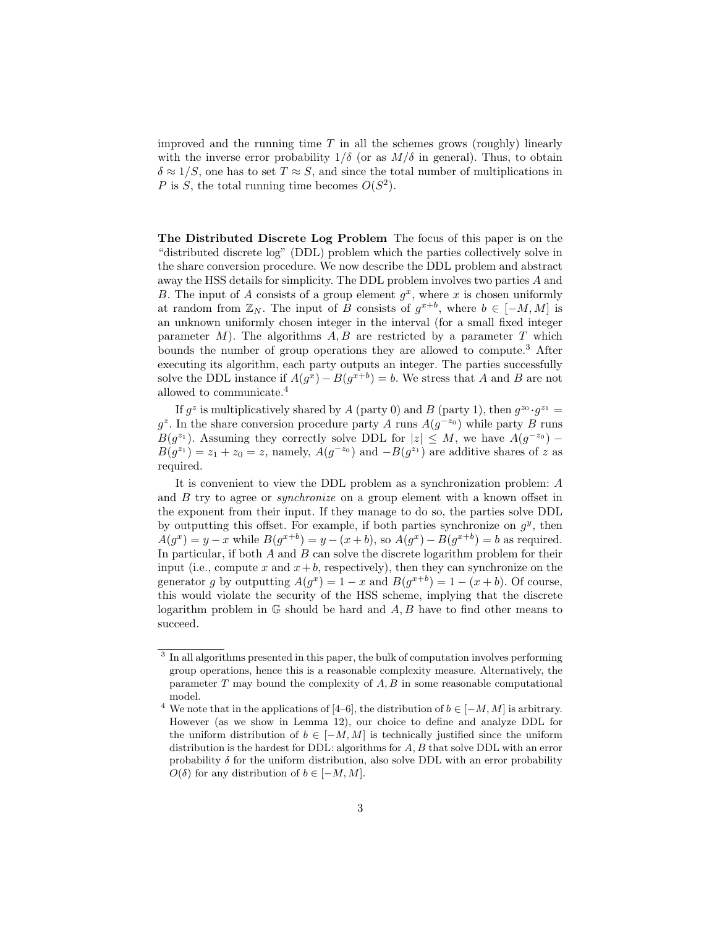improved and the running time  $T$  in all the schemes grows (roughly) linearly with the inverse error probability  $1/\delta$  (or as  $M/\delta$  in general). Thus, to obtain  $\delta \approx 1/S$ , one has to set  $T \approx S$ , and since the total number of multiplications in P is S, the total running time becomes  $O(S^2)$ .

The Distributed Discrete Log Problem The focus of this paper is on the "distributed discrete log" (DDL) problem which the parties collectively solve in the share conversion procedure. We now describe the DDL problem and abstract away the HSS details for simplicity. The DDL problem involves two parties A and B. The input of A consists of a group element  $g^x$ , where x is chosen uniformly at random from  $\mathbb{Z}_N$ . The input of B consists of  $g^{x+b}$ , where  $b \in [-M, M]$  is an unknown uniformly chosen integer in the interval (for a small fixed integer parameter  $M$ ). The algorithms  $A, B$  are restricted by a parameter T which bounds the number of group operations they are allowed to compute.<sup>3</sup> After executing its algorithm, each party outputs an integer. The parties successfully solve the DDL instance if  $A(g^x) - B(g^{x+b}) = b$ . We stress that A and B are not allowed to communicate.<sup>4</sup>

If  $g^z$  is multiplicatively shared by A (party 0) and B (party 1), then  $g^{z_0} \cdot g^{z_1} =$  $g^z$ . In the share conversion procedure party A runs  $A(g^{-z_0})$  while party B runs  $B(g^{z_1})$ . Assuming they correctly solve DDL for  $|z| \leq M$ , we have  $A(g^{-z_0})$  –  $B(g^{z_1}) = z_1 + z_0 = z$ , namely,  $A(g^{-z_0})$  and  $-B(g^{z_1})$  are additive shares of z as required.

It is convenient to view the DDL problem as a synchronization problem: A and B try to agree or synchronize on a group element with a known offset in the exponent from their input. If they manage to do so, the parties solve DDL by outputting this offset. For example, if both parties synchronize on  $g<sup>y</sup>$ , then  $A(g^{x}) = y - x$  while  $B(g^{x+b}) = y - (x + b)$ , so  $A(g^{x}) - B(g^{x+b}) = b$  as required. In particular, if both  $A$  and  $B$  can solve the discrete logarithm problem for their input (i.e., compute x and  $x + b$ , respectively), then they can synchronize on the generator g by outputting  $A(g^x) = 1 - x$  and  $B(g^{x+b}) = 1 - (x + b)$ . Of course, this would violate the security of the HSS scheme, implying that the discrete logarithm problem in  $\mathbb G$  should be hard and  $A, B$  have to find other means to succeed.

<sup>&</sup>lt;sup>3</sup> In all algorithms presented in this paper, the bulk of computation involves performing group operations, hence this is a reasonable complexity measure. Alternatively, the parameter  $T$  may bound the complexity of  $A, B$  in some reasonable computational model.

<sup>&</sup>lt;sup>4</sup> We note that in the applications of [4–6], the distribution of  $b \in [-M, M]$  is arbitrary. However (as we show in Lemma 12), our choice to define and analyze DDL for the uniform distribution of  $b \in [-M, M]$  is technically justified since the uniform distribution is the hardest for DDL: algorithms for A, B that solve DDL with an error probability  $\delta$  for the uniform distribution, also solve DDL with an error probability  $O(\delta)$  for any distribution of  $b \in [-M, M]$ .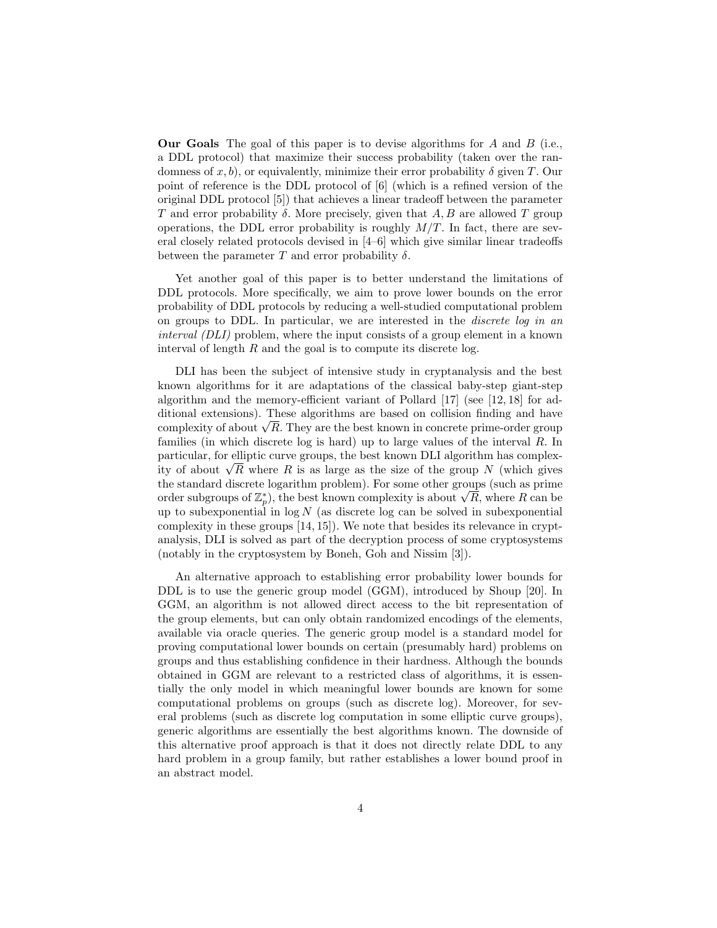**Our Goals** The goal of this paper is to devise algorithms for A and B (i.e., a DDL protocol) that maximize their success probability (taken over the randomness of  $x, b$ ), or equivalently, minimize their error probability  $\delta$  given T. Our point of reference is the DDL protocol of [6] (which is a refined version of the original DDL protocol [5]) that achieves a linear tradeoff between the parameter T and error probability  $\delta$ . More precisely, given that A, B are allowed T group operations, the DDL error probability is roughly  $M/T$ . In fact, there are several closely related protocols devised in [4–6] which give similar linear tradeoffs between the parameter T and error probability  $\delta$ .

Yet another goal of this paper is to better understand the limitations of DDL protocols. More specifically, we aim to prove lower bounds on the error probability of DDL protocols by reducing a well-studied computational problem on groups to DDL. In particular, we are interested in the discrete log in an interval (DLI) problem, where the input consists of a group element in a known interval of length  $R$  and the goal is to compute its discrete log.

DLI has been the subject of intensive study in cryptanalysis and the best known algorithms for it are adaptations of the classical baby-step giant-step algorithm and the memory-efficient variant of Pollard [17] (see [12, 18] for additional extensions). These algorithms are based on collision finding and have ditional extensions). These algorithms are based on collision finding and have<br>complexity of about  $\sqrt{R}$ . They are the best known in concrete prime-order group families (in which discrete log is hard) up to large values of the interval R. In particular, for elliptic curve groups, the best known DLI algorithm has complexparticular, for elliptic curve groups, the best known DLI algorithm has complex-<br>ity of about  $\sqrt{R}$  where R is as large as the size of the group N (which gives the standard discrete logarithm problem). For some other groups (such as prime the standard discrete logarithm problem). For some other groups (such as prime order subgroups of  $\mathbb{Z}_p^*$ ), the best known complexity is about  $\sqrt{R}$ , where  $R$  can be up to subexponential in  $\log N$  (as discrete log can be solved in subexponential complexity in these groups [14, 15]). We note that besides its relevance in cryptanalysis, DLI is solved as part of the decryption process of some cryptosystems (notably in the cryptosystem by Boneh, Goh and Nissim [3]).

An alternative approach to establishing error probability lower bounds for DDL is to use the generic group model (GGM), introduced by Shoup [20]. In GGM, an algorithm is not allowed direct access to the bit representation of the group elements, but can only obtain randomized encodings of the elements, available via oracle queries. The generic group model is a standard model for proving computational lower bounds on certain (presumably hard) problems on groups and thus establishing confidence in their hardness. Although the bounds obtained in GGM are relevant to a restricted class of algorithms, it is essentially the only model in which meaningful lower bounds are known for some computational problems on groups (such as discrete log). Moreover, for several problems (such as discrete log computation in some elliptic curve groups), generic algorithms are essentially the best algorithms known. The downside of this alternative proof approach is that it does not directly relate DDL to any hard problem in a group family, but rather establishes a lower bound proof in an abstract model.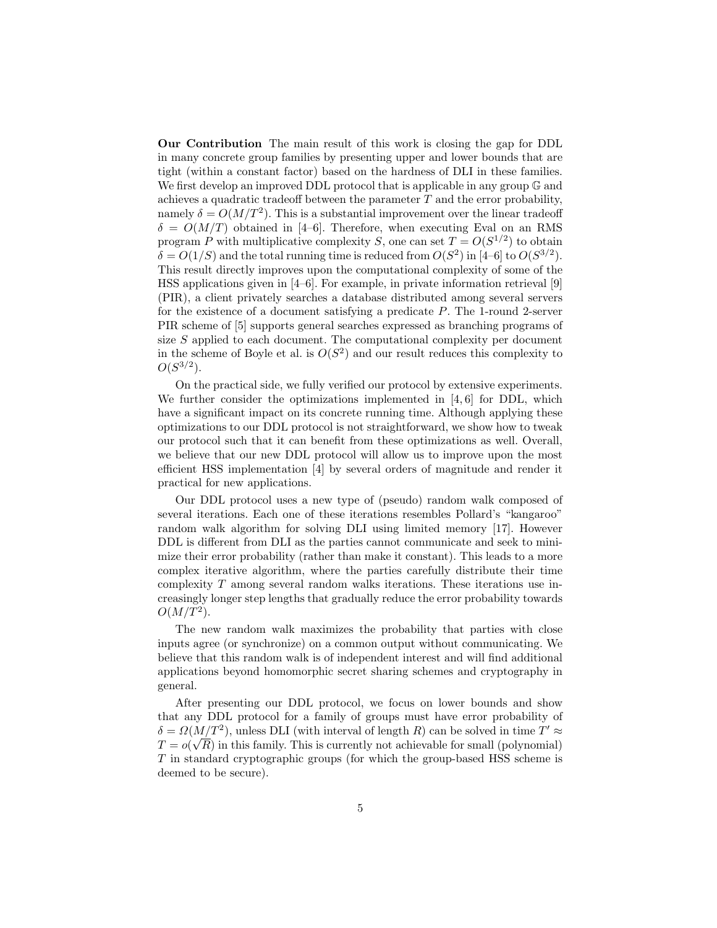Our Contribution The main result of this work is closing the gap for DDL in many concrete group families by presenting upper and lower bounds that are tight (within a constant factor) based on the hardness of DLI in these families. We first develop an improved DDL protocol that is applicable in any group  $\mathbb{G}$  and achieves a quadratic tradeoff between the parameter  $T$  and the error probability, namely  $\delta = O(M/T^2)$ . This is a substantial improvement over the linear tradeoff  $\delta = O(M/T)$  obtained in [4–6]. Therefore, when executing Eval on an RMS program P with multiplicative complexity S, one can set  $T = O(S^{1/2})$  to obtain  $\delta = O(1/S)$  and the total running time is reduced from  $O(S^2)$  in [4–6] to  $O(S^{3/2})$ . This result directly improves upon the computational complexity of some of the HSS applications given in [4–6]. For example, in private information retrieval [9] (PIR), a client privately searches a database distributed among several servers for the existence of a document satisfying a predicate  $P$ . The 1-round 2-server PIR scheme of [5] supports general searches expressed as branching programs of size S applied to each document. The computational complexity per document in the scheme of Boyle et al. is  $O(S^2)$  and our result reduces this complexity to  $O(S^{3/2})$ .

On the practical side, we fully verified our protocol by extensive experiments. We further consider the optimizations implemented in  $[4, 6]$  for DDL, which have a significant impact on its concrete running time. Although applying these optimizations to our DDL protocol is not straightforward, we show how to tweak our protocol such that it can benefit from these optimizations as well. Overall, we believe that our new DDL protocol will allow us to improve upon the most efficient HSS implementation [4] by several orders of magnitude and render it practical for new applications.

Our DDL protocol uses a new type of (pseudo) random walk composed of several iterations. Each one of these iterations resembles Pollard's "kangaroo" random walk algorithm for solving DLI using limited memory [17]. However DDL is different from DLI as the parties cannot communicate and seek to minimize their error probability (rather than make it constant). This leads to a more complex iterative algorithm, where the parties carefully distribute their time complexity T among several random walks iterations. These iterations use increasingly longer step lengths that gradually reduce the error probability towards  $O(M/T^2)$ .

The new random walk maximizes the probability that parties with close inputs agree (or synchronize) on a common output without communicating. We believe that this random walk is of independent interest and will find additional applications beyond homomorphic secret sharing schemes and cryptography in general.

After presenting our DDL protocol, we focus on lower bounds and show that any DDL protocol for a family of groups must have error probability of  $\delta = \Omega(M/T^2)$ , unless DLI (with interval of length R) can be solved in time  $T' \approx$  $T = o(\sqrt{R})$  in this family. This is currently not achievable for small (polynomial) T in standard cryptographic groups (for which the group-based HSS scheme is deemed to be secure).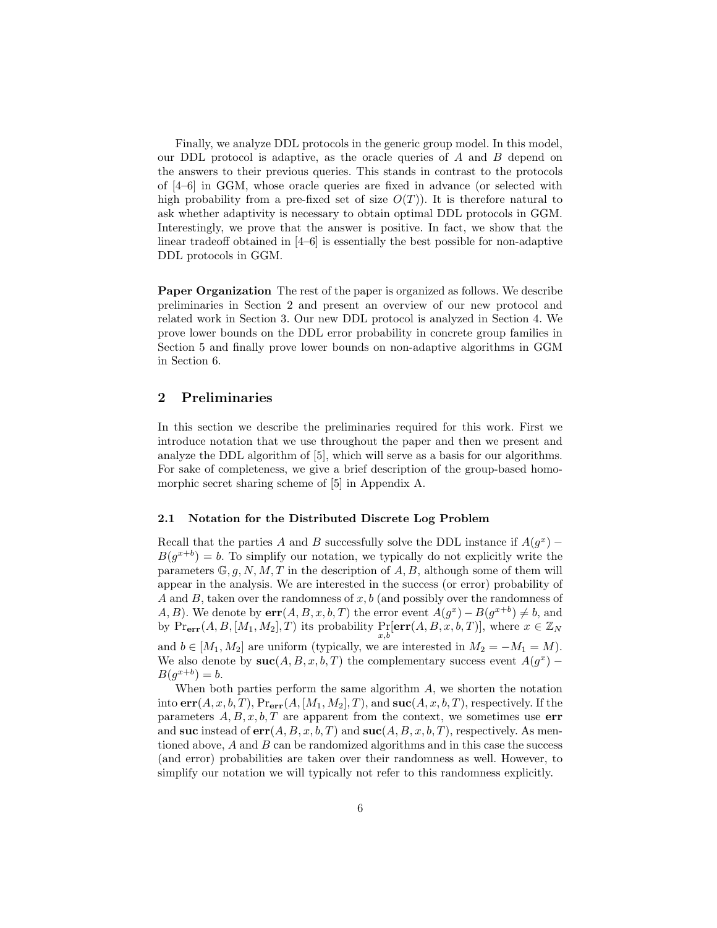Finally, we analyze DDL protocols in the generic group model. In this model, our DDL protocol is adaptive, as the oracle queries of  $A$  and  $B$  depend on the answers to their previous queries. This stands in contrast to the protocols of [4–6] in GGM, whose oracle queries are fixed in advance (or selected with high probability from a pre-fixed set of size  $O(T)$ ). It is therefore natural to ask whether adaptivity is necessary to obtain optimal DDL protocols in GGM. Interestingly, we prove that the answer is positive. In fact, we show that the linear tradeoff obtained in [4–6] is essentially the best possible for non-adaptive DDL protocols in GGM.

Paper Organization The rest of the paper is organized as follows. We describe preliminaries in Section 2 and present an overview of our new protocol and related work in Section 3. Our new DDL protocol is analyzed in Section 4. We prove lower bounds on the DDL error probability in concrete group families in Section 5 and finally prove lower bounds on non-adaptive algorithms in GGM in Section 6.

# 2 Preliminaries

In this section we describe the preliminaries required for this work. First we introduce notation that we use throughout the paper and then we present and analyze the DDL algorithm of [5], which will serve as a basis for our algorithms. For sake of completeness, we give a brief description of the group-based homomorphic secret sharing scheme of [5] in Appendix A.

#### 2.1 Notation for the Distributed Discrete Log Problem

Recall that the parties A and B successfully solve the DDL instance if  $A(g^x)$  –  $B(g^{x+b}) = b$ . To simplify our notation, we typically do not explicitly write the parameters  $\mathbb{G}, q, N, M, T$  in the description of A, B, although some of them will appear in the analysis. We are interested in the success (or error) probability of A and B, taken over the randomness of  $x, b$  (and possibly over the randomness of A, B). We denote by  $err(A, B, x, b, T)$  the error event  $A(g^x) - B(g^{x+b}) \neq b$ , and by  $\text{Pr}_{\textbf{err}}(A, B, [M_1, M_2], T)$  its probability  $\text{Pr}_{x,b}[\textbf{err}(A, B, x, b, T)],$  where  $x \in \mathbb{Z}_N$ and  $b \in [M_1, M_2]$  are uniform (typically, we are interested in  $M_2 = -M_1 = M$ ). We also denote by  $\text{succ}(A, B, x, b, T)$  the complementary success event  $A(g^x)$  –  $B(g^{x+b})=b.$ 

When both parties perform the same algorithm A, we shorten the notation into  $err(A, x, b, T)$ ,  $Pr_{err}(A, [M_1, M_2], T)$ , and  $succ(A, x, b, T)$ , respectively. If the parameters  $A, B, x, b, T$  are apparent from the context, we sometimes use err and suc instead of  $err(A, B, x, b, T)$  and  $succ(A, B, x, b, T)$ , respectively. As mentioned above,  $A$  and  $B$  can be randomized algorithms and in this case the success (and error) probabilities are taken over their randomness as well. However, to simplify our notation we will typically not refer to this randomness explicitly.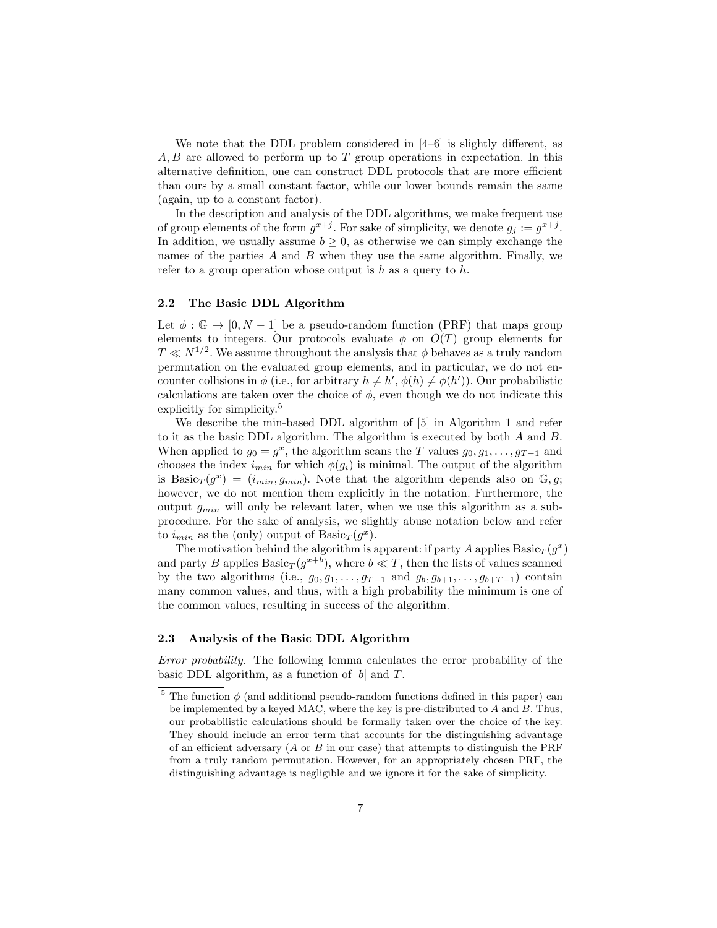We note that the DDL problem considered in  $[4-6]$  is slightly different, as  $A, B$  are allowed to perform up to T group operations in expectation. In this alternative definition, one can construct DDL protocols that are more efficient than ours by a small constant factor, while our lower bounds remain the same (again, up to a constant factor).

In the description and analysis of the DDL algorithms, we make frequent use of group elements of the form  $g^{x+j}$ . For sake of simplicity, we denote  $g_j := g^{x+j}$ . In addition, we usually assume  $b \geq 0$ , as otherwise we can simply exchange the names of the parties  $A$  and  $B$  when they use the same algorithm. Finally, we refer to a group operation whose output is  $h$  as a query to  $h$ .

### 2.2 The Basic DDL Algorithm

Let  $\phi : \mathbb{G} \to [0, N-1]$  be a pseudo-random function (PRF) that maps group elements to integers. Our protocols evaluate  $\phi$  on  $O(T)$  group elements for  $T \ll N^{1/2}$ . We assume throughout the analysis that  $\phi$  behaves as a truly random permutation on the evaluated group elements, and in particular, we do not encounter collisions in  $\phi$  (i.e., for arbitrary  $h \neq h'$ ,  $\phi(h) \neq \phi(h')$ ). Our probabilistic calculations are taken over the choice of  $\phi$ , even though we do not indicate this explicitly for simplicity.<sup>5</sup>

We describe the min-based DDL algorithm of [5] in Algorithm 1 and refer to it as the basic DDL algorithm. The algorithm is executed by both A and B. When applied to  $g_0 = g^x$ , the algorithm scans the T values  $g_0, g_1, \ldots, g_{T-1}$  and chooses the index  $i_{min}$  for which  $\phi(g_i)$  is minimal. The output of the algorithm is Basic $T(g^x) = (i_{min}, g_{min})$ . Note that the algorithm depends also on G, g; however, we do not mention them explicitly in the notation. Furthermore, the output  $g_{min}$  will only be relevant later, when we use this algorithm as a subprocedure. For the sake of analysis, we slightly abuse notation below and refer to  $i_{min}$  as the (only) output of  $\text{Basic}_T(g^x)$ .

The motivation behind the algorithm is apparent: if party A applies  $\text{Basic}_{T}(g^{x})$ and party B applies  $\text{Basic}_{T}(g^{x+b})$ , where  $b \ll T$ , then the lists of values scanned by the two algorithms (i.e.,  $g_0, g_1, \ldots, g_{T-1}$  and  $g_b, g_{b+1}, \ldots, g_{b+T-1}$ ) contain many common values, and thus, with a high probability the minimum is one of the common values, resulting in success of the algorithm.

#### 2.3 Analysis of the Basic DDL Algorithm

Error probability. The following lemma calculates the error probability of the basic DDL algorithm, as a function of  $|b|$  and T.

<sup>&</sup>lt;sup>5</sup> The function  $\phi$  (and additional pseudo-random functions defined in this paper) can be implemented by a keyed MAC, where the key is pre-distributed to A and B. Thus, our probabilistic calculations should be formally taken over the choice of the key. They should include an error term that accounts for the distinguishing advantage of an efficient adversary  $(A \text{ or } B \text{ in our case})$  that attempts to distinguish the PRF from a truly random permutation. However, for an appropriately chosen PRF, the distinguishing advantage is negligible and we ignore it for the sake of simplicity.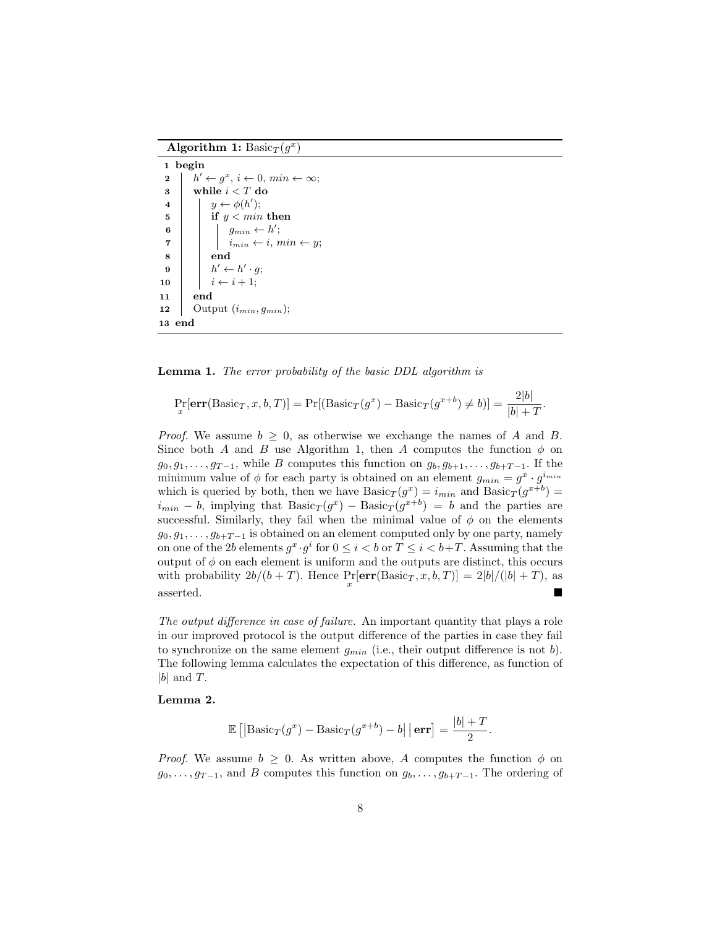Algorithm 1:  $\text{Basic}_T(g^x)$ 

1 begin  $2 \mid h' \leftarrow g^x, i \leftarrow 0, min \leftarrow \infty;$  $3$  while  $i < T$  do  $4 \mid y \leftarrow \phi(h');$  $5 \mid \cdot \cdot \cdot \cdot \cdot$  if  $y < min$  then  $\begin{array}{|c|c|c|c|c|}\hline \hspace{0.2cm}6 & & \hspace{0.2cm} & \hspace{0.2cm} & \hspace{0.2cm} & \hspace{0.2cm} & \hspace{0.2cm} & \hspace{0.2cm} & \hspace{0.2cm} & \hspace{0.2cm} & \hspace{0.2cm} & \hspace{0.2cm} & \hspace{0.2cm} & \hspace{0.2cm} & \hspace{0.2cm} & \hspace{0.2cm} & \hspace{0.2cm} & \hspace{0.2cm} & \hspace{0.2cm} & \hspace{0.2cm} & \hspace{0.2cm}$ 7 | |  $i_{min} \leftarrow i$ ,  $min \leftarrow y$ ; 8 | end  $9 \mid \mid h' \leftarrow h' \cdot g;$ 10  $\vert \vert i \leftarrow i + 1;$ 11 end 12 | Output  $(i_{min}, g_{min})$ ; 13 end

**Lemma 1.** The error probability of the basic DDL algorithm is

$$
\Pr_x[\mathbf{err}(\text{Basic}_T, x, b, T)] = \Pr[(\text{Basic}_T(g^x) - \text{Basic}_T(g^{x+b}) \neq b)] = \frac{2|b|}{|b| + T}.
$$

*Proof.* We assume  $b \geq 0$ , as otherwise we exchange the names of A and B. Since both A and B use Algorithm 1, then A computes the function  $\phi$  on  $g_0, g_1, \ldots, g_{T-1}$ , while B computes this function on  $g_b, g_{b+1}, \ldots, g_{b+T-1}$ . If the minimum value of  $\phi$  for each party is obtained on an element  $g_{min} = g^x \cdot g^{i_{min}}$ which is queried by both, then we have  $\text{Basic}_{T}(g^{x}) = i_{min}$  and  $\text{Basic}_{T}(g^{x+b}) =$  $i_{min} - b$ , implying that  $Basic_T(g^x) - Basic_T(g^{x+b}) = b$  and the parties are successful. Similarly, they fail when the minimal value of  $\phi$  on the elements  $g_0, g_1, \ldots, g_{b+T-1}$  is obtained on an element computed only by one party, namely on one of the 2b elements  $g^x \cdot g^i$  for  $0 \leq i < b$  or  $T \leq i < b+T$ . Assuming that the output of  $\phi$  on each element is uniform and the outputs are distinct, this occurs with probability  $2b/(b+T)$ . Hence  $\Pr_x[\text{err}(\text{Basic}_T, x, b, T)] = 2|b|/(|b|+T)$ , as asserted.

The output difference in case of failure. An important quantity that plays a role in our improved protocol is the output difference of the parties in case they fail to synchronize on the same element  $g_{min}$  (i.e., their output difference is not b). The following lemma calculates the expectation of this difference, as function of  $|b|$  and T.

# Lemma 2.

$$
\mathbb{E}\left[\left|\text{Basic}_{T}(g^{x})-\text{Basic}_{T}(g^{x+b})-b\right|\big|\text{err}\right]=\frac{|b|+T}{2}.
$$

*Proof.* We assume  $b \geq 0$ . As written above, A computes the function  $\phi$  on  $g_0, \ldots, g_{T-1}$ , and B computes this function on  $g_b, \ldots, g_{b+T-1}$ . The ordering of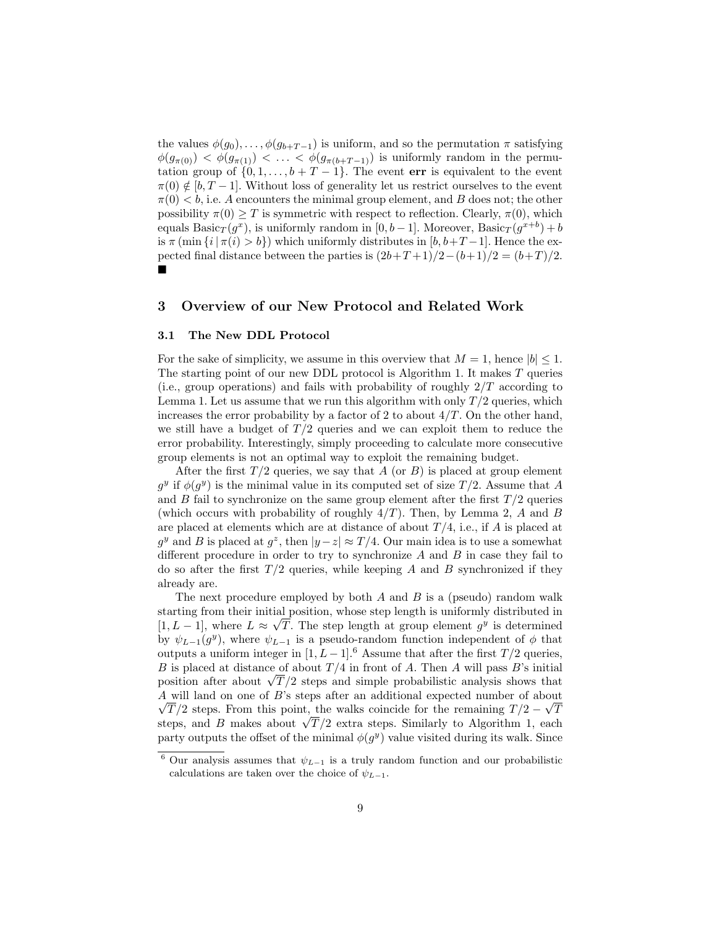the values  $\phi(g_0), \ldots, \phi(g_{b+T-1})$  is uniform, and so the permutation  $\pi$  satisfying  $\phi(g_{\pi(0)}) < \phi(g_{\pi(1)}) < \ldots < \phi(g_{\pi(b+T-1)})$  is uniformly random in the permutation group of  $\{0, 1, \ldots, b + T - 1\}$ . The event err is equivalent to the event  $\pi(0) \notin [b, T-1]$ . Without loss of generality let us restrict ourselves to the event  $\pi(0) < b$ , i.e. A encounters the minimal group element, and B does not; the other possibility  $\pi(0) \geq T$  is symmetric with respect to reflection. Clearly,  $\pi(0)$ , which equals  $\text{Basic}_{T}(g^{x})$ , is uniformly random in  $[0, b-1]$ . Moreover,  $\text{Basic}_{T}(g^{x+b}) + b$ is  $\pi$  (min  $\{i | \pi(i) > b\}$ ) which uniformly distributes in  $[b, b+T-1]$ . Hence the expected final distance between the parties is  $(2b+T+1)/2-(b+1)/2 = (b+T)/2$ . È

# 3 Overview of our New Protocol and Related Work

#### 3.1 The New DDL Protocol

For the sake of simplicity, we assume in this overview that  $M = 1$ , hence  $|b| \leq 1$ . The starting point of our new DDL protocol is Algorithm 1. It makes  $T$  queries (i.e., group operations) and fails with probability of roughly  $2/T$  according to Lemma 1. Let us assume that we run this algorithm with only  $T/2$  queries, which increases the error probability by a factor of 2 to about  $4/T$ . On the other hand, we still have a budget of  $T/2$  queries and we can exploit them to reduce the error probability. Interestingly, simply proceeding to calculate more consecutive group elements is not an optimal way to exploit the remaining budget.

After the first  $T/2$  queries, we say that A (or B) is placed at group element  $g^y$  if  $\phi(g^y)$  is the minimal value in its computed set of size  $T/2$ . Assume that A and B fail to synchronize on the same group element after the first  $T/2$  queries (which occurs with probability of roughly  $4/T$ ). Then, by Lemma 2, A and B are placed at elements which are at distance of about  $T/4$ , i.e., if A is placed at  $g^y$  and B is placed at  $g^z$ , then  $|y-z| \approx T/4$ . Our main idea is to use a somewhat different procedure in order to try to synchronize  $A$  and  $B$  in case they fail to do so after the first  $T/2$  queries, while keeping A and B synchronized if they already are.

The next procedure employed by both  $A$  and  $B$  is a (pseudo) random walk starting from their initial position, whose step length is uniformly distributed in  $[1, L - 1]$ , where  $L \approx \sqrt{T}$ . The step length at group element  $g^y$  is determined by  $\psi_{L-1}(g^y)$ , where  $\psi_{L-1}$  is a pseudo-random function independent of  $\phi$  that outputs a uniform integer in  $[1, L - 1]$ .<sup>6</sup> Assume that after the first  $T/2$  queries, B is placed at distance of about  $T/4$  in front of A. Then A will pass B's initial B is placed at distance of about  $T/4$  in front of A. Then A will pass B's initial position after about  $\sqrt{T}/2$  steps and simple probabilistic analysis shows that A will land on one of B's steps after an additional expected number of about  $\overline{\mathbb{R}}$ T/2 steps. From this point, the walks coincide for the remaining  $T/2 - \sqrt{T}$  $\sqrt{I/2}$  steps. From this point, the walks coincide for the remaining  $I/2 - \sqrt{I}$  steps, and B makes about  $\sqrt{T/2}$  extra steps. Similarly to Algorithm 1, each party outputs the offset of the minimal  $\phi(g^y)$  value visited during its walk. Since

<sup>&</sup>lt;sup>6</sup> Our analysis assumes that  $\psi_{L-1}$  is a truly random function and our probabilistic calculations are taken over the choice of  $\psi_{L-1}$ .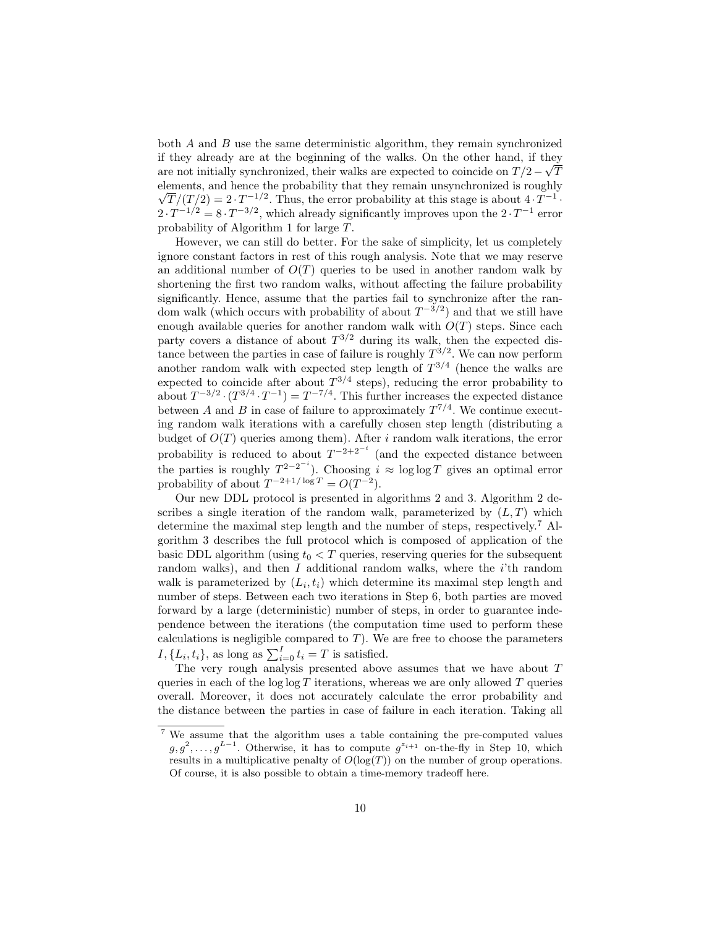both  $A$  and  $B$  use the same deterministic algorithm, they remain synchronized if they already are at the beginning of the walks. On the other hand, if they are not initially synchronized, their walks are expected to coincide on  $T/2 - \sqrt{T}$ elements, and hence the probability that they remain unsynchronized is roughly  $\overline{T}/(T/2) = 2 \cdot T^{-1/2}$ . Thus, the error probability at this stage is about  $4 \cdot T^{-1}$ .  $2 \cdot T^{-1/2} = 8 \cdot T^{-3/2}$ , which already significantly improves upon the  $2 \cdot T^{-1}$  error probability of Algorithm 1 for large T.

However, we can still do better. For the sake of simplicity, let us completely ignore constant factors in rest of this rough analysis. Note that we may reserve an additional number of  $O(T)$  queries to be used in another random walk by shortening the first two random walks, without affecting the failure probability significantly. Hence, assume that the parties fail to synchronize after the random walk (which occurs with probability of about  $T^{-3/2}$ ) and that we still have enough available queries for another random walk with  $O(T)$  steps. Since each party covers a distance of about  $T^{3/2}$  during its walk, then the expected distance between the parties in case of failure is roughly  $T^{3/2}$ . We can now perform another random walk with expected step length of  $T^{3/4}$  (hence the walks are expected to coincide after about  $T^{3/4}$  steps), reducing the error probability to about  $T^{-3/2} \cdot (T^{3/4} \cdot T^{-1}) = T^{-7/4}$ . This further increases the expected distance between A and B in case of failure to approximately  $T^{7/4}$ . We continue executing random walk iterations with a carefully chosen step length (distributing a budget of  $O(T)$  queries among them). After i random walk iterations, the error probability is reduced to about  $T^{-2+2^{-i}}$  (and the expected distance between the parties is roughly  $T^{2-2^{-i}}$ ). Choosing  $i \approx \log \log T$  gives an optimal error probability of about  $T^{-2+1/\log T} = O(T^{-2})$ .

Our new DDL protocol is presented in algorithms 2 and 3. Algorithm 2 describes a single iteration of the random walk, parameterized by  $(L, T)$  which determine the maximal step length and the number of steps, respectively.<sup>7</sup> Algorithm 3 describes the full protocol which is composed of application of the basic DDL algorithm (using  $t_0 < T$  queries, reserving queries for the subsequent random walks), and then  $I$  additional random walks, where the  $i$ <sup>th</sup> random walk is parameterized by  $(L_i, t_i)$  which determine its maximal step length and number of steps. Between each two iterations in Step 6, both parties are moved forward by a large (deterministic) number of steps, in order to guarantee independence between the iterations (the computation time used to perform these calculations is negligible compared to  $T$ ). We are free to choose the parameters  $I, \{L_i, t_i\}$ , as long as  $\sum_{i=0}^{I} t_i = T$  is satisfied.

The very rough analysis presented above assumes that we have about T queries in each of the  $\log \log T$  iterations, whereas we are only allowed T queries overall. Moreover, it does not accurately calculate the error probability and the distance between the parties in case of failure in each iteration. Taking all

<sup>7</sup> We assume that the algorithm uses a table containing the pre-computed values  $g, g^2, \ldots, g^{L-1}$ . Otherwise, it has to compute  $g^{z_{i+1}}$  on-the-fly in Step 10, which results in a multiplicative penalty of  $O(\log(T))$  on the number of group operations. Of course, it is also possible to obtain a time-memory tradeoff here.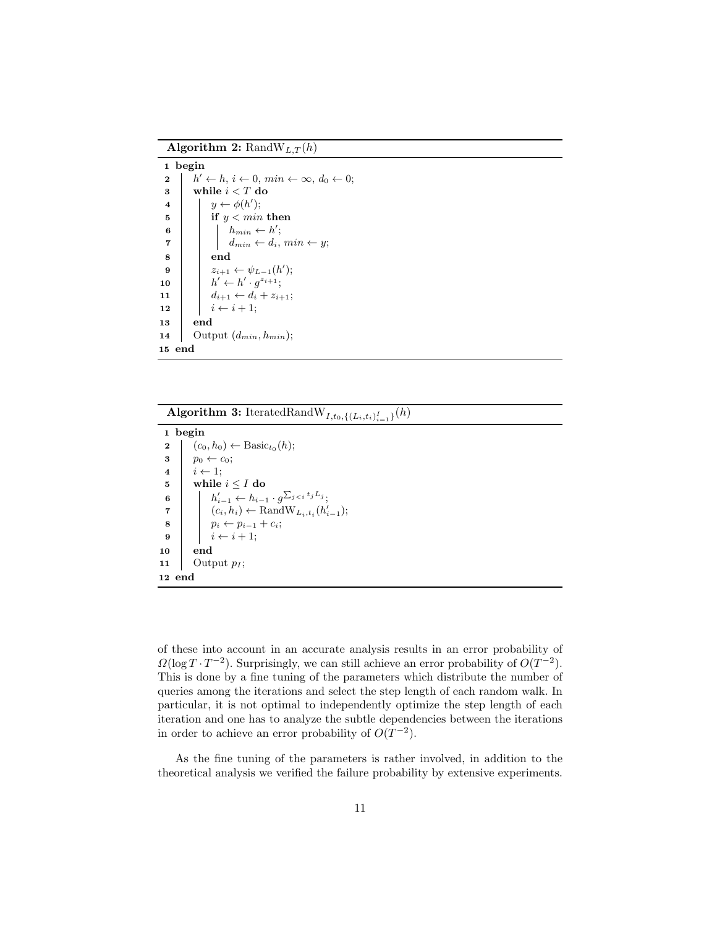Algorithm 2: Rand $W_{L,T}(h)$ 

1 begin  $2 \mid h' \leftarrow h, i \leftarrow 0, min \leftarrow \infty, d_0 \leftarrow 0;$  $3$  while  $i < T$  do  $4 \mid y \leftarrow \phi(h');$  $5 \mid \cdot \cdot \cdot \cdot$  if  $y < min$  then 6 | |  $h_{min} \leftarrow h';$  $\begin{array}{c|c|c|c|c} \hline \textbf{7} & \textbf{1} & \textbf{1} & \textbf{1} & \textbf{1} & \textbf{1} & \textbf{1} & \textbf{1} & \textbf{1} & \textbf{1} & \textbf{1} & \textbf{1} & \textbf{1} & \textbf{1} & \textbf{1} & \textbf{1} & \textbf{1} & \textbf{1} & \textbf{1} & \textbf{1} & \textbf{1} & \textbf{1} & \textbf{1} & \textbf{1} & \textbf{1} & \textbf{1} & \textbf{1} & \textbf{1} & \textbf{1}$ 8 | end 9  $\vert$   $z_{i+1} \leftarrow \psi_{L-1}(h');$ 10 h  $\prime \leftarrow h' \cdot g^{z_{i+1}};$ 11  $\big| \quad d_{i+1} \leftarrow d_i + z_{i+1};$ 12  $\vert \vert i \leftarrow i+1;$ 13 end 14 | Output  $(d_{min}, h_{min})$ ; 15 end

Algorithm 3: IteratedRand $\mathrm{W}_{I,t_0,\{(L_i,t_i)_{i=1}^{I}\}}(h)$ 

1 begin **2**  $(c_0, h_0) \leftarrow \text{Basic}_{t_0}(h);$  $3 \mid p_0 \leftarrow c_0;$  $4 \mid i \leftarrow 1;$ 5 while  $i \leq I$  do 6 |  $h'_{i-1} \leftarrow h_{i-1} \cdot g^{\sum_{j$  $\mathbf{7}$  |  $(c_i, h_i) \leftarrow \text{RandW}_{L_i, t_i}(h'_{i-1});$ 8 |  $p_i \leftarrow p_{i-1} + c_i;$ 9  $i \leftarrow i + 1;$ 10 end 11 | Output  $p_I$ ; 12 end

of these into account in an accurate analysis results in an error probability of  $\Omega(\log T \cdot T^{-2})$ . Surprisingly, we can still achieve an error probability of  $O(T^{-2})$ . This is done by a fine tuning of the parameters which distribute the number of queries among the iterations and select the step length of each random walk. In particular, it is not optimal to independently optimize the step length of each iteration and one has to analyze the subtle dependencies between the iterations in order to achieve an error probability of  $O(T^{-2})$ .

As the fine tuning of the parameters is rather involved, in addition to the theoretical analysis we verified the failure probability by extensive experiments.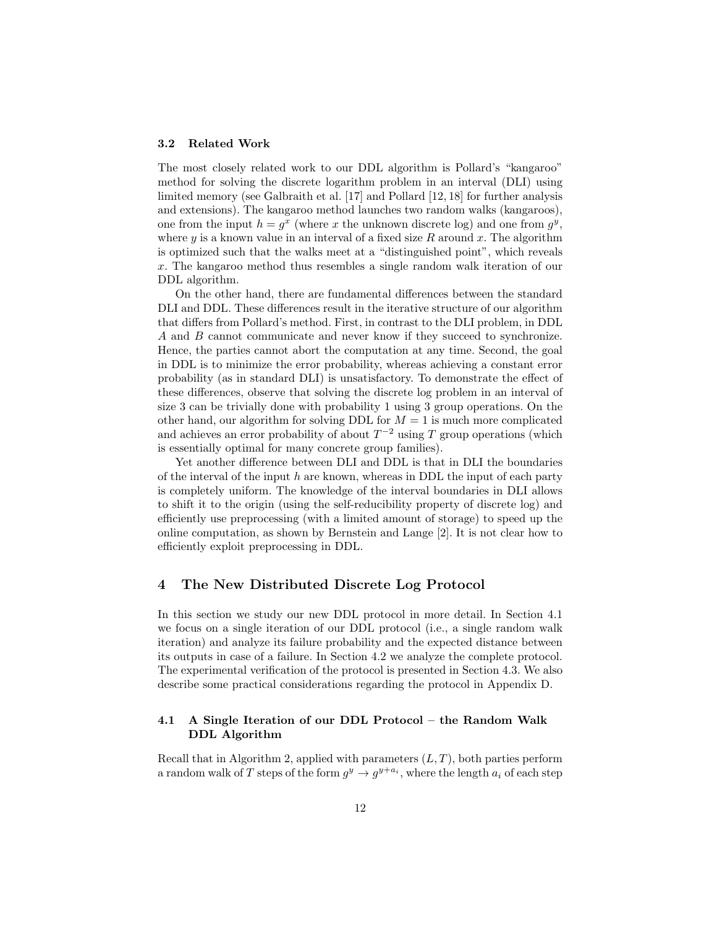#### 3.2 Related Work

The most closely related work to our DDL algorithm is Pollard's "kangaroo" method for solving the discrete logarithm problem in an interval (DLI) using limited memory (see Galbraith et al. [17] and Pollard [12, 18] for further analysis and extensions). The kangaroo method launches two random walks (kangaroos), one from the input  $h = g^x$  (where x the unknown discrete log) and one from  $g^y$ , where  $y$  is a known value in an interval of a fixed size R around x. The algorithm is optimized such that the walks meet at a "distinguished point", which reveals x. The kangaroo method thus resembles a single random walk iteration of our DDL algorithm.

On the other hand, there are fundamental differences between the standard DLI and DDL. These differences result in the iterative structure of our algorithm that differs from Pollard's method. First, in contrast to the DLI problem, in DDL A and B cannot communicate and never know if they succeed to synchronize. Hence, the parties cannot abort the computation at any time. Second, the goal in DDL is to minimize the error probability, whereas achieving a constant error probability (as in standard DLI) is unsatisfactory. To demonstrate the effect of these differences, observe that solving the discrete log problem in an interval of size 3 can be trivially done with probability 1 using 3 group operations. On the other hand, our algorithm for solving DDL for  $M = 1$  is much more complicated and achieves an error probability of about  $T^{-2}$  using T group operations (which is essentially optimal for many concrete group families).

Yet another difference between DLI and DDL is that in DLI the boundaries of the interval of the input  $h$  are known, whereas in DDL the input of each party is completely uniform. The knowledge of the interval boundaries in DLI allows to shift it to the origin (using the self-reducibility property of discrete log) and efficiently use preprocessing (with a limited amount of storage) to speed up the online computation, as shown by Bernstein and Lange [2]. It is not clear how to efficiently exploit preprocessing in DDL.

# 4 The New Distributed Discrete Log Protocol

In this section we study our new DDL protocol in more detail. In Section 4.1 we focus on a single iteration of our DDL protocol (i.e., a single random walk iteration) and analyze its failure probability and the expected distance between its outputs in case of a failure. In Section 4.2 we analyze the complete protocol. The experimental verification of the protocol is presented in Section 4.3. We also describe some practical considerations regarding the protocol in Appendix D.

# 4.1 A Single Iteration of our DDL Protocol – the Random Walk DDL Algorithm

Recall that in Algorithm 2, applied with parameters  $(L, T)$ , both parties perform a random walk of T steps of the form  $g^y \to g^{y+a_i}$ , where the length  $a_i$  of each step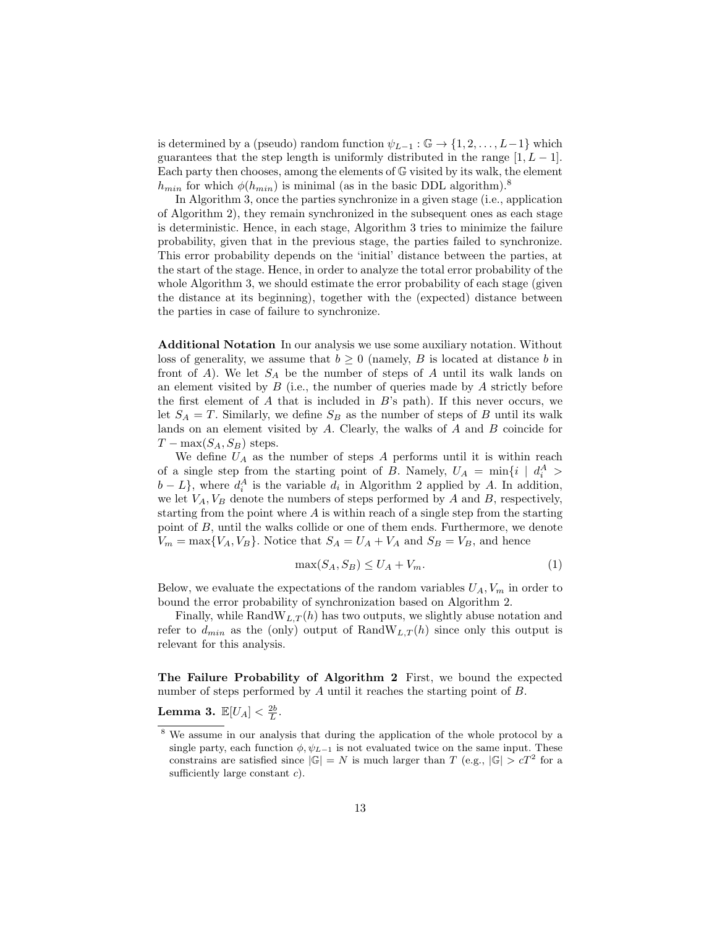is determined by a (pseudo) random function  $\psi_{L-1} : \mathbb{G} \to \{1, 2, \ldots, L-1\}$  which guarantees that the step length is uniformly distributed in the range  $[1, L - 1]$ . Each party then chooses, among the elements of G visited by its walk, the element  $h_{min}$  for which  $\phi(h_{min})$  is minimal (as in the basic DDL algorithm).<sup>8</sup>

In Algorithm 3, once the parties synchronize in a given stage (i.e., application of Algorithm 2), they remain synchronized in the subsequent ones as each stage is deterministic. Hence, in each stage, Algorithm 3 tries to minimize the failure probability, given that in the previous stage, the parties failed to synchronize. This error probability depends on the 'initial' distance between the parties, at the start of the stage. Hence, in order to analyze the total error probability of the whole Algorithm 3, we should estimate the error probability of each stage (given the distance at its beginning), together with the (expected) distance between the parties in case of failure to synchronize.

Additional Notation In our analysis we use some auxiliary notation. Without loss of generality, we assume that  $b \geq 0$  (namely, B is located at distance b in front of  $A$ ). We let  $S_A$  be the number of steps of  $A$  until its walk lands on an element visited by  $B$  (i.e., the number of queries made by  $A$  strictly before the first element of A that is included in  $B$ 's path). If this never occurs, we let  $S_A = T$ . Similarly, we define  $S_B$  as the number of steps of B until its walk lands on an element visited by A. Clearly, the walks of A and B coincide for  $T - \max(S_A, S_B)$  steps.

We define  $U_A$  as the number of steps A performs until it is within reach of a single step from the starting point of B. Namely,  $U_A = \min\{i \mid d_i^A >$  $b - L$ , where  $d_i^A$  is the variable  $d_i$  in Algorithm 2 applied by A. In addition, we let  $V_A$ ,  $V_B$  denote the numbers of steps performed by A and B, respectively, starting from the point where  $A$  is within reach of a single step from the starting point of B, until the walks collide or one of them ends. Furthermore, we denote  $V_m = \max\{V_A, V_B\}$ . Notice that  $S_A = U_A + V_A$  and  $S_B = V_B$ , and hence

$$
\max(S_A, S_B) \le U_A + V_m. \tag{1}
$$

Below, we evaluate the expectations of the random variables  $U_A$ ,  $V_m$  in order to bound the error probability of synchronization based on Algorithm 2.

Finally, while RandW<sub>L,T</sub>(h) has two outputs, we slightly abuse notation and refer to  $d_{min}$  as the (only) output of RandW<sub>L,T</sub>(h) since only this output is relevant for this analysis.

The Failure Probability of Algorithm 2 First, we bound the expected number of steps performed by A until it reaches the starting point of B.

Lemma 3.  $\mathbb{E}[U_A] < \frac{2b}{L}$ .

<sup>8</sup> We assume in our analysis that during the application of the whole protocol by a single party, each function  $\phi$ ,  $\psi$ <sub>L−1</sub> is not evaluated twice on the same input. These constrains are satisfied since  $|\mathbb{G}| = N$  is much larger than T (e.g.,  $|\mathbb{G}| > cT^2$  for a sufficiently large constant  $c$ ).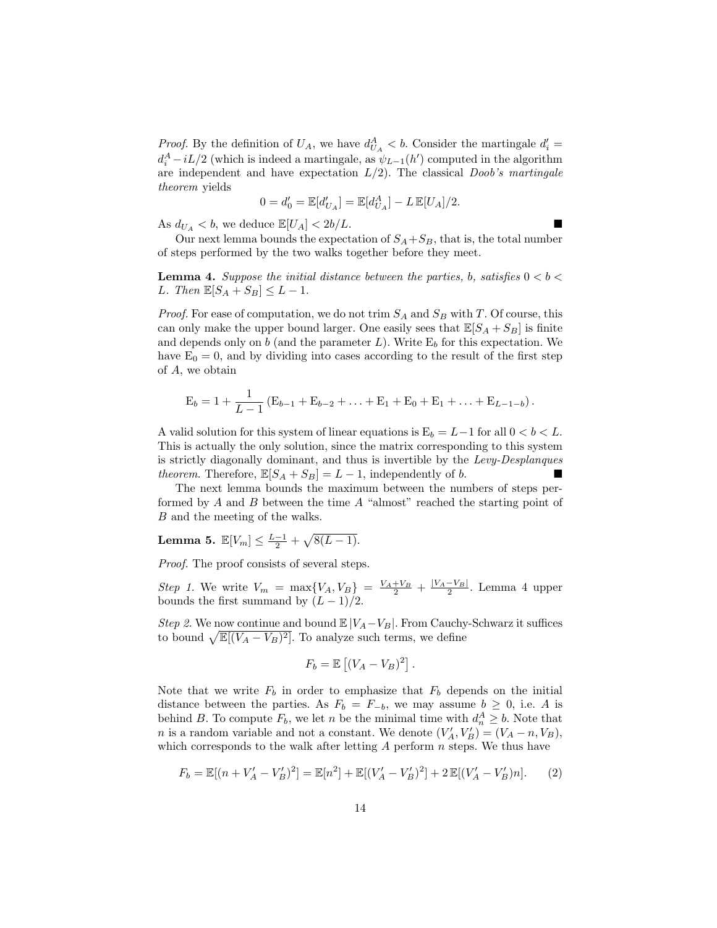*Proof.* By the definition of  $U_A$ , we have  $d_{U_A}^A < b$ . Consider the martingale  $d_i' =$  $d_i^A - iL/2$  (which is indeed a martingale, as  $\psi_{L-1}(h')$  computed in the algorithm are independent and have expectation  $L/2$ ). The classical *Doob's martingale* theorem yields

$$
0 = d'_0 = \mathbb{E}[d'_{U_A}] = \mathbb{E}[d^A_{U_A}] - L \mathbb{E}[U_A]/2.
$$

As  $d_{U_A} < b$ , we deduce  $\mathbb{E}[U_A] < 2b/L$ .

Our next lemma bounds the expectation of  $S_A + S_B$ , that is, the total number of steps performed by the two walks together before they meet.

**Lemma 4.** Suppose the initial distance between the parties, b, satisfies  $0 < b <$ L. Then  $\mathbb{E}[S_A + S_B] \leq L - 1$ .

*Proof.* For ease of computation, we do not trim  $S_A$  and  $S_B$  with T. Of course, this can only make the upper bound larger. One easily sees that  $\mathbb{E}[S_A + S_B]$  is finite and depends only on b (and the parameter  $L$ ). Write  $E_b$  for this expectation. We have  $E_0 = 0$ , and by dividing into cases according to the result of the first step of A, we obtain

$$
E_b = 1 + \frac{1}{L-1} (E_{b-1} + E_{b-2} + \ldots + E_1 + E_0 + E_1 + \ldots + E_{L-1-b}).
$$

A valid solution for this system of linear equations is  $E_b = L-1$  for all  $0 < b < L$ . This is actually the only solution, since the matrix corresponding to this system is strictly diagonally dominant, and thus is invertible by the Levy-Desplanques theorem. Therefore,  $\mathbb{E}[S_A + S_B] = L - 1$ , independently of b.

The next lemma bounds the maximum between the numbers of steps performed by  $A$  and  $B$  between the time  $A$  "almost" reached the starting point of B and the meeting of the walks.

**Lemma 5.** 
$$
\mathbb{E}[V_m] \leq \frac{L-1}{2} + \sqrt{8(L-1)}
$$
.

Proof. The proof consists of several steps.

*Step 1*. We write  $V_m = \max\{V_A, V_B\} = \frac{V_A + V_B}{2} + \frac{|V_A - V_B|}{2}$ . Lemma 4 upper bounds the first summand by  $(L-1)/2$ .

Step 2. We now continue and bound  $\mathbb{E}|V_A-V_B|$ . From Cauchy-Schwarz it suffices to bound  $\sqrt{\mathbb{E}[(V_A - V_B)^2]}$ . To analyze such terms, we define

$$
F_b = \mathbb{E}\left[ (V_A - V_B)^2 \right].
$$

Note that we write  $F_b$  in order to emphasize that  $F_b$  depends on the initial distance between the parties. As  $F_b = F_{-b}$ , we may assume  $b \geq 0$ , i.e. A is behind B. To compute  $F_b$ , we let n be the minimal time with  $d_n^A \geq b$ . Note that *n* is a random variable and not a constant. We denote  $(V'_A, V'_B) = (V_A - n, V_B)$ , which corresponds to the walk after letting  $A$  perform  $n$  steps. We thus have

$$
F_b = \mathbb{E}[(n + V'_A - V'_B)^2] = \mathbb{E}[n^2] + \mathbb{E}[(V'_A - V'_B)^2] + 2\mathbb{E}[(V'_A - V'_B)n].
$$
 (2)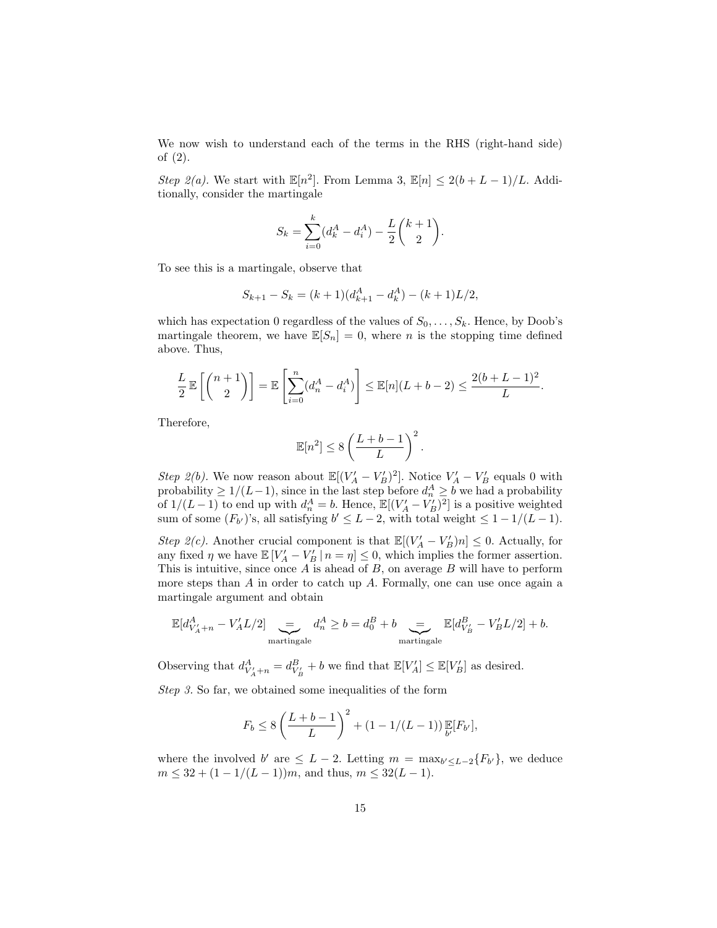We now wish to understand each of the terms in the RHS (right-hand side) of (2).

Step 2(a). We start with  $\mathbb{E}[n^2]$ . From Lemma 3,  $\mathbb{E}[n] \leq 2(b+L-1)/L$ . Additionally, consider the martingale

$$
S_k = \sum_{i=0}^k (d_k^A - d_i^A) - \frac{L}{2} \binom{k+1}{2}.
$$

To see this is a martingale, observe that

$$
S_{k+1} - S_k = (k+1)(d_{k+1}^A - d_k^A) - (k+1)L/2,
$$

which has expectation 0 regardless of the values of  $S_0, \ldots, S_k$ . Hence, by Doob's martingale theorem, we have  $\mathbb{E}[S_n] = 0$ , where *n* is the stopping time defined above. Thus,

$$
\frac{L}{2}\mathbb{E}\left[\binom{n+1}{2}\right] = \mathbb{E}\left[\sum_{i=0}^{n}(d_n^A - d_i^A)\right] \le \mathbb{E}[n](L+b-2) \le \frac{2(b+L-1)^2}{L}.
$$

Therefore,

$$
\mathbb{E}[n^2] \le 8\left(\frac{L+b-1}{L}\right)^2.
$$

Step 2(b). We now reason about  $\mathbb{E}[(V_A - V_B')^2]$ . Notice  $V_A' - V_B'$  equals 0 with probability  $\geq 1/(L-1)$ , since in the last step before  $d_n^A \geq b$  we had a probability of  $1/(L-1)$  to end up with  $d_n^A = b$ . Hence,  $\mathbb{E}[(V'_A - V'_B)^2]$  is a positive weighted sum of some  $(F_{b'})$ 's, all satisfying  $b' \leq L-2$ , with total weight  $\leq 1-1/(L-1)$ .

Step 2(c). Another crucial component is that  $\mathbb{E}[(V_A' - V_B')n] \leq 0$ . Actually, for any fixed  $\eta$  we have  $\mathbb{E}[V_A - V_B' | n = \eta] \leq 0$ , which implies the former assertion. This is intuitive, since once  $A$  is ahead of  $B$ , on average  $B$  will have to perform more steps than  $A$  in order to catch up  $A$ . Formally, one can use once again a martingale argument and obtain

$$
\mathbb{E}[d_{V_A'+n}^A - V_A'L/2] \underbrace{=}_{\text{martingale}} d_n^A \geq b = d_0^B + b \underbrace{=}_{\text{martingale}} \mathbb{E}[d_{V_B'}^B - V_B'L/2] + b.
$$

Observing that  $d_{V'_A+n}^A = d_{V'_B}^B + b$  we find that  $\mathbb{E}[V'_A] \leq \mathbb{E}[V'_B]$  as desired.

Step 3. So far, we obtained some inequalities of the form

$$
F_b \le 8\left(\frac{L+b-1}{L}\right)^2 + (1-1/(L-1))\mathop{\mathbb{E}}_{b'}[F_{b'}],
$$

where the involved b' are  $\leq L - 2$ . Letting  $m = \max_{b' \leq L-2} {F_{b'}}$ , we deduce  $m \leq 32 + (1 - 1/(L - 1))m$ , and thus,  $m \leq 32(L - 1)$ .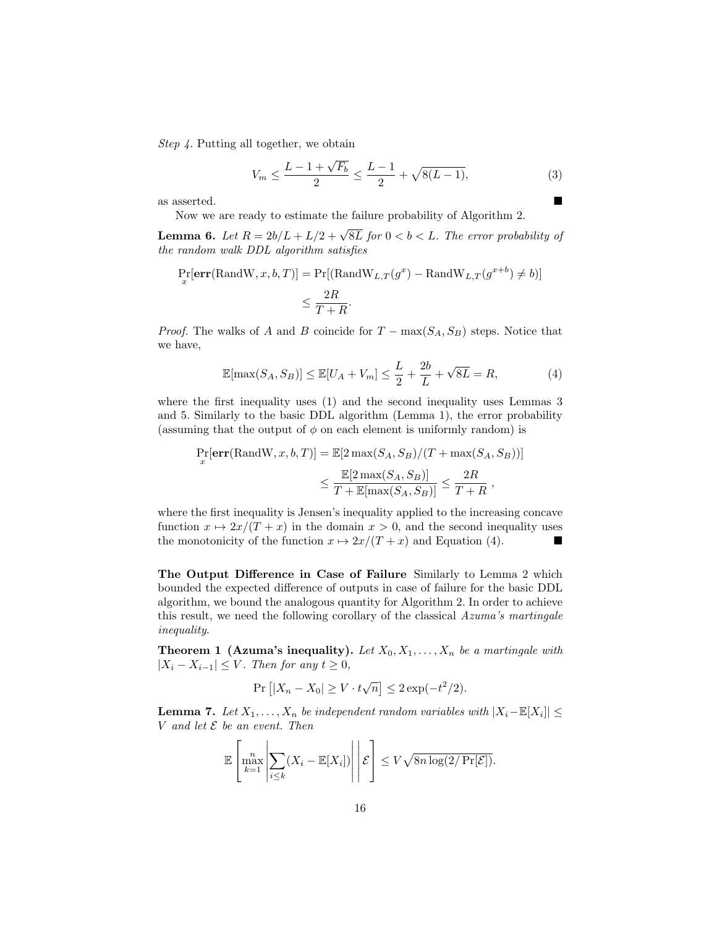Step 4. Putting all together, we obtain

$$
V_m \le \frac{L - 1 + \sqrt{F_b}}{2} \le \frac{L - 1}{2} + \sqrt{8(L - 1)},
$$
\n(3)

as asserted.

Now we are ready to estimate the failure probability of Algorithm 2.

**Lemma 6.** Let  $R = 2b/L + L/2 + \sqrt{8L}$  for  $0 < b < L$ . The error probability of the random walk DDL algorithm satisfies

$$
\Pr_x[\text{err}(\text{RandW}, x, b, T)] = \Pr[(\text{RandW}_{L,T}(g^x) - \text{RandW}_{L,T}(g^{x+b}) \neq b)]
$$
  

$$
\leq \frac{2R}{T+R}.
$$

*Proof.* The walks of A and B coincide for  $T - \max(S_A, S_B)$  steps. Notice that we have,

$$
\mathbb{E}[\max(S_A, S_B)] \le \mathbb{E}[U_A + V_m] \le \frac{L}{2} + \frac{2b}{L} + \sqrt{8L} = R,\tag{4}
$$

where the first inequality uses (1) and the second inequality uses Lemmas 3 and 5. Similarly to the basic DDL algorithm (Lemma 1), the error probability (assuming that the output of  $\phi$  on each element is uniformly random) is

$$
\Pr_x[\text{err}(\text{RandW}, x, b, T)] = \mathbb{E}[2 \max(S_A, S_B)/(T + \max(S_A, S_B))]
$$
  

$$
\leq \frac{\mathbb{E}[2 \max(S_A, S_B)]}{T + \mathbb{E}[\max(S_A, S_B)]} \leq \frac{2R}{T + R},
$$

where the first inequality is Jensen's inequality applied to the increasing concave function  $x \mapsto 2x/(T + x)$  in the domain  $x > 0$ , and the second inequality uses the monotonicity of the function  $x \mapsto 2x/(T + x)$  and Equation (4).

The Output Difference in Case of Failure Similarly to Lemma 2 which bounded the expected difference of outputs in case of failure for the basic DDL algorithm, we bound the analogous quantity for Algorithm 2. In order to achieve this result, we need the following corollary of the classical Azuma's martingale inequality.

**Theorem 1 (Azuma's inequality).** Let  $X_0, X_1, \ldots, X_n$  be a martingale with  $|X_i - X_{i-1}| \leq V$ . Then for any  $t \geq 0$ ,

$$
Pr [ |X_n - X_0| \ge V \cdot t\sqrt{n} ] \le 2 \exp(-t^2/2).
$$

**Lemma 7.** Let  $X_1, \ldots, X_n$  be independent random variables with  $|X_i - \mathbb{E}[X_i]| \leq$ V and let  $\mathcal E$  be an event. Then

$$
\mathbb{E}\left[\max_{k=1}^n \left|\sum_{i\leq k} (X_i - \mathbb{E}[X_i])\right|\middle| \mathcal{E}\right] \leq V\sqrt{8n\log(2/\Pr[\mathcal{E}])}.
$$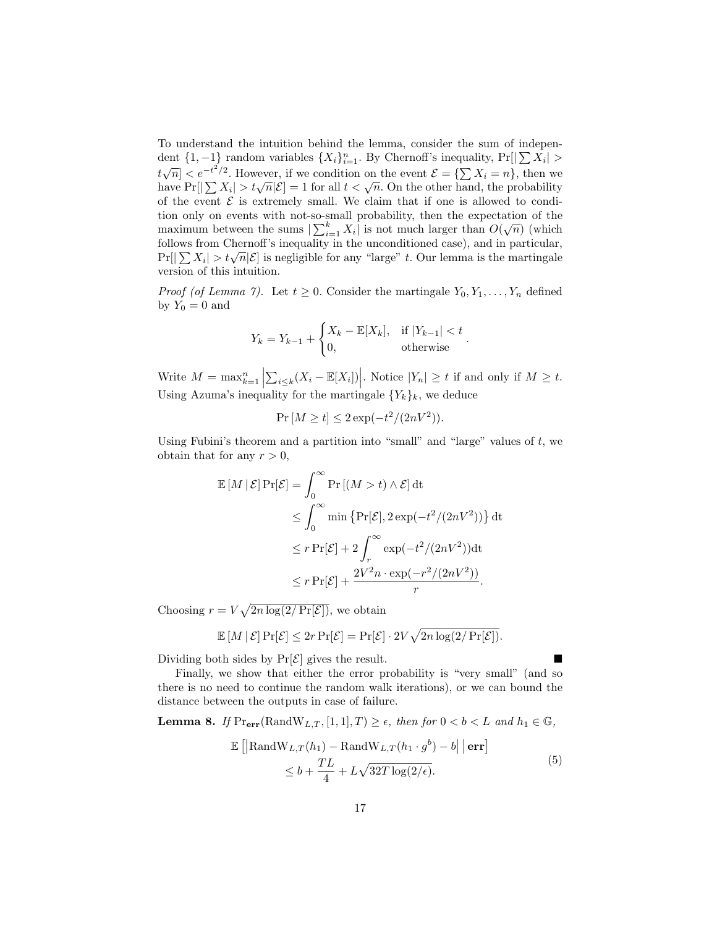To understand the intuition behind the lemma, consider the sum of independent  $\{1, -1\}$  random variables  $\{X_i\}_{i=1}^n$ . By Chernoff's inequality,  $Pr[|\sum X_i| >$  $t\sqrt{n} < e^{-t^2/2}$ . However, if we condition on the event  $\mathcal{E} = \{\sum X_i = n\}$ , then we were  $h\sqrt{n} \leq e^{-\gamma}$ . However, if we condition on the event  $c = \{\sum x_i = n\}$ , then we have  $Pr[|\sum x_i| > t\sqrt{n}|\mathcal{E}] = 1$  for all  $t < \sqrt{n}$ . On the other hand, the probability of the event  $\mathcal E$  is extremely small. We claim that if one is allowed to condition only on events with not-so-small probability, then the expectation of the tion only on events with not-so-small probability, then the expectation of the maximum between the sums  $\sum_{i=1}^{k} X_i$  is not much larger than  $O(\sqrt{n})$  (which follows from Chernoff's inequality in the unconditioned case), and in particular, Follows from Chernon's mequanty in the unconditioned case), and in particular,  $Pr[|\sum X_i| > t\sqrt{n}|\mathcal{E}]$  is negligible for any "large" t. Our lemma is the martingale version of this intuition.

*Proof (of Lemma 7).* Let  $t \geq 0$ . Consider the martingale  $Y_0, Y_1, \ldots, Y_n$  defined by  $Y_0 = 0$  and

$$
Y_k = Y_{k-1} + \begin{cases} X_k - \mathbb{E}[X_k], & \text{if } |Y_{k-1}| < t \\ 0, & \text{otherwise} \end{cases}.
$$

Write  $M = \max_{k=1}^{n} \left| \sum_{i \leq k} (X_i - \mathbb{E}[X_i]) \right|$ . Notice  $|Y_n| \geq t$  if and only if  $M \geq t$ . Using Azuma's inequality for the martingale  ${Y_k}_k$ , we deduce

$$
Pr[M \ge t] \le 2 \exp(-t^2/(2nV^2)).
$$

Using Fubini's theorem and a partition into "small" and "large" values of  $t$ , we obtain that for any  $r > 0$ ,

$$
\mathbb{E}[M | \mathcal{E}] Pr[\mathcal{E}] = \int_0^\infty Pr[(M > t) \wedge \mathcal{E}] dt
$$
  
\n
$$
\leq \int_0^\infty \min \{Pr[\mathcal{E}], 2 \exp(-t^2/(2nV^2))\} dt
$$
  
\n
$$
\leq r Pr[\mathcal{E}] + 2 \int_r^\infty \exp(-t^2/(2nV^2)) dt
$$
  
\n
$$
\leq r Pr[\mathcal{E}] + \frac{2V^2 n \cdot \exp(-r^2/(2nV^2))}{r}.
$$

Choosing  $r = V\sqrt{2n \log(2/\Pr[\mathcal{E}])}$ , we obtain

$$
\mathbb{E}[M \,|\, \mathcal{E}] \Pr[\mathcal{E}] \le 2r \Pr[\mathcal{E}] = \Pr[\mathcal{E}] \cdot 2V \sqrt{2n \log(2/\Pr[\mathcal{E}])}.
$$

Dividing both sides by  $Pr[\mathcal{E}]$  gives the result.

Finally, we show that either the error probability is "very small" (and so there is no need to continue the random walk iterations), or we can bound the distance between the outputs in case of failure.

**Lemma 8.** If  $Pr_{err}(\text{RandW}_{L,T}, [1, 1], T) \geq \epsilon$ , then for  $0 < b < L$  and  $h_1 \in \mathbb{G}$ ,

$$
\mathbb{E}\left[\left|\text{RandW}_{L,T}(h_1) - \text{RandW}_{L,T}(h_1 \cdot g^b) - b\right| \,|\,\text{err}\right] \leq b + \frac{TL}{4} + L\sqrt{32T\log(2/\epsilon)}.
$$
\n
$$
(5)
$$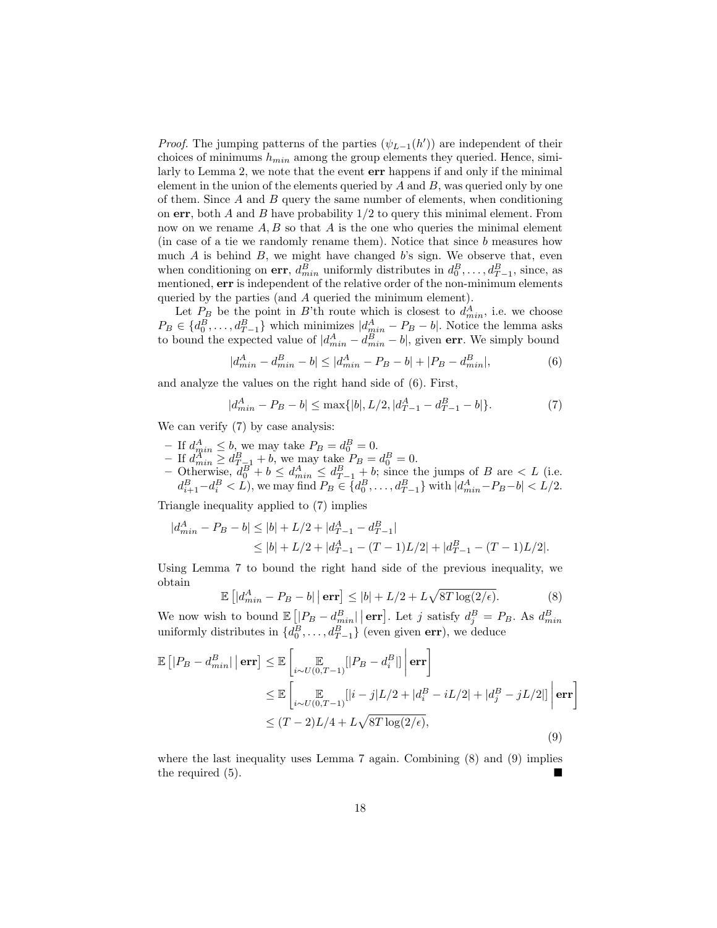*Proof.* The jumping patterns of the parties  $(\psi_{L-1}(h'))$  are independent of their choices of minimums  $h_{min}$  among the group elements they queried. Hence, similarly to Lemma 2, we note that the event err happens if and only if the minimal element in the union of the elements queried by  $A$  and  $B$ , was queried only by one of them. Since  $A$  and  $B$  query the same number of elements, when conditioning on  $err$ , both A and B have probability  $1/2$  to query this minimal element. From now on we rename  $A, B$  so that  $A$  is the one who queries the minimal element (in case of a tie we randomly rename them). Notice that since b measures how much  $A$  is behind  $B$ , we might have changed  $b$ 's sign. We observe that, even when conditioning on err,  $d_{min}^B$  uniformly distributes in  $d_0^B, \ldots, d_{T-1}^B$ , since, as mentioned, err is independent of the relative order of the non-minimum elements queried by the parties (and A queried the minimum element).

Let  $P_B$  be the point in B'th route which is closest to  $d_{min}^A$ , i.e. we choose  $P_B \in \{d_0^B, \ldots, d_{T-1}^B\}$  which minimizes  $|d_{min}^A - P_B - b|$ . Notice the lemma asks to bound the expected value of  $|d_{min}^A - d_{min}^B - b|$ , given err. We simply bound

$$
|d_{min}^A - d_{min}^B - b| \le |d_{min}^A - P_B - b| + |P_B - d_{min}^B|,
$$
\n(6)

and analyze the values on the right hand side of (6). First,

$$
|d_{min}^A - P_B - b| \le \max\{|b|, L/2, |d_{T-1}^A - d_{T-1}^B - b|\}.
$$
 (7)

We can verify (7) by case analysis:

- If  $d_{min}^A \leq b$ , we may take  $P_B = d_0^B = 0$ .
- If  $d_{min}^A \geq d_{T-1}^B + b$ , we may take  $P_B = d_0^B = 0$ .
- Otherwise,  $d_0^B + b \leq d_{min}^A \leq d_{T-1}^B + b$ ; since the jumps of B are  $\lt L$  (i.e.  $d_{i+1}^B - d_i^B < L$ ), we may find  $P_B \in \{d_0^B, \ldots, d_{T-1}^B\}$  with  $|d_{min}^A - P_B - b| < L/2$ .

Triangle inequality applied to (7) implies

$$
|d_{min}^A - P_B - b| \le |b| + L/2 + |d_{T-1}^A - d_{T-1}^B|
$$
  
\n
$$
\le |b| + L/2 + |d_{T-1}^A - (T-1)L/2| + |d_{T-1}^B - (T-1)L/2|.
$$

Using Lemma 7 to bound the right hand side of the previous inequality, we obtain

$$
\mathbb{E}\left[|d_{min}^A - P_B - b|\right] \text{err}\right] \le |b| + L/2 + L\sqrt{8T \log(2/\epsilon)}.
$$
 (8)

We now wish to bound  $\mathbb{E}\left[\left|P_B - d_{min}^B\right|\right]$  err]. Let j satisfy  $d_j^B = P_B$ . As  $d_{min}^B$ uniformly distributes in  $\{d_0^B, \ldots, d_{T-1}^B\}$  (even given err), we deduce

$$
\mathbb{E}\left[|P_B - d_{min}^B|\right] \mathbf{err}\right] \leq \mathbb{E}\left[\mathbb{E}_{i \sim U(0,T-1)}[|P_B - d_i^B|]\right] \mathbf{err}\right]
$$
  
\n
$$
\leq \mathbb{E}\left[\mathbb{E}_{i \sim U(0,T-1)}[|i-j|L/2 + |d_i^B - iL/2| + |d_j^B - jL/2|]\right] \mathbf{err}\right]
$$
  
\n
$$
\leq (T-2)L/4 + L\sqrt{8T\log(2/\epsilon)},
$$
\n(9)

where the last inequality uses Lemma 7 again. Combining  $(8)$  and  $(9)$  implies the required (5).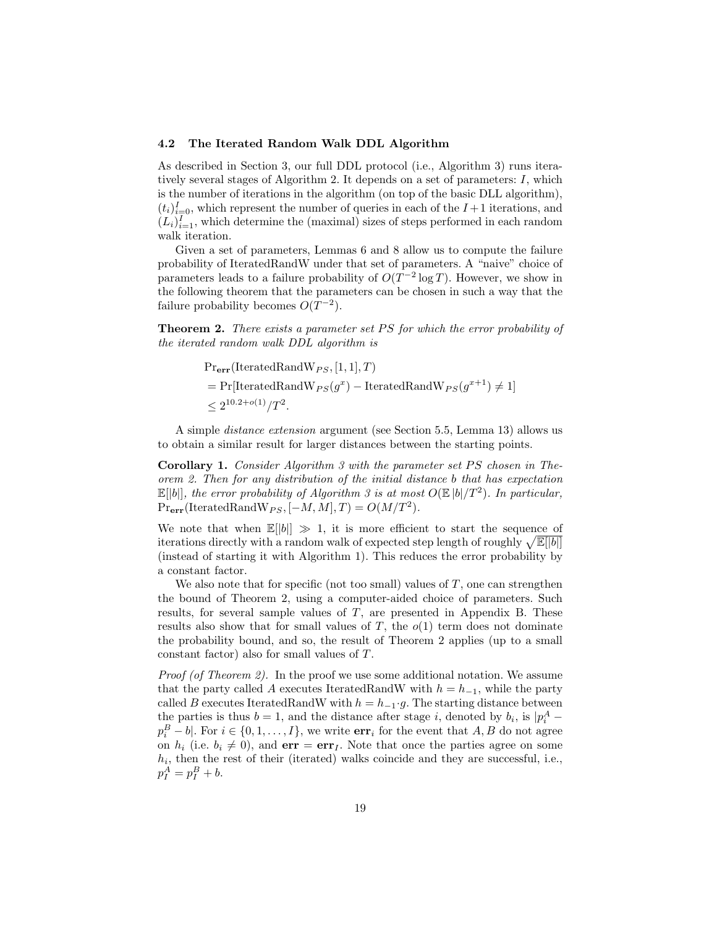#### 4.2 The Iterated Random Walk DDL Algorithm

As described in Section 3, our full DDL protocol (i.e., Algorithm 3) runs iteratively several stages of Algorithm 2. It depends on a set of parameters: I, which is the number of iterations in the algorithm (on top of the basic DLL algorithm),  $(t_i)_{i=0}^I$ , which represent the number of queries in each of the  $I+1$  iterations, and  $(L_i)_{i=1}^I$ , which determine the (maximal) sizes of steps performed in each random walk iteration.

Given a set of parameters, Lemmas 6 and 8 allow us to compute the failure probability of IteratedRandW under that set of parameters. A "naive" choice of parameters leads to a failure probability of  $O(T^{-2} \log T)$ . However, we show in the following theorem that the parameters can be chosen in such a way that the failure probability becomes  $O(T^{-2})$ .

**Theorem 2.** There exists a parameter set  $PS$  for which the error probability of the iterated random walk DDL algorithm is

$$
\begin{aligned} &\text{Pr}_{\textbf{err}}(\text{IteratedRandW}_{PS}, [1, 1], T) \\ &= \text{Pr}[\text{IteratedRandW}_{PS}(g^x) - \text{IteratedRandW}_{PS}(g^{x+1}) \neq 1] \\ &\leq 2^{10.2 + o(1)}/T^2. \end{aligned}
$$

A simple distance extension argument (see Section 5.5, Lemma 13) allows us to obtain a similar result for larger distances between the starting points.

Corollary 1. Consider Algorithm 3 with the parameter set PS chosen in Theorem 2. Then for any distribution of the initial distance b that has expectation  $\mathbb{E}[b|]$ , the error probability of Algorithm 3 is at most  $O(\mathbb{E}|b|/T^2)$ . In particular,  $Pr_{err}(\text{IteratedRandW}_{PS}, [-M, M], T) = O(M/T^2).$ 

We note that when  $\mathbb{E}[b]] \gg 1$ , it is more efficient to start the sequence of iterations directly with a random walk of expected step length of roughly  $\sqrt{\mathbb{E}[[b]]}$ (instead of starting it with Algorithm 1). This reduces the error probability by a constant factor.

We also note that for specific (not too small) values of  $T$ , one can strengthen the bound of Theorem 2, using a computer-aided choice of parameters. Such results, for several sample values of  $T$ , are presented in Appendix B. These results also show that for small values of  $T$ , the  $o(1)$  term does not dominate the probability bound, and so, the result of Theorem 2 applies (up to a small constant factor) also for small values of T.

Proof (of Theorem 2). In the proof we use some additional notation. We assume that the party called A executes IteratedRandW with  $h = h_{-1}$ , while the party called B executes IteratedRandW with  $h = h_{-1} \cdot g$ . The starting distance between the parties is thus  $b = 1$ , and the distance after stage i, denoted by  $b_i$ , is  $|p_i^A - p_j^A|$  $p_i^B - b$ . For  $i \in \{0, 1, \ldots, I\}$ , we write  $err_i$  for the event that A, B do not agree on  $h_i$  (i.e.  $b_i \neq 0$ ), and  $err = err_I$ . Note that once the parties agree on some  $h_i$ , then the rest of their (iterated) walks coincide and they are successful, i.e.,  $p_I^A = p_I^B + b.$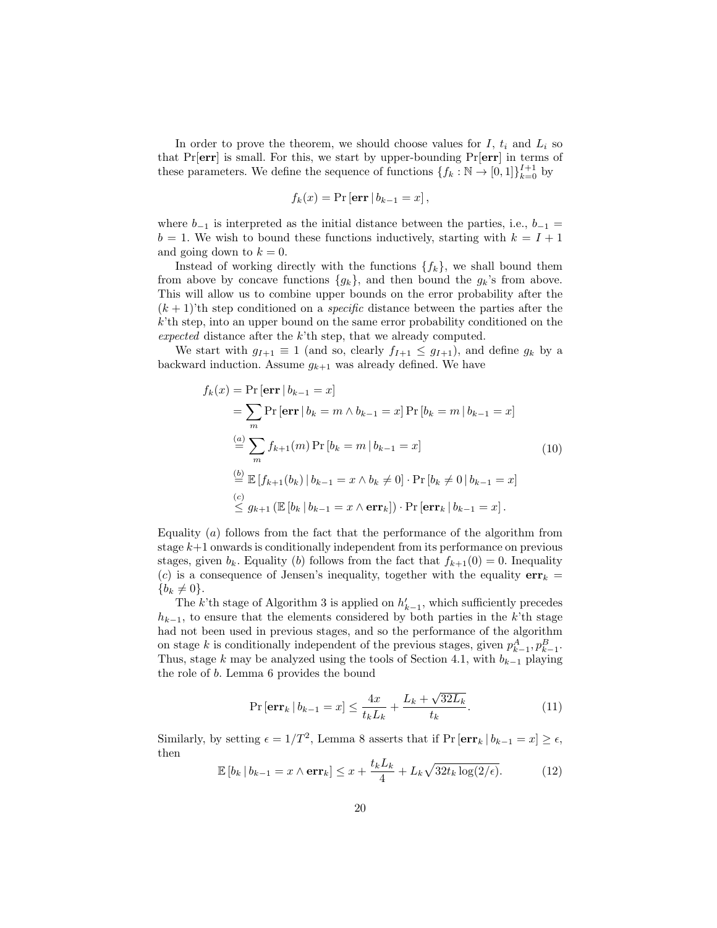In order to prove the theorem, we should choose values for  $I, t_i$  and  $L_i$  so that Pr[err] is small. For this, we start by upper-bounding Pr[err] in terms of these parameters. We define the sequence of functions  $\{f_k : \mathbb{N} \to [0,1]\}_{k=0}^{I+1}$  by

$$
f_k(x) = \Pr\left[\mathbf{err} \, | \, b_{k-1} = x\right],
$$

where  $b_{-1}$  is interpreted as the initial distance between the parties, i.e.,  $b_{-1}$  =  $b = 1$ . We wish to bound these functions inductively, starting with  $k = I + 1$ and going down to  $k = 0$ .

Instead of working directly with the functions  $\{f_k\}$ , we shall bound them from above by concave functions  ${g_k}$ , and then bound the  $g_k$ 's from above. This will allow us to combine upper bounds on the error probability after the  $(k + 1)$ 'th step conditioned on a *specific* distance between the parties after the k'th step, into an upper bound on the same error probability conditioned on the expected distance after the k'th step, that we already computed.

We start with  $g_{I+1} \equiv 1$  (and so, clearly  $f_{I+1} \leq g_{I+1}$ ), and define  $g_k$  by a backward induction. Assume  $g_{k+1}$  was already defined. We have

$$
f_k(x) = \Pr[\mathbf{err} | b_{k-1} = x]
$$
  
\n
$$
= \sum_m \Pr[\mathbf{err} | b_k = m \land b_{k-1} = x] \Pr[b_k = m | b_{k-1} = x]
$$
  
\n
$$
\stackrel{(a)}{=} \sum_m f_{k+1}(m) \Pr[b_k = m | b_{k-1} = x]
$$
  
\n
$$
\stackrel{(b)}{=} \mathbb{E}[f_{k+1}(b_k) | b_{k-1} = x \land b_k \neq 0] \cdot \Pr[b_k \neq 0 | b_{k-1} = x]
$$
  
\n(c)  
\n
$$
\leq g_{k+1} (\mathbb{E}[b_k | b_{k-1} = x \land \mathbf{err}_k]) \cdot \Pr[\mathbf{err}_k | b_{k-1} = x].
$$
\n(10)

Equality  $(a)$  follows from the fact that the performance of the algorithm from stage  $k+1$  onwards is conditionally independent from its performance on previous stages, given  $b_k$ . Equality (b) follows from the fact that  $f_{k+1}(0) = 0$ . Inequality (c) is a consequence of Jensen's inequality, together with the equality  $err_k =$  ${b_k \neq 0}.$ 

The k'th stage of Algorithm 3 is applied on  $h'_{k-1}$ , which sufficiently precedes  $h_{k-1}$ , to ensure that the elements considered by both parties in the k'th stage had not been used in previous stages, and so the performance of the algorithm on stage k is conditionally independent of the previous stages, given  $p_{k-1}^A, p_{k-1}^B$ . Thus, stage k may be analyzed using the tools of Section 4.1, with  $b_{k-1}$  playing the role of b. Lemma 6 provides the bound

$$
\Pr\left[\mathbf{err}_{k} \, | \, b_{k-1} = x\right] \le \frac{4x}{t_{k}L_{k}} + \frac{L_{k} + \sqrt{32L_{k}}}{t_{k}}.\tag{11}
$$

Similarly, by setting  $\epsilon = 1/T^2$ , Lemma 8 asserts that if  $\Pr[\mathbf{err}_k | b_{k-1} = x] \ge \epsilon$ , then

$$
\mathbb{E}\left[b_k \,|\, b_{k-1} = x \wedge \mathbf{err}_k\right] \le x + \frac{t_k L_k}{4} + L_k \sqrt{32 t_k \log(2/\epsilon)}.\tag{12}
$$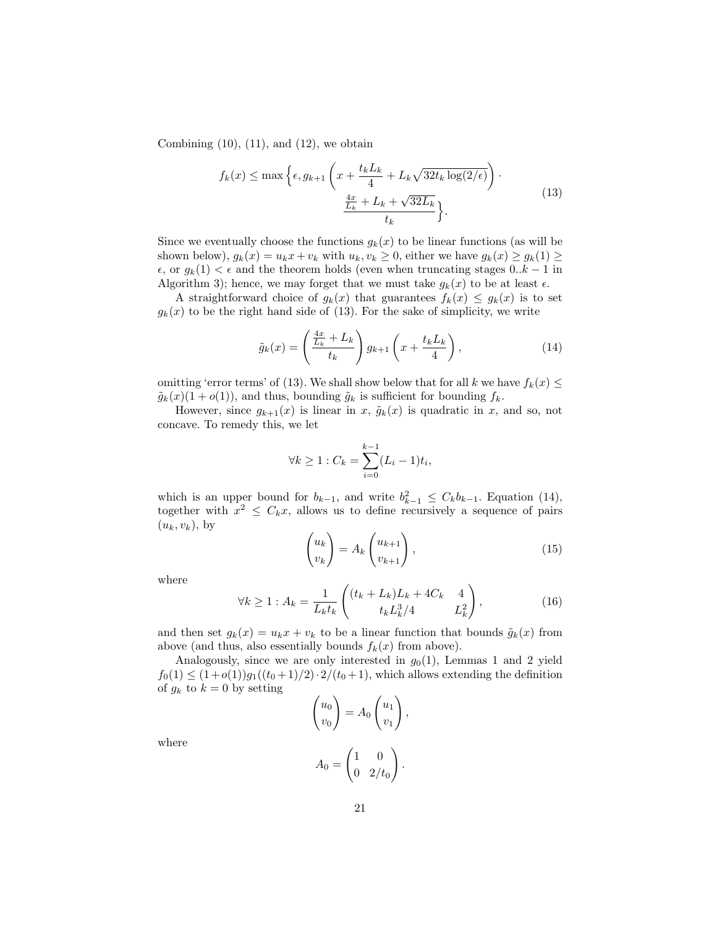Combining  $(10)$ ,  $(11)$ , and  $(12)$ , we obtain

$$
f_k(x) \le \max\left\{\epsilon, g_{k+1}\left(x + \frac{t_k L_k}{4} + L_k \sqrt{32t_k \log(2/\epsilon)}\right) \cdot \frac{\frac{4x}{L_k} + L_k + \sqrt{32L_k}}{t_k}\right\}.
$$
\n(13)

Since we eventually choose the functions  $g_k(x)$  to be linear functions (as will be shown below),  $g_k(x) = u_k x + v_k$  with  $u_k, v_k \geq 0$ , either we have  $g_k(x) \geq g_k(1) \geq$  $\epsilon$ , or  $g_k(1) < \epsilon$  and the theorem holds (even when truncating stages  $0..k-1$  in Algorithm 3); hence, we may forget that we must take  $g_k(x)$  to be at least  $\epsilon$ .

A straightforward choice of  $g_k(x)$  that guarantees  $f_k(x) \leq g_k(x)$  is to set  $g_k(x)$  to be the right hand side of (13). For the sake of simplicity, we write

$$
\tilde{g}_k(x) = \left(\frac{\frac{4x}{L_k} + L_k}{t_k}\right) g_{k+1}\left(x + \frac{t_k L_k}{4}\right),\tag{14}
$$

omitting 'error terms' of (13). We shall show below that for all k we have  $f_k(x) \leq$  $\tilde{g}_k(x)(1 + o(1))$ , and thus, bounding  $\tilde{g}_k$  is sufficient for bounding  $f_k$ .

However, since  $g_{k+1}(x)$  is linear in x,  $\tilde{g}_k(x)$  is quadratic in x, and so, not concave. To remedy this, we let

$$
\forall k \ge 1 : C_k = \sum_{i=0}^{k-1} (L_i - 1)t_i,
$$

which is an upper bound for  $b_{k-1}$ , and write  $b_{k-1}^2 \leq C_k b_{k-1}$ . Equation (14), together with  $x^2 \leq C_k x$ , allows us to define recursively a sequence of pairs  $(u_k, v_k)$ , by

$$
\begin{pmatrix} u_k \\ v_k \end{pmatrix} = A_k \begin{pmatrix} u_{k+1} \\ v_{k+1} \end{pmatrix},\tag{15}
$$

where

$$
\forall k \ge 1 : A_k = \frac{1}{L_k t_k} \begin{pmatrix} (t_k + L_k) L_k + 4C_k & 4\\ t_k L_k^3 / 4 & L_k^2 \end{pmatrix},
$$
(16)

and then set  $g_k(x) = u_k x + v_k$  to be a linear function that bounds  $\tilde{g}_k(x)$  from above (and thus, also essentially bounds  $f_k(x)$  from above).

Analogously, since we are only interested in  $g_0(1)$ , Lemmas 1 and 2 yield  $f_0(1) \leq (1+o(1))g_1((t_0+1)/2)\cdot 2/(t_0+1)$ , which allows extending the definition of  $g_k$  to  $k = 0$  by setting  $\sim$   $\sim$ 

$$
\begin{pmatrix} u_0 \\ v_0 \end{pmatrix} = A_0 \begin{pmatrix} u_1 \\ v_1 \end{pmatrix},
$$

$$
A_0 = \begin{pmatrix} 1 & 0 \\ 0 & 2/t_0 \end{pmatrix}.
$$

where

$$
\mathbf{l}_0 = \begin{pmatrix} 1 & 0 \\ 0 & 2/t_0 \end{pmatrix}
$$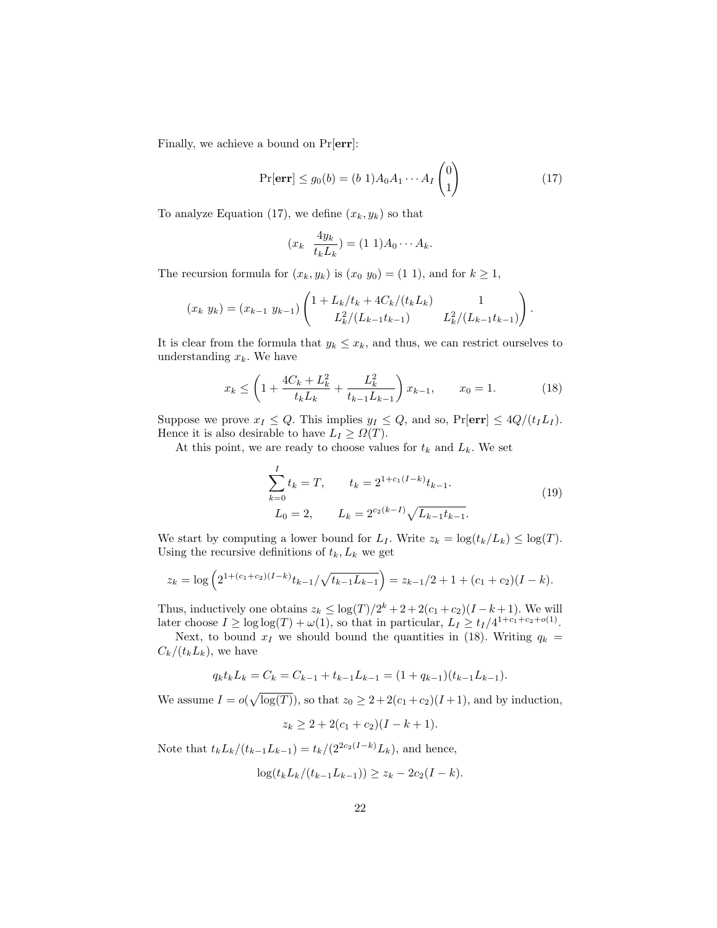Finally, we achieve a bound on  $Pr[err]$ :

$$
\Pr[\mathbf{err}] \le g_0(b) = (b \ 1) A_0 A_1 \cdots A_I \begin{pmatrix} 0 \\ 1 \end{pmatrix} \tag{17}
$$

To analyze Equation (17), we define  $(x_k, y_k)$  so that

$$
(x_k \frac{4y_k}{t_k L_k}) = (1\ 1)A_0 \cdots A_k.
$$

The recursion formula for  $(x_k, y_k)$  is  $(x_0, y_0) = (1, 1)$ , and for  $k \ge 1$ ,

$$
(x_k y_k) = (x_{k-1} y_{k-1}) \begin{pmatrix} 1 + L_k/t_k + 4C_k/(t_k L_k) & 1 \ L_k^2/(L_{k-1} t_{k-1}) & L_k^2/(L_{k-1} t_{k-1}) \end{pmatrix}.
$$

It is clear from the formula that  $y_k \leq x_k$ , and thus, we can restrict ourselves to understanding  $x_k$ . We have

$$
x_k \le \left(1 + \frac{4C_k + L_k^2}{t_k L_k} + \frac{L_k^2}{t_{k-1} L_{k-1}}\right) x_{k-1}, \qquad x_0 = 1.
$$
 (18)

Suppose we prove  $x_I \leq Q$ . This implies  $y_I \leq Q$ , and so,  $Pr[err] \leq 4Q/(t_I L_I)$ . Hence it is also desirable to have  $L_I \geq \Omega(T)$ .

At this point, we are ready to choose values for  $t_k$  and  $L_k$ . We set

$$
\sum_{k=0}^{I} t_k = T, \qquad t_k = 2^{1+c_1(I-k)} t_{k-1}.
$$
  
\n
$$
L_0 = 2, \qquad L_k = 2^{c_2(k-I)} \sqrt{L_{k-1} t_{k-1}}.
$$
\n(19)

We start by computing a lower bound for  $L_I$ . Write  $z_k = \log(t_k/L_k) \leq \log(T)$ . Using the recursive definitions of  $t_k, L_k$  we get

$$
z_k = \log\left(2^{1+(c_1+c_2)(I-k)}t_{k-1}/\sqrt{t_{k-1}L_{k-1}}\right) = z_{k-1}/2 + 1 + (c_1+c_2)(I-k).
$$

Thus, inductively one obtains  $z_k \leq \log(T)/2^k + 2 + 2(c_1 + c_2)(I - k + 1)$ . We will later choose  $I \ge \log \log(T) + \omega(1)$ , so that in particular,  $L_I \ge t_I / 4^{1+c_1+c_2+o(1)}$ .

Next, to bound  $x_I$  we should bound the quantities in (18). Writing  $q_k =$  $C_k/(t_kL_k)$ , we have

$$
q_k t_k L_k = C_k = C_{k-1} + t_{k-1} L_{k-1} = (1 + q_{k-1})(t_{k-1} L_{k-1}).
$$

We assume  $I = o(\sqrt{\log(T)})$ , so that  $z_0 \geq 2 + 2(c_1 + c_2)(I + 1)$ , and by induction,

$$
z_k \ge 2 + 2(c_1 + c_2)(I - k + 1).
$$

Note that  $t_k L_k/(t_{k-1}L_{k-1}) = t_k/(2^{2c_2(I-k)}L_k)$ , and hence,

$$
\log(t_k L_k/(t_{k-1} L_{k-1})) \ge z_k - 2c_2(I - k).
$$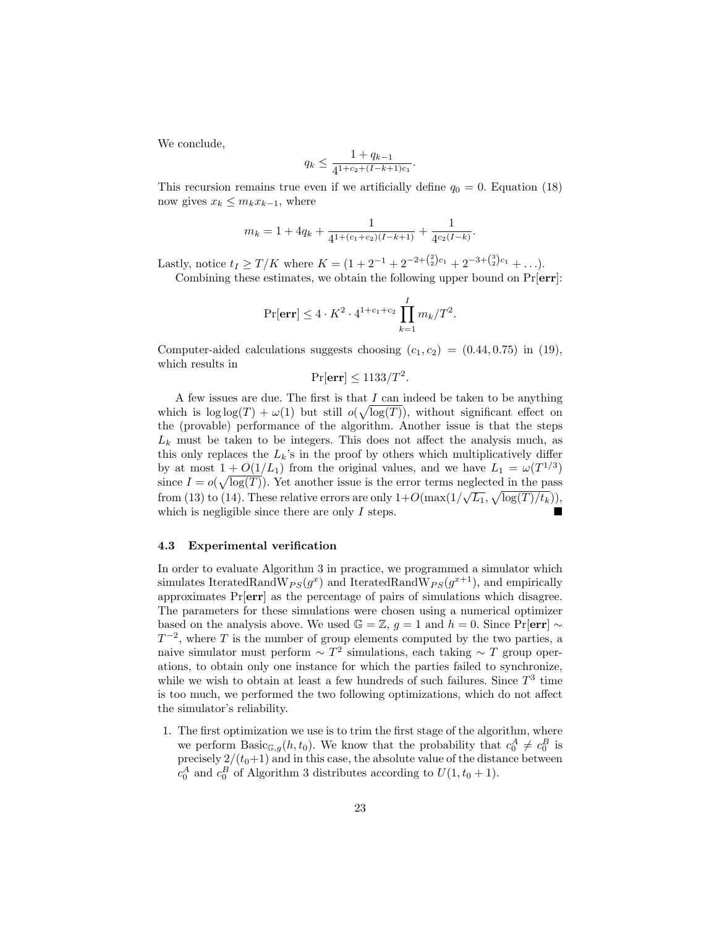We conclude,

$$
q_k \le \frac{1 + q_{k-1}}{4^{1+c_2 + (I-k+1)c_1}}.
$$

This recursion remains true even if we artificially define  $q_0 = 0$ . Equation (18) now gives  $x_k \leq m_k x_{k-1}$ , where

$$
m_k = 1 + 4q_k + \frac{1}{4^{1+(c_1+c_2)(I-k+1)}} + \frac{1}{4^{c_2(I-k)}}.
$$

Lastly, notice  $t_I \geq T/K$  where  $K = (1 + 2^{-1} + 2^{-2 + {2 \choose 2}c_1} + 2^{-3 + {3 \choose 2}c_1} + \ldots).$ 

Combining these estimates, we obtain the following upper bound on  $Pr[err]$ :

$$
\Pr[\mathbf{err}] \le 4 \cdot K^2 \cdot 4^{1+c_1+c_2} \prod_{k=1}^{I} m_k / T^2.
$$

Computer-aided calculations suggests choosing  $(c_1, c_2) = (0.44, 0.75)$  in (19), which results in

$$
\Pr[\mathbf{err}] \le 1133/T^2.
$$

A few issues are due. The first is that  $I$  can indeed be taken to be anything which is  $\log \log(T) + \omega(1)$  but still  $o(\sqrt{\log(T)})$ , without significant effect on the (provable) performance of the algorithm. Another issue is that the steps  $L_k$  must be taken to be integers. This does not affect the analysis much, as this only replaces the  $L_k$ 's in the proof by others which multiplicatively differ by at most  $1 + O(1/L_1)$  from the original values, and we have  $L_1 = \omega(T^{1/3})$ since  $I = o(\sqrt{\log(T)})$ . Yet another issue is the error terms neglected in the pass from (13) to (14). These relative errors are only  $1+O(\max(1/\sqrt{L_1}, \sqrt{\log(T)/t_k})),$ which is negligible since there are only I steps.

### 4.3 Experimental verification

In order to evaluate Algorithm 3 in practice, we programmed a simulator which simulates IteratedRandW $_{PS}(g^x)$  and IteratedRandW $_{PS}(g^{x+1})$ , and empirically approximates  $Pr[err]$  as the percentage of pairs of simulations which disagree. The parameters for these simulations were chosen using a numerical optimizer based on the analysis above. We used  $\mathbb{G} = \mathbb{Z}$ ,  $g = 1$  and  $h = 0$ . Since Pr[err] ∼  $T^{-2}$ , where T is the number of group elements computed by the two parties, a naive simulator must perform  $\sim T^2$  simulations, each taking  $\sim T$  group operations, to obtain only one instance for which the parties failed to synchronize, while we wish to obtain at least a few hundreds of such failures. Since  $T^3$  time is too much, we performed the two following optimizations, which do not affect the simulator's reliability.

1. The first optimization we use is to trim the first stage of the algorithm, where we perform Basic<sub>C,g</sub>(h, t<sub>0</sub>). We know that the probability that  $c_0^A \neq c_0^B$  is precisely  $2/(t_0+1)$  and in this case, the absolute value of the distance between  $c_0^A$  and  $c_0^B$  of Algorithm 3 distributes according to  $U(1, t_0 + 1)$ .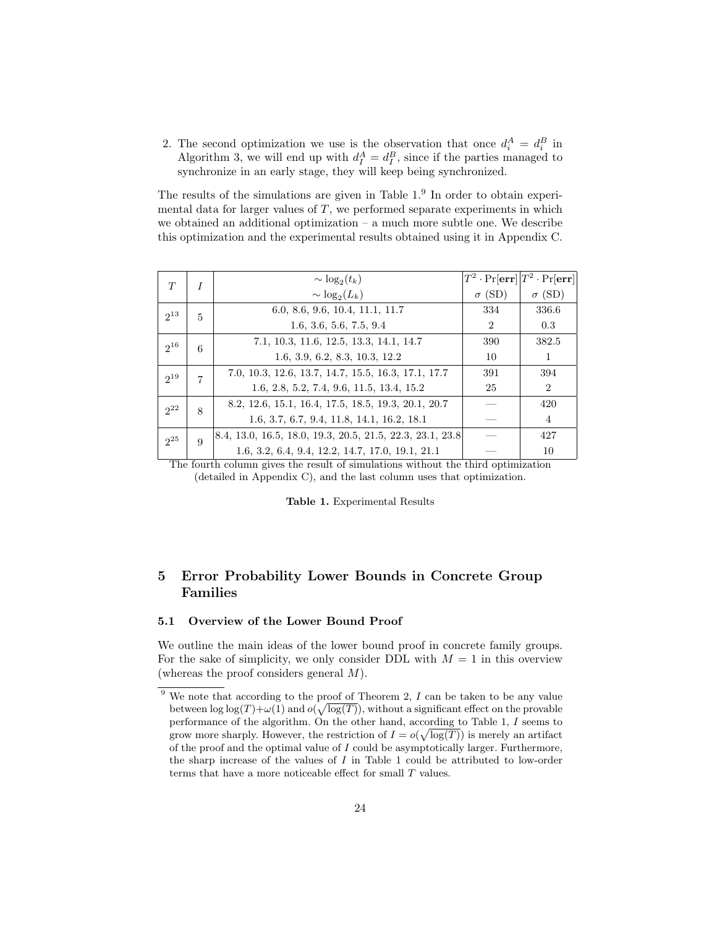2. The second optimization we use is the observation that once  $d_i^A = d_i^B$  in Algorithm 3, we will end up with  $d_I^A = d_I^B$ , since if the parties managed to synchronize in an early stage, they will keep being synchronized.

The results of the simulations are given in Table 1.<sup>9</sup> In order to obtain experimental data for larger values of  $T$ , we performed separate experiments in which we obtained an additional optimization – a much more subtle one. We describe this optimization and the experimental results obtained using it in Appendix C.

| T        | I              | $\sim \log_2(t_k)$                                        |                | $ T^2 \cdot \Pr[\mathbf{err}    T^2 \cdot \Pr[\mathbf{err}]]$ |
|----------|----------------|-----------------------------------------------------------|----------------|---------------------------------------------------------------|
|          |                | $\sim$ log <sub>2</sub> $(L_k)$                           | $\sigma$ (SD)  | $\sigma$ (SD)                                                 |
| $2^{13}$ | 5              | 6.0, 8.6, 9.6, 10.4, 11.1, 11.7                           | 334            | 336.6                                                         |
|          |                | 1.6, 3.6, 5.6, 7.5, 9.4                                   | $\overline{2}$ | 0.3                                                           |
| $2^{16}$ | 6              | 7.1, 10.3, 11.6, 12.5, 13.3, 14.1, 14.7                   | 390            | 382.5                                                         |
|          |                | 1.6, 3.9, 6.2, 8.3, 10.3, 12.2                            | 10             | 1                                                             |
| $2^{19}$ | $\overline{7}$ | 7.0, 10.3, 12.6, 13.7, 14.7, 15.5, 16.3, 17.1, 17.7       | 391            | 394                                                           |
|          |                | 1.6, 2.8, 5.2, 7.4, 9.6, 11.5, 13.4, 15.2                 | 25             | $\overline{2}$                                                |
| $2^{22}$ | 8              | 8.2, 12.6, 15.1, 16.4, 17.5, 18.5, 19.3, 20.1, 20.7       |                | 420                                                           |
|          |                | 1.6, 3.7, 6.7, 9.4, 11.8, 14.1, 16.2, 18.1                |                | 4                                                             |
| $2^{25}$ | 9              | 8.4, 13.0, 16.5, 18.0, 19.3, 20.5, 21.5, 22.3, 23.1, 23.8 |                | 427                                                           |
|          |                | 1.6, 3.2, 6.4, 9.4, 12.2, 14.7, 17.0, 19.1, 21.1          |                | 10                                                            |

The fourth column gives the result of simulations without the third optimization (detailed in Appendix C), and the last column uses that optimization.

Table 1. Experimental Results

# 5 Error Probability Lower Bounds in Concrete Group Families

### 5.1 Overview of the Lower Bound Proof

We outline the main ideas of the lower bound proof in concrete family groups. For the sake of simplicity, we only consider DDL with  $M = 1$  in this overview (whereas the proof considers general M).

 $9$  We note that according to the proof of Theorem 2, I can be taken to be any value between  $\log \log(T) + \omega(1)$  and  $o(\sqrt{\log(T)})$ , without a significant effect on the provable performance of the algorithm. On the other hand, according to Table 1, I seems to grow more sharply. However, the restriction of  $I = o(\sqrt{\log(T)})$  is merely an artifact of the proof and the optimal value of  $I$  could be asymptotically larger. Furthermore, the sharp increase of the values of I in Table 1 could be attributed to low-order terms that have a more noticeable effect for small  $T$  values.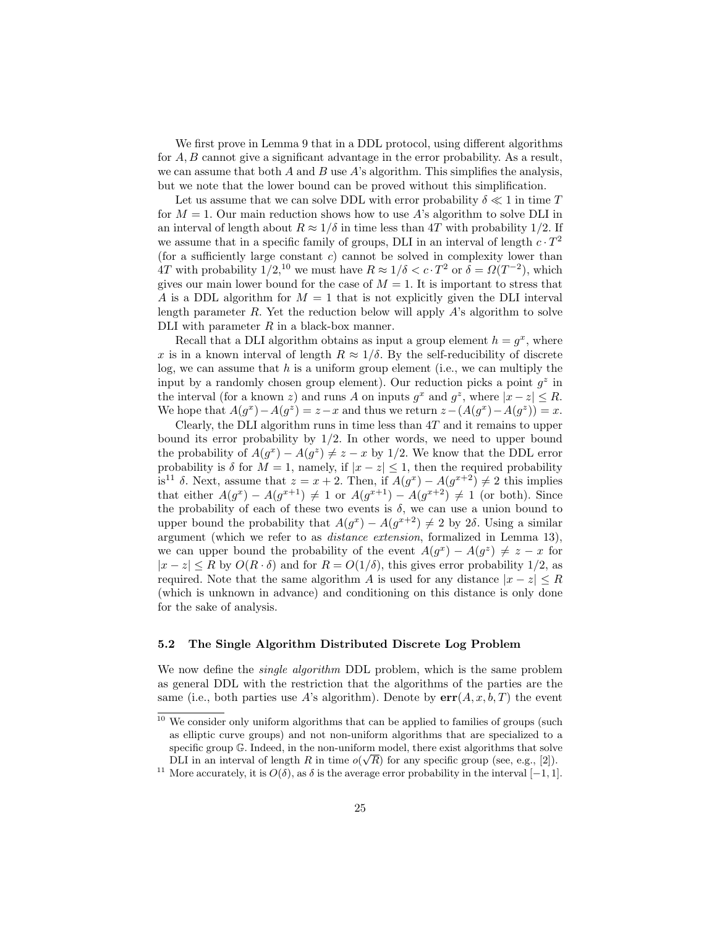We first prove in Lemma 9 that in a DDL protocol, using different algorithms for A, B cannot give a significant advantage in the error probability. As a result, we can assume that both  $A$  and  $B$  use  $A$ 's algorithm. This simplifies the analysis, but we note that the lower bound can be proved without this simplification.

Let us assume that we can solve DDL with error probability  $\delta \ll 1$  in time T for  $M = 1$ . Our main reduction shows how to use A's algorithm to solve DLI in an interval of length about  $R \approx 1/\delta$  in time less than 4T with probability 1/2. If we assume that in a specific family of groups, DLI in an interval of length  $c \cdot T^2$ (for a sufficiently large constant  $c$ ) cannot be solved in complexity lower than 4T with probability  $1/2$ ,<sup>10</sup> we must have  $R \approx 1/\delta < c \cdot T^2$  or  $\delta = \Omega(T^{-2})$ , which gives our main lower bound for the case of  $M = 1$ . It is important to stress that A is a DDL algorithm for  $M = 1$  that is not explicitly given the DLI interval length parameter  $R$ . Yet the reduction below will apply  $A$ 's algorithm to solve DLI with parameter  $R$  in a black-box manner.

Recall that a DLI algorithm obtains as input a group element  $h = g^x$ , where x is in a known interval of length  $R \approx 1/\delta$ . By the self-reducibility of discrete log, we can assume that  $h$  is a uniform group element (i.e., we can multiply the input by a randomly chosen group element). Our reduction picks a point  $g^z$  in the interval (for a known z) and runs A on inputs  $g^x$  and  $g^z$ , where  $|x-z| \leq R$ . We hope that  $A(g^x) - A(g^z) = z - x$  and thus we return  $z - (A(g^x) - A(g^z)) = x$ .

Clearly, the DLI algorithm runs in time less than  $4T$  and it remains to upper bound its error probability by  $1/2$ . In other words, we need to upper bound the probability of  $A(g^x) - A(g^z) \neq z - x$  by 1/2. We know that the DDL error probability is  $\delta$  for  $M = 1$ , namely, if  $|x - z| \leq 1$ , then the required probability is<sup>11</sup>  $\delta$ . Next, assume that  $z = x + 2$ . Then, if  $A(g^x) - A(g^{x+2}) \neq 2$  this implies that either  $A(g^x) - A(g^{x+1}) \neq 1$  or  $A(g^{x+1}) - A(g^{x+2}) \neq 1$  (or both). Since the probability of each of these two events is  $\delta$ , we can use a union bound to upper bound the probability that  $A(g^x) - A(g^{x+2}) \neq 2$  by 2δ. Using a similar argument (which we refer to as distance extension, formalized in Lemma 13), we can upper bound the probability of the event  $A(g^x) - A(g^z) \neq z - x$  for  $|x-z| \leq R$  by  $O(R \cdot \delta)$  and for  $R = O(1/\delta)$ , this gives error probability 1/2, as required. Note that the same algorithm A is used for any distance  $|x - z| \leq R$ (which is unknown in advance) and conditioning on this distance is only done for the sake of analysis.

#### 5.2 The Single Algorithm Distributed Discrete Log Problem

We now define the *single algorithm* DDL problem, which is the same problem as general DDL with the restriction that the algorithms of the parties are the same (i.e., both parties use A's algorithm). Denote by  $err(A, x, b, T)$  the event

 $10$  We consider only uniform algorithms that can be applied to families of groups (such as elliptic curve groups) and not non-uniform algorithms that are specialized to a specific group  $\mathbb{G}$ . Indeed, in the non-uniform model, there exist algorithms that solve DLI in an interval of length R in time  $o(\sqrt{R})$  for any specific group (see, e.g., [2]).

<sup>&</sup>lt;sup>11</sup> More accurately, it is  $O(\delta)$ , as  $\delta$  is the average error probability in the interval [−1, 1].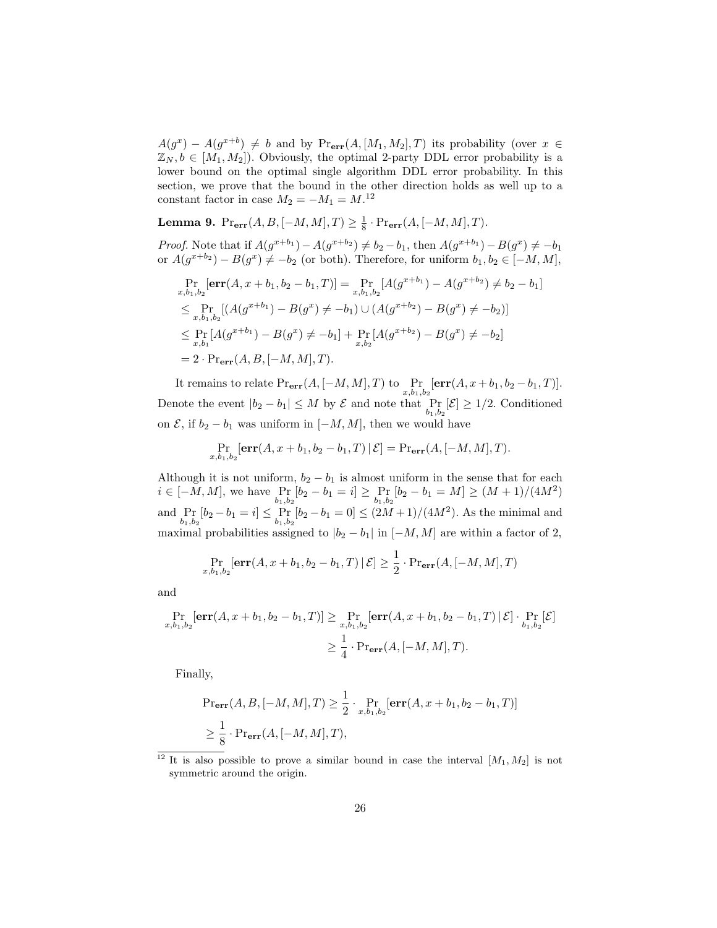$A(g^x) - A(g^{x+b}) \neq b$  and by  $Pr_{err}(A, [M_1, M_2], T)$  its probability (over  $x \in$  $\mathbb{Z}_N, b \in [M_1, M_2]$ . Obviously, the optimal 2-party DDL error probability is a lower bound on the optimal single algorithm DDL error probability. In this section, we prove that the bound in the other direction holds as well up to a constant factor in case  $M_2 = -M_1 = M^{12}$ .

**Lemma 9.**  $Pr_{err}(A, B, [-M, M], T) \ge \frac{1}{8} \cdot Pr_{err}(A, [-M, M], T)$ .

*Proof.* Note that if  $A(g^{x+b_1}) - A(g^{x+b_2}) \neq b_2 - b_1$ , then  $A(g^{x+b_1}) - B(g^x) \neq -b_1$ or  $A(g^{x+b_2}) - B(g^x) \neq -b_2$  (or both). Therefore, for uniform  $b_1, b_2 \in [-M, M]$ ,

$$
\Pr_{x,b_1,b_2}[\text{err}(A, x + b_1, b_2 - b_1, T)] = \Pr_{x,b_1,b_2}[A(g^{x+b_1}) - A(g^{x+b_2}) \neq b_2 - b_1]
$$
\n
$$
\leq \Pr_{x,b_1,b_2}[(A(g^{x+b_1}) - B(g^x) \neq -b_1) \cup (A(g^{x+b_2}) - B(g^x) \neq -b_2)]
$$
\n
$$
\leq \Pr_{x,b_1}[A(g^{x+b_1}) - B(g^x) \neq -b_1] + \Pr_{x,b_2}[A(g^{x+b_2}) - B(g^x) \neq -b_2]
$$
\n
$$
= 2 \cdot \Pr_{\text{err}}(A, B, [-M, M], T).
$$

It remains to relate  $Pr_{err}(A, [-M, M], T)$  to  $Pr_{x, b_1, b_2} [err(A, x + b_1, b_2 - b_1, T)].$ Denote the event  $|b_2 - b_1| \leq M$  by  $\mathcal E$  and note that  $\Pr_{b_1,b_2}[\mathcal E] \geq 1/2$ . Conditioned on  $\mathcal{E}$ , if  $b_2 - b_1$  was uniform in  $[-M, M]$ , then we would have

$$
\Pr_{x, b_1, b_2}[\mathbf{err}(A, x + b_1, b_2 - b_1, T) | \mathcal{E}] = \Pr_{\mathbf{err}}(A, [-M, M], T).
$$

Although it is not uniform,  $b_2 - b_1$  is almost uniform in the sense that for each  $i \in [-M, M]$ , we have  $\Pr_{b_1, b_2}[b_2 - b_1 = i] \ge \Pr_{b_1, b_2}[b_2 - b_1 = M] \ge (M + 1)/(4M^2)$ and  $\Pr_{b_1,b_2}[b_2 - b_1 = i] \le \Pr_{b_1,b_2}[b_2 - b_1 = 0] \le (2M+1)/(4M^2)$ . As the minimal and maximal probabilities assigned to  $|b_2 - b_1|$  in  $[-M, M]$  are within a factor of 2,

$$
\Pr_{x,b_1,b_2}[\mathbf{err}(A, x+b_1, b_2-b_1, T) | \mathcal{E}] \ge \frac{1}{2} \cdot \Pr_{\mathbf{err}}(A, [-M, M], T)
$$

and

$$
\Pr_{x,b_1,b_2}[\text{err}(A, x + b_1, b_2 - b_1, T)] \ge \Pr_{x,b_1,b_2}[\text{err}(A, x + b_1, b_2 - b_1, T) | \mathcal{E}] \cdot \Pr_{b_1,b_2}[\mathcal{E}]
$$
  

$$
\ge \frac{1}{4} \cdot \Pr_{\text{err}}(A, [-M, M], T).
$$

Finally,

$$
\begin{aligned} &\Pr_{\text{err}}(A, B, [-M, M], T) \ge \frac{1}{2} \cdot \Pr_{x, b_1, b_2}[\text{err}(A, x + b_1, b_2 - b_1, T)] \\ &\ge \frac{1}{8} \cdot \Pr_{\text{err}}(A, [-M, M], T), \end{aligned}
$$

<sup>&</sup>lt;sup>12</sup> It is also possible to prove a similar bound in case the interval  $[M_1, M_2]$  is not symmetric around the origin.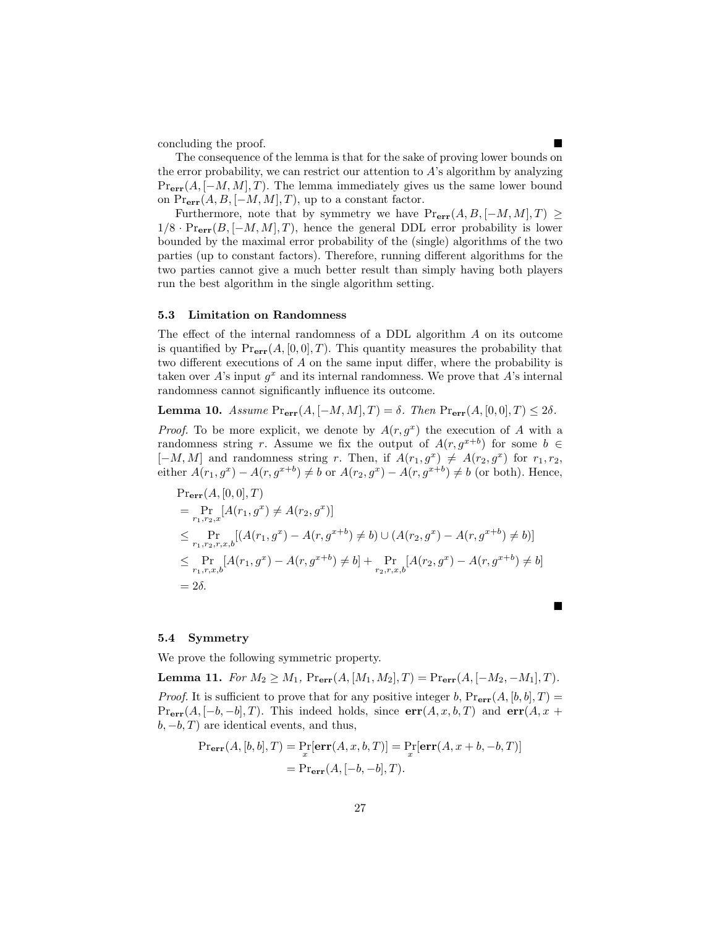concluding the proof.

The consequence of the lemma is that for the sake of proving lower bounds on the error probability, we can restrict our attention to  $A$ 's algorithm by analyzing  $Pr<sub>err</sub>(A, [-M, M], T)$ . The lemma immediately gives us the same lower bound on  $Pr_{\text{err}}(A, B, [-M, M], T)$ , up to a constant factor.

Furthermore, note that by symmetry we have  $Pr_{err}(A, B, [-M, M], T) \ge$  $1/8 \cdot \Pr_{\text{err}}(B, [-M, M], T)$ , hence the general DDL error probability is lower bounded by the maximal error probability of the (single) algorithms of the two parties (up to constant factors). Therefore, running different algorithms for the two parties cannot give a much better result than simply having both players run the best algorithm in the single algorithm setting.

#### 5.3 Limitation on Randomness

The effect of the internal randomness of a DDL algorithm A on its outcome is quantified by  $Pr_{err}(A, [0, 0], T)$ . This quantity measures the probability that two different executions of A on the same input differ, where the probability is taken over  $A$ 's input  $g^x$  and its internal randomness. We prove that  $A$ 's internal randomness cannot significantly influence its outcome.

**Lemma 10.** Assume  $Pr_{err}(A, [-M, M], T) = \delta$ . Then  $Pr_{err}(A, [0, 0], T) \leq 2\delta$ .

*Proof.* To be more explicit, we denote by  $A(r, g^x)$  the execution of A with a randomness string r. Assume we fix the output of  $A(r, g^{x+b})$  for some  $b \in$  $[-M, M]$  and randomness string r. Then, if  $A(r_1, g^x) \neq A(r_2, g^x)$  for  $r_1, r_2$ , either  $A(r_1, g^x) - A(r, g^{x+b}) \neq b$  or  $A(r_2, g^x) - A(r, g^{x+b}) \neq b$  (or both). Hence,

$$
\begin{aligned} &\Pr_{\text{err}}(A, [0, 0], T) \\ &= \Pr_{r_1, r_2, x} [A(r_1, g^x) \neq A(r_2, g^x)] \\ &\leq \Pr_{r_1, r_2, r, x, b} [(A(r_1, g^x) - A(r, g^{x+b}) \neq b) \cup (A(r_2, g^x) - A(r, g^{x+b}) \neq b)] \\ &\leq \Pr_{r_1, r, x, b} [A(r_1, g^x) - A(r, g^{x+b}) \neq b] + \Pr_{r_2, r, x, b} [A(r_2, g^x) - A(r, g^{x+b}) \neq b] \\ &= 2\delta. \end{aligned}
$$

#### 5.4 Symmetry

We prove the following symmetric property.

Lemma 11. For  $M_2 \geq M_1$ ,  $Pr_{err}(A, [M_1, M_2], T) = Pr_{err}(A, [-M_2, -M_1], T)$ . *Proof.* It is sufficient to prove that for any positive integer b,  $Pr_{err}(A, [b, b], T) =$  $Pr_{err}(A, [-b, -b], T)$ . This indeed holds, since  $err(A, x, b, T)$  and  $err(A, x +$  $(b, -b, T)$  are identical events, and thus,

$$
\begin{aligned} \Pr_{\mathbf{err}}(A, [b, b], T) &= \Pr_x[\mathbf{err}(A, x, b, T)] = \Pr_x[\mathbf{err}(A, x + b, -b, T)] \\ &= \Pr_{\mathbf{err}}(A, [-b, -b], T). \end{aligned}
$$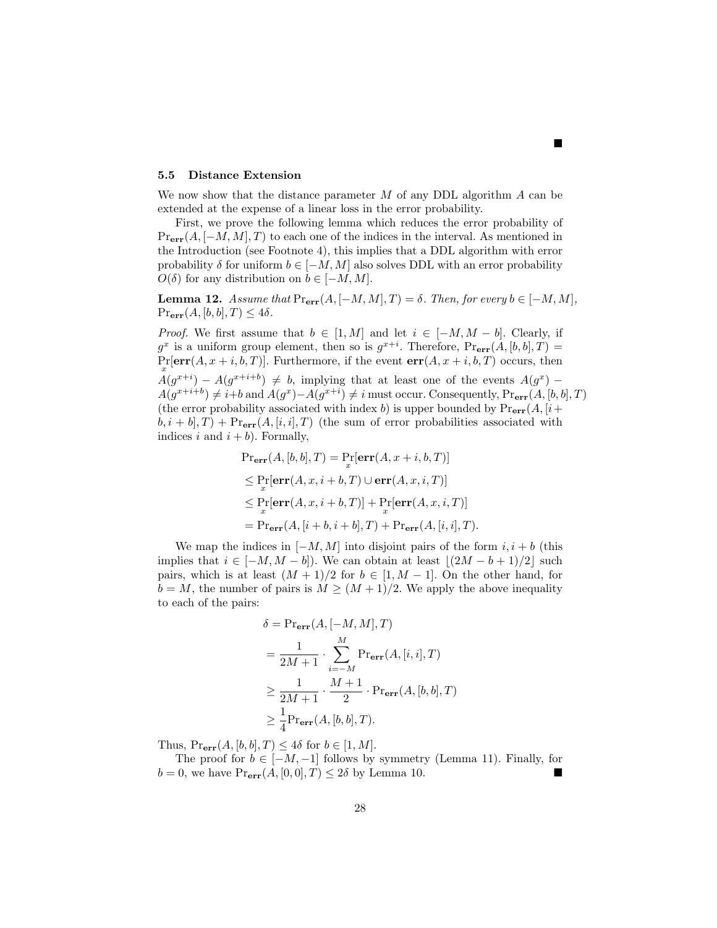#### 5.5 Distance Extension

We now show that the distance parameter  $M$  of any DDL algorithm  $A$  can be extended at the expense of a linear loss in the error probability.

First, we prove the following lemma which reduces the error probability of  $Pr_{err}(A, [-M, M], T)$  to each one of the indices in the interval. As mentioned in the Introduction (see Footnote 4), this implies that a DDL algorithm with error probability  $\delta$  for uniform  $b \in [-M, M]$  also solves DDL with an error probability  $O(\delta)$  for any distribution on  $b \in [-M, M]$ .

**Lemma 12.** Assume that  $Pr_{err}(A, [-M, M], T) = \delta$ . Then, for every  $b \in [-M, M]$ ,  $Pr_{\text{err}}(A, [b, b], T) \leq 4\delta.$ 

*Proof.* We first assume that  $b \in [1, M]$  and let  $i \in [-M, M - b]$ . Clearly, if  $g^x$  is a uniform group element, then so is  $g^{x+i}$ . Therefore,  $Pr_{err}(A, [b, b], T) =$  $Pr_x[\text{err}(A, x + i, b, T)].$  Furthermore, if the event  $\text{err}(A, x + i, b, T)$  occurs, then  $A(g^{x+i}) - A(g^{x+i+b}) \neq b$ , implying that at least one of the events  $A(g^x)$  $A(g^{x+i+b}) \neq i+b$  and  $A(g^x) - A(g^{x+i}) \neq i$  must occur. Consequently,  $Pr_{err}(A, [b, b], T)$ (the error probability associated with index b) is upper bounded by  $Pr_{err}(A, \{i+\})$  $b, i + b, T) + Pr_{err}(A, [i, i], T)$  (the sum of error probabilities associated with indices i and  $i + b$ ). Formally,

$$
\begin{aligned} &\Pr_{\text{err}}(A, [b, b], T) = \Pr_x[\text{err}(A, x + i, b, T)] \\ &\leq \Pr_x[\text{err}(A, x, i + b, T) \cup \text{err}(A, x, i, T)] \\ &\leq \Pr_x[\text{err}(A, x, i + b, T)] + \Pr_x[\text{err}(A, x, i, T)] \\ &= \Pr_{\text{err}}(A, [i + b, i + b], T) + \Pr_{\text{err}}(A, [i, i], T). \end{aligned}
$$

We map the indices in  $[-M, M]$  into disjoint pairs of the form  $i, i + b$  (this implies that  $i \in [-M, M - b]$ . We can obtain at least  $|(2M - b + 1)/2|$  such pairs, which is at least  $(M + 1)/2$  for  $b \in [1, M - 1]$ . On the other hand, for  $b = M$ , the number of pairs is  $M \geq (M + 1)/2$ . We apply the above inequality to each of the pairs:

$$
\delta = \Pr_{\text{err}}(A, [-M, M], T)
$$
  
=  $\frac{1}{2M+1} \cdot \sum_{i=-M}^{M} \Pr_{\text{err}}(A, [i, i], T)$   
 $\ge \frac{1}{2M+1} \cdot \frac{M+1}{2} \cdot \Pr_{\text{err}}(A, [b, b], T)$   
 $\ge \frac{1}{4} \Pr_{\text{err}}(A, [b, b], T).$ 

Thus,  $Pr_{\text{err}}(A, [b, b], T) \leq 4\delta$  for  $b \in [1, M]$ .

The proof for  $b \in [-M, -1]$  follows by symmetry (Lemma 11). Finally, for  $b = 0$ , we have  $Pr_{err}(A, [0, 0], T) \leq 2\delta$  by Lemma 10.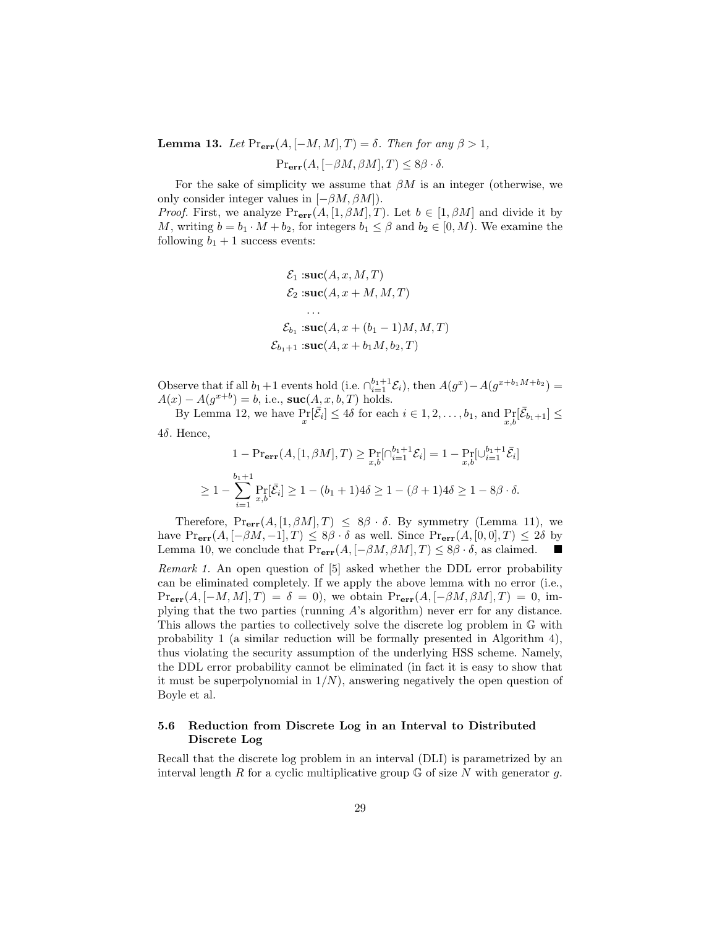**Lemma 13.** Let  $Pr_{err}(A, [-M, M], T) = \delta$ . Then for any  $\beta > 1$ ,

$$
\Pr_{\mathbf{err}}(A, [-\beta M, \beta M], T) \le 8\beta \cdot \delta.
$$

For the sake of simplicity we assume that  $\beta M$  is an integer (otherwise, we only consider integer values in  $[-\beta M, \beta M]$ ).

*Proof.* First, we analyze  $Pr_{err}(A, [1, \beta M], T)$ . Let  $b \in [1, \beta M]$  and divide it by M, writing  $b = b_1 \cdot M + b_2$ , for integers  $b_1 \leq \beta$  and  $b_2 \in [0, M)$ . We examine the following  $b_1 + 1$  success events:

$$
\mathcal{E}_1 : \mathbf{suc}(A, x, M, T)
$$
  
\n
$$
\mathcal{E}_2 : \mathbf{suc}(A, x + M, M, T)
$$
  
\n...  
\n
$$
\mathcal{E}_{b_1} : \mathbf{suc}(A, x + (b_1 - 1)M, M, T)
$$
  
\n
$$
\mathcal{E}_{b_1+1} : \mathbf{suc}(A, x + b_1M, b_2, T)
$$

Observe that if all  $b_1 + 1$  events hold (i.e.  $\bigcap_{i=1}^{b_1+1} \mathcal{E}_i$ ), then  $A(g^x) - A(g^{x+b_1M+b_2}) =$  $A(x) - A(g^{x+b}) = b$ , i.e., suc $(A, x, b, T)$  holds.

By Lemma 12, we have  $\Pr_x[\bar{\mathcal{E}}_i] \leq 4\delta$  for each  $i \in 1, 2, ..., b_1$ , and  $\Pr_{x,b}[\bar{\mathcal{E}}_{b_1+1}] \leq$ 4δ. Hence,

$$
1 - \Pr_{\text{err}}(A, [1, \beta M], T) \ge \Pr_{x,b}[\cap_{i=1}^{b_1+1} \mathcal{E}_i] = 1 - \Pr_{x,b}[\cup_{i=1}^{b_1+1} \bar{\mathcal{E}}_i]
$$
  

$$
\ge 1 - \sum_{i=1}^{b_1+1} \Pr_{x,b}[\bar{\mathcal{E}}_i] \ge 1 - (b_1 + 1)4\delta \ge 1 - (\beta + 1)4\delta \ge 1 - 8\beta \cdot \delta.
$$

Therefore,  $Pr_{err}(A, [1, \beta M], T) \leq 8\beta \cdot \delta$ . By symmetry (Lemma 11), we have  $Pr_{err}(A, [-\beta M, -1], T) \leq 8\beta \cdot \delta$  as well. Since  $Pr_{err}(A, [0, 0], T) \leq 2\delta$  by Lemma 10, we conclude that  $Pr_{err}(A, [-\beta M, \beta M], T) \leq 8\beta \cdot \delta$ , as claimed.

Remark 1. An open question of [5] asked whether the DDL error probability can be eliminated completely. If we apply the above lemma with no error (i.e.,  $Pr_{err}(A, [-M, M], T) = \delta = 0$ , we obtain  $Pr_{err}(A, [-\beta M, \beta M], T) = 0$ , implying that the two parties (running A's algorithm) never err for any distance. This allows the parties to collectively solve the discrete log problem in G with probability 1 (a similar reduction will be formally presented in Algorithm 4), thus violating the security assumption of the underlying HSS scheme. Namely, the DDL error probability cannot be eliminated (in fact it is easy to show that it must be superpolynomial in  $1/N$ , answering negatively the open question of Boyle et al.

# 5.6 Reduction from Discrete Log in an Interval to Distributed Discrete Log

Recall that the discrete log problem in an interval (DLI) is parametrized by an interval length R for a cyclic multiplicative group  $\mathbb G$  of size N with generator g.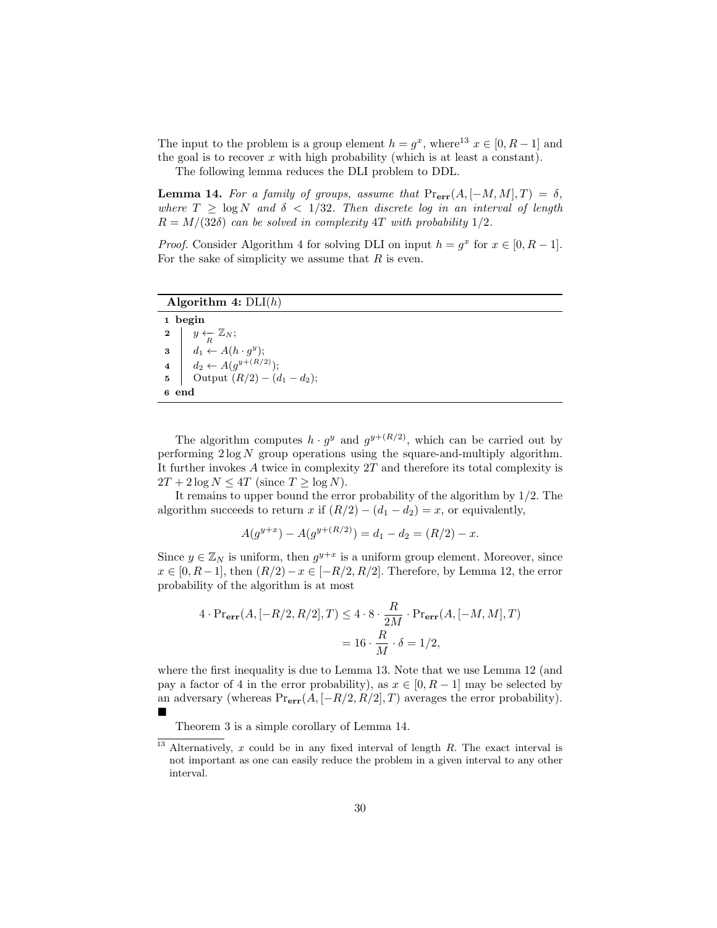The input to the problem is a group element  $h = g^x$ , where<sup>13</sup>  $x \in [0, R-1]$  and the goal is to recover x with high probability (which is at least a constant).

The following lemma reduces the DLI problem to DDL.

**Lemma 14.** For a family of groups, assume that  $Pr_{err}(A, [-M, M], T) = \delta$ , where  $T \geq \log N$  and  $\delta < 1/32$ . Then discrete log in an interval of length  $R = M/(32\delta)$  can be solved in complexity 4T with probability 1/2.

*Proof.* Consider Algorithm 4 for solving DLI on input  $h = g^x$  for  $x \in [0, R-1]$ . For the sake of simplicity we assume that  $R$  is even.

| Algorithm 4: $DLI(h)$ |                                                                                                                                                            |  |  |  |
|-----------------------|------------------------------------------------------------------------------------------------------------------------------------------------------------|--|--|--|
| 1 begin               |                                                                                                                                                            |  |  |  |
|                       | 2 $y \leftarrow \mathbb{Z}_N;$                                                                                                                             |  |  |  |
|                       | 3<br>$\begin{array}{c c} & A & A(h \cdot g^y); \\ \hline 4 & d_2 \leftarrow A(g^{y+(R/2)}); \\ \hline 5 & \text{Output } (R/2) - (d_1 - d_2); \end{array}$ |  |  |  |
|                       |                                                                                                                                                            |  |  |  |
|                       |                                                                                                                                                            |  |  |  |
| 6 end                 |                                                                                                                                                            |  |  |  |

The algorithm computes  $h \cdot g^y$  and  $g^{y+(R/2)}$ , which can be carried out by performing  $2 \log N$  group operations using the square-and-multiply algorithm. It further invokes  $A$  twice in complexity  $2T$  and therefore its total complexity is  $2T + 2 \log N \leq 4T$  (since  $T \geq \log N$ ).

It remains to upper bound the error probability of the algorithm by 1/2. The algorithm succeeds to return x if  $(R/2) - (d_1 - d_2) = x$ , or equivalently,

$$
A(g^{y+x}) - A(g^{y+(R/2)}) = d_1 - d_2 = (R/2) - x.
$$

Since  $y \in \mathbb{Z}_N$  is uniform, then  $g^{y+x}$  is a uniform group element. Moreover, since  $x \in [0, R-1]$ , then  $(R/2) - x \in [-R/2, R/2]$ . Therefore, by Lemma 12, the error probability of the algorithm is at most

$$
4 \cdot \operatorname{Pr}_{\text{err}}(A, [-R/2, R/2], T) \le 4 \cdot 8 \cdot \frac{R}{2M} \cdot \operatorname{Pr}_{\text{err}}(A, [-M, M], T)
$$

$$
= 16 \cdot \frac{R}{M} \cdot \delta = 1/2,
$$

where the first inequality is due to Lemma 13. Note that we use Lemma 12 (and pay a factor of 4 in the error probability), as  $x \in [0, R-1]$  may be selected by an adversary (whereas  $Pr_{err}(A, [-R/2, R/2], T)$  averages the error probability). п

Theorem 3 is a simple corollary of Lemma 14.

 $13$  Alternatively, x could be in any fixed interval of length R. The exact interval is not important as one can easily reduce the problem in a given interval to any other interval.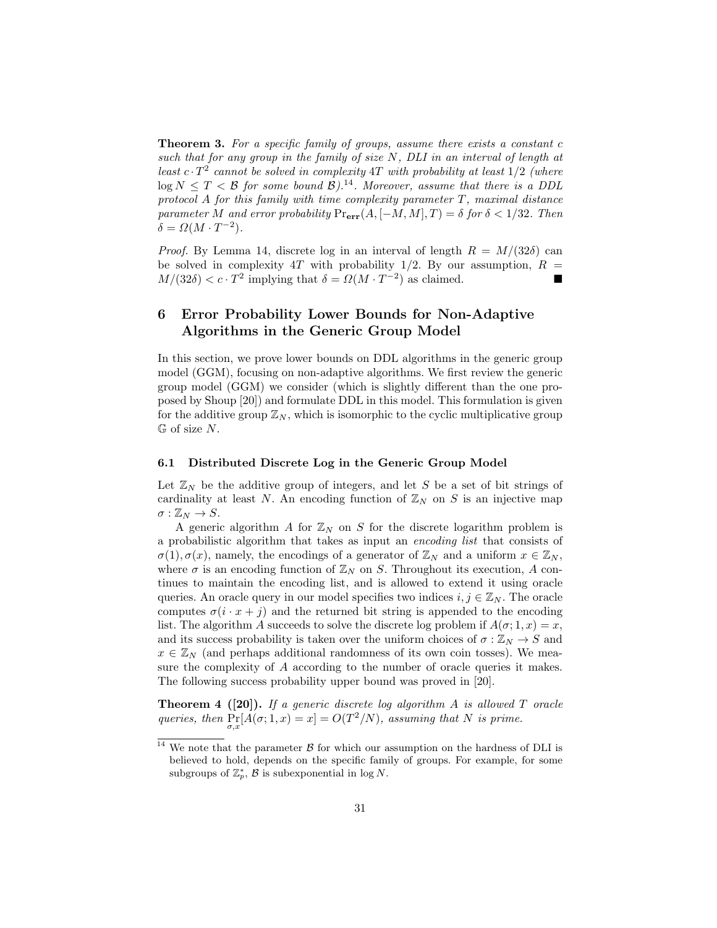Theorem 3. For a specific family of groups, assume there exists a constant c such that for any group in the family of size N, DLI in an interval of length at least  $c \cdot T^2$  cannot be solved in complexity  $4T$  with probability at least  $1/2$  (where  $\log N \leq T <$  B for some bound B).<sup>14</sup>. Moreover, assume that there is a DDL protocol  $A$  for this family with time complexity parameter  $T$ , maximal distance parameter M and error probability  $Pr_{err}(A, [-M, M], T) = \delta$  for  $\delta < 1/32$ . Then  $\delta = \Omega(M \cdot T^{-2}).$ 

*Proof.* By Lemma 14, discrete log in an interval of length  $R = M/(32\delta)$  can be solved in complexity 4T with probability 1/2. By our assumption,  $R =$  $M/(32\delta) < c \cdot T^2$  implying that  $\delta = \Omega(M \cdot T^{-2})$  as claimed.

# 6 Error Probability Lower Bounds for Non-Adaptive Algorithms in the Generic Group Model

In this section, we prove lower bounds on DDL algorithms in the generic group model (GGM), focusing on non-adaptive algorithms. We first review the generic group model (GGM) we consider (which is slightly different than the one proposed by Shoup [20]) and formulate DDL in this model. This formulation is given for the additive group  $\mathbb{Z}_N$ , which is isomorphic to the cyclic multiplicative group  $\mathbb G$  of size N.

#### 6.1 Distributed Discrete Log in the Generic Group Model

Let  $\mathbb{Z}_N$  be the additive group of integers, and let S be a set of bit strings of cardinality at least N. An encoding function of  $\mathbb{Z}_N$  on S is an injective map  $\sigma : \mathbb{Z}_N \to S.$ 

A generic algorithm A for  $\mathbb{Z}_N$  on S for the discrete logarithm problem is a probabilistic algorithm that takes as input an encoding list that consists of  $\sigma(1), \sigma(x)$ , namely, the encodings of a generator of  $\mathbb{Z}_N$  and a uniform  $x \in \mathbb{Z}_N$ , where  $\sigma$  is an encoding function of  $\mathbb{Z}_N$  on S. Throughout its execution, A continues to maintain the encoding list, and is allowed to extend it using oracle queries. An oracle query in our model specifies two indices  $i, j \in \mathbb{Z}_N$ . The oracle computes  $\sigma(i \cdot x + j)$  and the returned bit string is appended to the encoding list. The algorithm A succeeds to solve the discrete log problem if  $A(\sigma; 1, x) = x$ , and its success probability is taken over the uniform choices of  $\sigma : \mathbb{Z}_N \to S$  and  $x \in \mathbb{Z}_N$  (and perhaps additional randomness of its own coin tosses). We measure the complexity of A according to the number of oracle queries it makes. The following success probability upper bound was proved in [20].

**Theorem 4 ([20]).** If a generic discrete log algorithm A is allowed T oracle queries, then  $Pr_{\sigma,x}[A(\sigma;1,x) = x] = O(T^2/N)$ , assuming that N is prime.

 $14$  We note that the parameter  $\beta$  for which our assumption on the hardness of DLI is believed to hold, depends on the specific family of groups. For example, for some subgroups of  $\mathbb{Z}_p^*$ ,  $\mathcal B$  is subexponential in log N.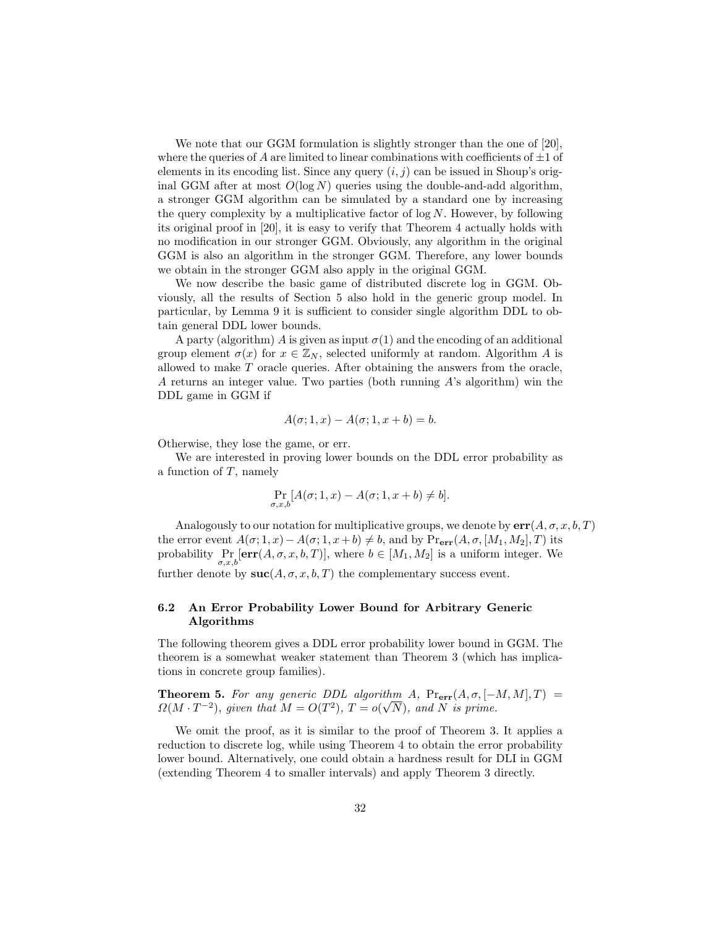We note that our GGM formulation is slightly stronger than the one of [20], where the queries of A are limited to linear combinations with coefficients of  $\pm 1$  of elements in its encoding list. Since any query  $(i, j)$  can be issued in Shoup's original GGM after at most  $O(\log N)$  queries using the double-and-add algorithm, a stronger GGM algorithm can be simulated by a standard one by increasing the query complexity by a multiplicative factor of  $\log N$ . However, by following its original proof in [20], it is easy to verify that Theorem 4 actually holds with no modification in our stronger GGM. Obviously, any algorithm in the original GGM is also an algorithm in the stronger GGM. Therefore, any lower bounds we obtain in the stronger GGM also apply in the original GGM.

We now describe the basic game of distributed discrete log in GGM. Obviously, all the results of Section 5 also hold in the generic group model. In particular, by Lemma 9 it is sufficient to consider single algorithm DDL to obtain general DDL lower bounds.

A party (algorithm) A is given as input  $\sigma(1)$  and the encoding of an additional group element  $\sigma(x)$  for  $x \in \mathbb{Z}_N$ , selected uniformly at random. Algorithm A is allowed to make T oracle queries. After obtaining the answers from the oracle, A returns an integer value. Two parties (both running A's algorithm) win the DDL game in GGM if

$$
A(\sigma; 1, x) - A(\sigma; 1, x + b) = b.
$$

Otherwise, they lose the game, or err.

We are interested in proving lower bounds on the DDL error probability as a function of  $T$ , namely

$$
\Pr_{\sigma,x,b}[A(\sigma;1,x)-A(\sigma;1,x+b)\neq b].
$$

Analogously to our notation for multiplicative groups, we denote by  $err(A, \sigma, x, b, T)$ the error event  $A(\sigma; 1, x) - A(\sigma; 1, x+b) \neq b$ , and by  $Pr_{err}(A, \sigma, [M_1, M_2], T)$  its probability  $Pr_{\sigma,x,b}[\textbf{err}(A,\sigma,x,b,T)]$ , where  $b \in [M_1, M_2]$  is a uniform integer. We further denote by  $succ(A, \sigma, x, b, T)$  the complementary success event.

# 6.2 An Error Probability Lower Bound for Arbitrary Generic Algorithms

The following theorem gives a DDL error probability lower bound in GGM. The theorem is a somewhat weaker statement than Theorem 3 (which has implications in concrete group families).

**Theorem 5.** For any generic DDL algorithm A,  $Pr_{err}(A, \sigma, [-M, M], T) =$  $\Omega(M \cdot T^{-2})$ , given that  $M = O(T^2)$ ,  $T = o(\sqrt{N})$ , and N is prime.

We omit the proof, as it is similar to the proof of Theorem 3. It applies a reduction to discrete log, while using Theorem 4 to obtain the error probability lower bound. Alternatively, one could obtain a hardness result for DLI in GGM (extending Theorem 4 to smaller intervals) and apply Theorem 3 directly.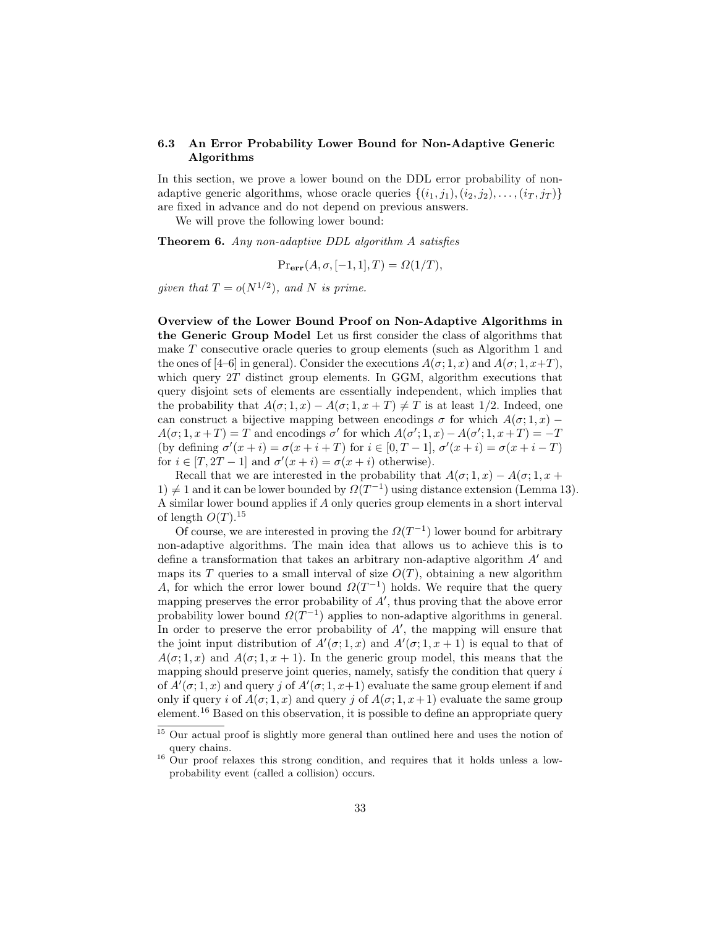# 6.3 An Error Probability Lower Bound for Non-Adaptive Generic Algorithms

In this section, we prove a lower bound on the DDL error probability of nonadaptive generic algorithms, whose oracle queries  $\{(i_1, j_1), (i_2, j_2), \ldots, (i_T, j_T)\}\$ are fixed in advance and do not depend on previous answers.

We will prove the following lower bound:

Theorem 6. Any non-adaptive DDL algorithm A satisfies

$$
\Pr_{\mathbf{err}}(A, \sigma, [-1, 1], T) = \Omega(1/T),
$$

given that  $T = o(N^{1/2})$ , and N is prime.

Overview of the Lower Bound Proof on Non-Adaptive Algorithms in the Generic Group Model Let us first consider the class of algorithms that make T consecutive oracle queries to group elements (such as Algorithm 1 and the ones of [4–6] in general). Consider the executions  $A(\sigma; 1, x)$  and  $A(\sigma; 1, x+T)$ , which query  $2T$  distinct group elements. In GGM, algorithm executions that query disjoint sets of elements are essentially independent, which implies that the probability that  $A(\sigma; 1, x) - A(\sigma; 1, x + T) \neq T$  is at least 1/2. Indeed, one can construct a bijective mapping between encodings  $\sigma$  for which  $A(\sigma; 1, x)$  −  $A(\sigma; 1, x+T) = T$  and encodings  $\sigma'$  for which  $A(\sigma'; 1, x) - A(\sigma'; 1, x+T) = -T$ (by defining  $\sigma'(x+i) = \sigma(x+i+T)$  for  $i \in [0, T-1]$ ,  $\sigma'(x+i) = \sigma(x+i-T)$ for  $i \in [T, 2T - 1]$  and  $\sigma'(x + i) = \sigma(x + i)$  otherwise).

Recall that we are interested in the probability that  $A(\sigma; 1, x) - A(\sigma; 1, x +$ 1)  $\neq$  1 and it can be lower bounded by  $\Omega(T^{-1})$  using distance extension (Lemma 13). A similar lower bound applies if A only queries group elements in a short interval of length  $O(T)$ .<sup>15</sup>

Of course, we are interested in proving the  $\Omega(T^{-1})$  lower bound for arbitrary non-adaptive algorithms. The main idea that allows us to achieve this is to define a transformation that takes an arbitrary non-adaptive algorithm  $A'$  and maps its  $T$  queries to a small interval of size  $O(T)$ , obtaining a new algorithm A, for which the error lower bound  $\Omega(T^{-1})$  holds. We require that the query mapping preserves the error probability of  $A'$ , thus proving that the above error probability lower bound  $\Omega(T^{-1})$  applies to non-adaptive algorithms in general. In order to preserve the error probability of  $A'$ , the mapping will ensure that the joint input distribution of  $A'(\sigma; 1, x)$  and  $A'(\sigma; 1, x + 1)$  is equal to that of  $A(\sigma; 1, x)$  and  $A(\sigma; 1, x + 1)$ . In the generic group model, this means that the mapping should preserve joint queries, namely, satisfy the condition that query  $i$ of  $A'(\sigma; 1, x)$  and query j of  $A'(\sigma; 1, x+1)$  evaluate the same group element if and only if query i of  $A(\sigma; 1, x)$  and query j of  $A(\sigma; 1, x+1)$  evaluate the same group element.<sup>16</sup> Based on this observation, it is possible to define an appropriate query

 $\frac{15}{15}$  Our actual proof is slightly more general than outlined here and uses the notion of query chains.

<sup>&</sup>lt;sup>16</sup> Our proof relaxes this strong condition, and requires that it holds unless a lowprobability event (called a collision) occurs.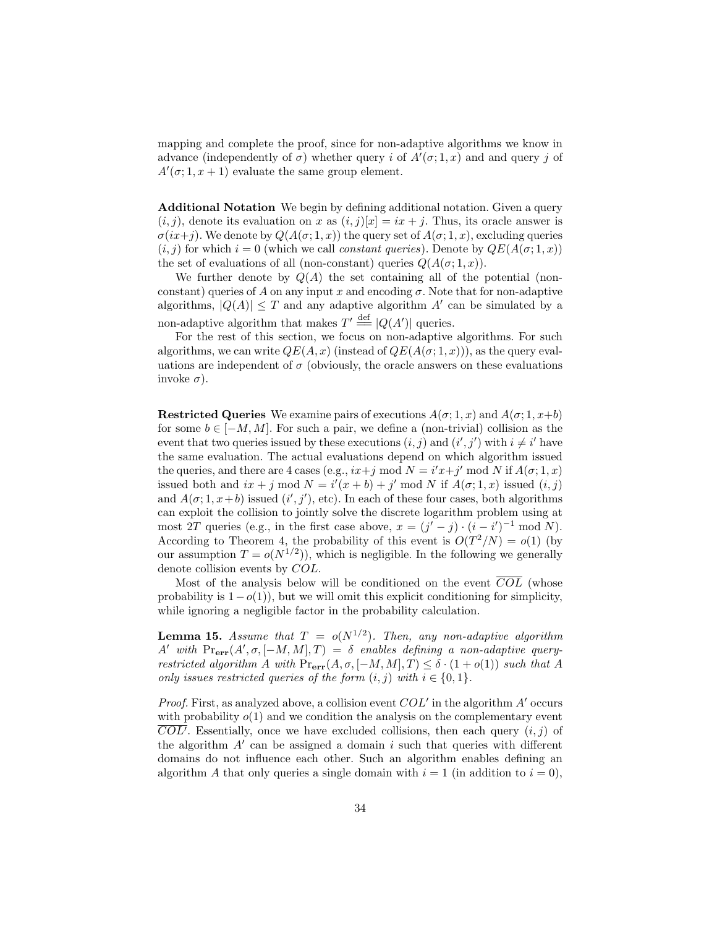mapping and complete the proof, since for non-adaptive algorithms we know in advance (independently of  $\sigma$ ) whether query i of  $A'(\sigma; 1, x)$  and and query j of  $A'(\sigma; 1, x+1)$  evaluate the same group element.

Additional Notation We begin by defining additional notation. Given a query  $(i, j)$ , denote its evaluation on x as  $(i, j)[x] = ix + j$ . Thus, its oracle answer is  $\sigma(ix+j)$ . We denote by  $Q(A(\sigma; 1, x))$  the query set of  $A(\sigma; 1, x)$ , excluding queries  $(i, j)$  for which  $i = 0$  (which we call *constant queries*). Denote by  $QE(A(\sigma; 1, x))$ the set of evaluations of all (non-constant) queries  $Q(A(\sigma; 1, x))$ .

We further denote by  $Q(A)$  the set containing all of the potential (nonconstant) queries of A on any input x and encoding  $\sigma$ . Note that for non-adaptive algorithms,  $|Q(A)| \leq T$  and any adaptive algorithm A' can be simulated by a non-adaptive algorithm that makes  $T' \stackrel{\text{def}}{=} |Q(A')|$  queries.

For the rest of this section, we focus on non-adaptive algorithms. For such algorithms, we can write  $QE(A, x)$  (instead of  $QE(A(\sigma; 1, x))$ ), as the query evaluations are independent of  $\sigma$  (obviously, the oracle answers on these evaluations invoke  $\sigma$ ).

**Restricted Queries** We examine pairs of executions  $A(\sigma; 1, x)$  and  $A(\sigma; 1, x+b)$ for some  $b \in [-M, M]$ . For such a pair, we define a (non-trivial) collision as the event that two queries issued by these executions  $(i, j)$  and  $(i', j')$  with  $i \neq i'$  have the same evaluation. The actual evaluations depend on which algorithm issued the queries, and there are 4 cases (e.g.,  $ix+j \mod N = i'x+j' \mod N$  if  $A(\sigma; 1, x)$ ) issued both and  $ix + j \mod N = i'(x + b) + j' \mod N$  if  $A(\sigma; 1, x)$  issued  $(i, j)$ and  $A(\sigma; 1, x+b)$  issued  $(i', j')$ , etc). In each of these four cases, both algorithms can exploit the collision to jointly solve the discrete logarithm problem using at most 2T queries (e.g., in the first case above,  $x = (j' - j) \cdot (i - i')^{-1} \mod N$ ). According to Theorem 4, the probability of this event is  $O(T^2/N) = o(1)$  (by our assumption  $T = o(N^{1/2})$ , which is negligible. In the following we generally denote collision events by COL.

Most of the analysis below will be conditioned on the event  $\overline{COL}$  (whose probability is  $1-o(1)$ , but we will omit this explicit conditioning for simplicity, while ignoring a negligible factor in the probability calculation.

**Lemma 15.** Assume that  $T = o(N^{1/2})$ . Then, any non-adaptive algorithm A' with  $Pr_{err}(A', \sigma, [-M, M], T) = \delta$  enables defining a non-adaptive queryrestricted algorithm A with  $Pr_{err}(A, \sigma, [-M, M], T) \leq \delta \cdot (1 + o(1))$  such that A only issues restricted queries of the form  $(i, j)$  with  $i \in \{0, 1\}$ .

Proof. First, as analyzed above, a collision event  $COL'$  in the algorithm  $A'$  occurs with probability  $o(1)$  and we condition the analysis on the complementary event  $\overline{COL'}$ . Essentially, once we have excluded collisions, then each query  $(i, j)$  of the algorithm  $A'$  can be assigned a domain i such that queries with different domains do not influence each other. Such an algorithm enables defining an algorithm A that only queries a single domain with  $i = 1$  (in addition to  $i = 0$ ),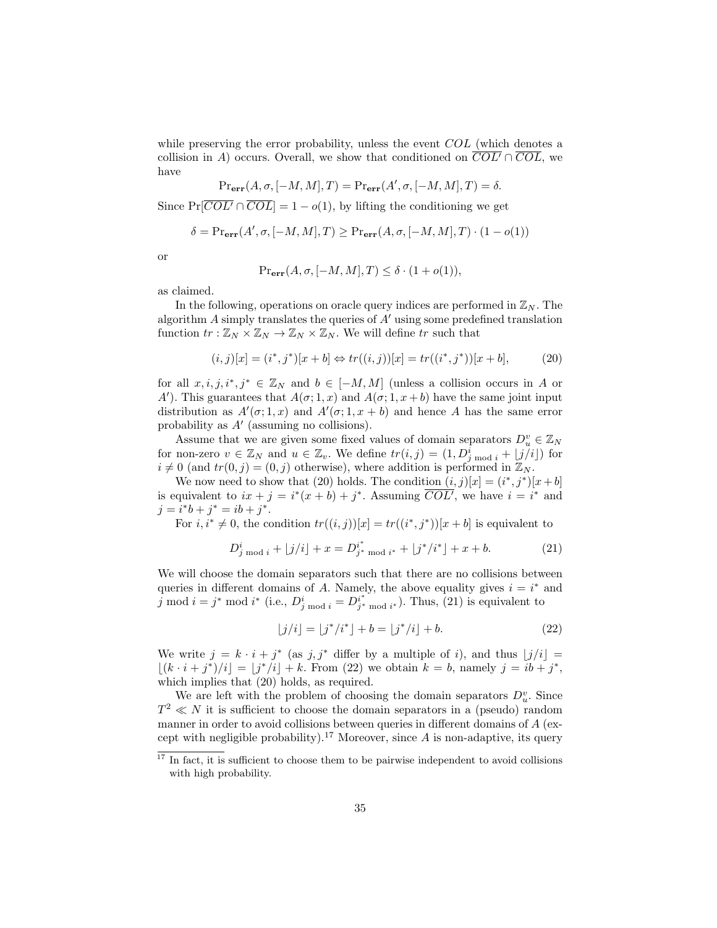while preserving the error probability, unless the event  $COL$  (which denotes a collision in A) occurs. Overall, we show that conditioned on  $COL \cap COL$ , we have

$$
\mathrm{Pr}_{\mathbf{err}}(A, \sigma, [-M, M], T) = \mathrm{Pr}_{\mathbf{err}}(A', \sigma, [-M, M], T) = \delta.
$$

Since  $Pr[\overline{COL'} \cap \overline{COL}] = 1 - o(1)$ , by lifting the conditioning we get

$$
\delta = \mathrm{Pr}_{\mathbf{err}}(A', \sigma, [-M, M], T) \ge \mathrm{Pr}_{\mathbf{err}}(A, \sigma, [-M, M], T) \cdot (1 - o(1))
$$

or

$$
\Pr_{\mathbf{err}}(A, \sigma, [-M, M], T) \le \delta \cdot (1 + o(1)),
$$

as claimed.

In the following, operations on oracle query indices are performed in  $\mathbb{Z}_N$ . The algorithm  $A$  simply translates the queries of  $A'$  using some predefined translation function  $tr : \mathbb{Z}_N \times \mathbb{Z}_N \to \mathbb{Z}_N \times \mathbb{Z}_N$ . We will define tr such that

$$
(i,j)[x] = (i^*,j^*)[x+b] \Leftrightarrow tr((i,j))[x] = tr((i^*,j^*))[x+b], \tag{20}
$$

for all  $x, i, j, i^*, j^* \in \mathbb{Z}_N$  and  $b \in [-M, M]$  (unless a collision occurs in A or A'). This guarantees that  $A(\sigma; 1, x)$  and  $A(\sigma; 1, x + b)$  have the same joint input distribution as  $A'(\sigma; 1, x)$  and  $A'(\sigma; 1, x + b)$  and hence A has the same error probability as  $A'$  (assuming no collisions).

Assume that we are given some fixed values of domain separators  $D_u^v \in \mathbb{Z}_N$ for non-zero  $v \in \mathbb{Z}_N$  and  $u \in \mathbb{Z}_v$ . We define  $tr(i, j) = (1, D^i_{j \text{ mod } i} + \lfloor j/i \rfloor)$  for  $i \neq 0$  (and  $tr(0, j) = (0, j)$  otherwise), where addition is performed in  $\mathbb{Z}_N$ .

We now need to show that (20) holds. The condition  $(i, j)[x] = (i^*, j^*)[x + b]$ is equivalent to  $ix + j = i^*(x + b) + j^*$ . Assuming  $\overline{COL'}$ , we have  $i = i^*$  and  $j = i^*b + j^* = ib + j^*.$ 

For  $i, i^* \neq 0$ , the condition  $tr((i, j))[x] = tr((i^*, j^*))[x + b]$  is equivalent to

$$
D_{j \text{ mod } i}^{i} + \lfloor j/i \rfloor + x = D_{j^{*} \text{ mod } i^{*}}^{i^{*}} + \lfloor j^{*}/i^{*} \rfloor + x + b.
$$
 (21)

We will choose the domain separators such that there are no collisions between queries in different domains of A. Namely, the above equality gives  $i = i^*$  and j mod  $i = j^* \mod i^*$  (i.e.,  $D^i_{j \mod i} = D^{i^*}_{j^* \mod i^*}$ ). Thus, (21) is equivalent to

$$
\lfloor j/i \rfloor = \lfloor j^*/i^* \rfloor + b = \lfloor j^*/i \rfloor + b. \tag{22}
$$

We write  $j = k \cdot i + j^*$  (as  $j, j^*$  differ by a multiple of i), and thus  $|j/i|$  =  $|(k \cdot i + j^*)/i| = |j^*/i| + k$ . From (22) we obtain  $k = b$ , namely  $j = ib + j^*$ , which implies that (20) holds, as required.

We are left with the problem of choosing the domain separators  $D_u^v$ . Since  $T^2 \ll N$  it is sufficient to choose the domain separators in a (pseudo) random manner in order to avoid collisions between queries in different domains of A (except with negligible probability).<sup>17</sup> Moreover, since  $A$  is non-adaptive, its query

 $17$  In fact, it is sufficient to choose them to be pairwise independent to avoid collisions with high probability.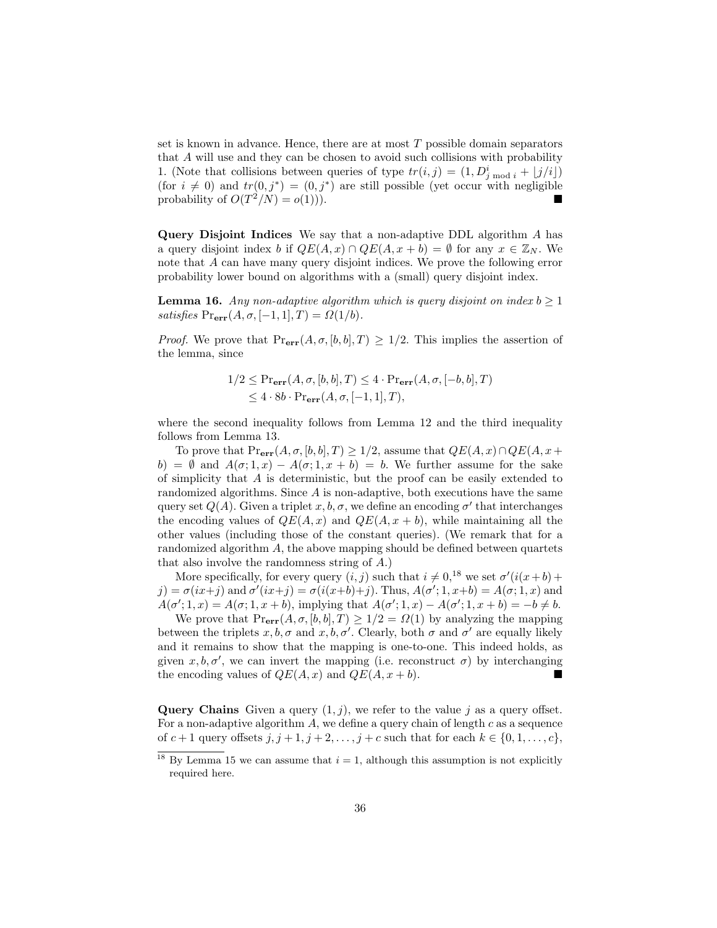set is known in advance. Hence, there are at most T possible domain separators that A will use and they can be chosen to avoid such collisions with probability 1. (Note that collisions between queries of type  $tr(i, j) = (1, D^i_{j \text{ mod } i} + \lfloor j/i \rfloor)$ (for  $i \neq 0$ ) and  $tr(0, j^*) = (0, j^*)$  are still possible (yet occur with negligible probability of  $O(T^2/N) = o(1)$ ).

Query Disjoint Indices We say that a non-adaptive DDL algorithm A has a query disjoint index b if  $QE(A, x) \cap QE(A, x + b) = \emptyset$  for any  $x \in \mathbb{Z}_N$ . We note that A can have many query disjoint indices. We prove the following error probability lower bound on algorithms with a (small) query disjoint index.

**Lemma 16.** Any non-adaptive algorithm which is query disjoint on index  $b \ge 1$ satisfies  $Pr_{err}(A, \sigma, [-1, 1], T) = \Omega(1/b).$ 

*Proof.* We prove that  $Pr_{err}(A, \sigma, [b, b], T) \geq 1/2$ . This implies the assertion of the lemma, since

$$
1/2 \leq \Pr_{\text{err}}(A, \sigma, [b, b], T) \leq 4 \cdot \Pr_{\text{err}}(A, \sigma, [-b, b], T)
$$
  

$$
\leq 4 \cdot 8b \cdot \Pr_{\text{err}}(A, \sigma, [-1, 1], T),
$$

where the second inequality follows from Lemma 12 and the third inequality follows from Lemma 13.

To prove that  $Pr_{err}(A, \sigma, [b, b], T) \geq 1/2$ , assume that  $QE(A, x) \cap QE(A, x+)$ b) = Ø and  $A(\sigma; 1, x) - A(\sigma; 1, x + b) = b$ . We further assume for the sake of simplicity that A is deterministic, but the proof can be easily extended to randomized algorithms. Since  $A$  is non-adaptive, both executions have the same query set  $Q(A)$ . Given a triplet  $x, b, \sigma$ , we define an encoding  $\sigma'$  that interchanges the encoding values of  $QE(A, x)$  and  $QE(A, x + b)$ , while maintaining all the other values (including those of the constant queries). (We remark that for a randomized algorithm A, the above mapping should be defined between quartets that also involve the randomness string of A.)

More specifically, for every query  $(i, j)$  such that  $i \neq 0,18$  we set  $\sigma'(i(x+b) +$  $j$ ) =  $\sigma(i x+j)$  and  $\sigma'(i x+j) = \sigma(i(x+b)+j)$ . Thus,  $A(\sigma'; 1, x+b) = A(\sigma; 1, x)$  and  $A(\sigma'; 1, x) = A(\sigma; 1, x + b)$ , implying that  $A(\sigma'; 1, x) - A(\sigma'; 1, x + b) = -b \neq b$ .

We prove that  $Pr_{err}(A, \sigma, [b, b], T) \ge 1/2 = \Omega(1)$  by analyzing the mapping between the triplets  $x, b, \sigma$  and  $x, b, \sigma'$ . Clearly, both  $\sigma$  and  $\sigma'$  are equally likely and it remains to show that the mapping is one-to-one. This indeed holds, as given  $x, b, \sigma'$ , we can invert the mapping (i.e. reconstruct  $\sigma$ ) by interchanging the encoding values of  $QE(A, x)$  and  $QE(A, x + b)$ .

Query Chains Given a query  $(1, j)$ , we refer to the value j as a query offset. For a non-adaptive algorithm  $A$ , we define a query chain of length c as a sequence of  $c+1$  query offsets  $j, j+1, j+2, \ldots, j+c$  such that for each  $k \in \{0, 1, \ldots, c\}$ ,

<sup>&</sup>lt;sup>18</sup> By Lemma 15 we can assume that  $i = 1$ , although this assumption is not explicitly required here.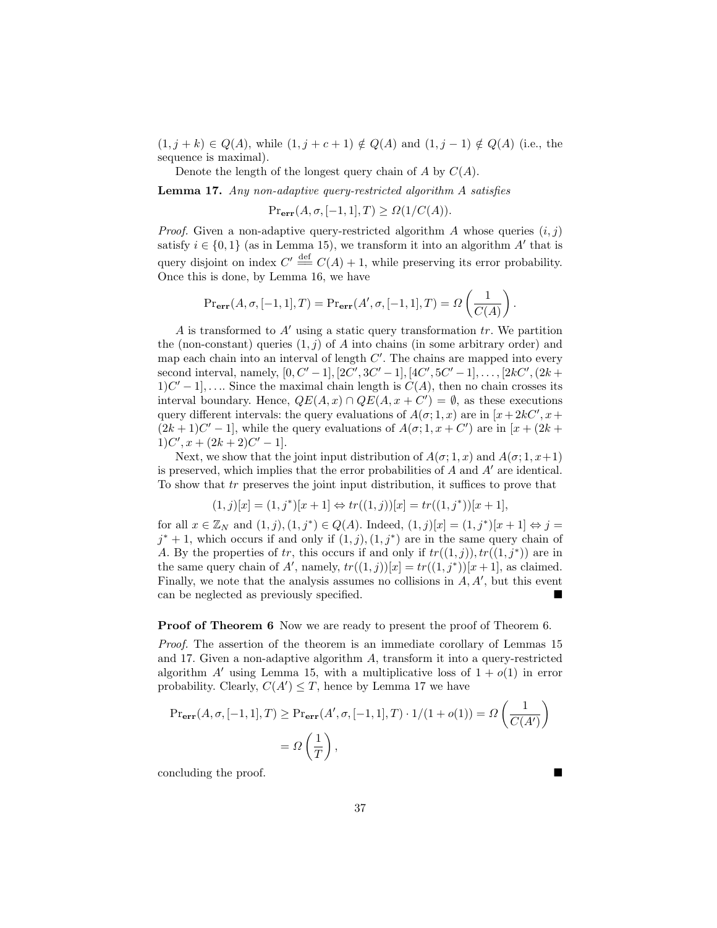$(1, j + k) \in Q(A)$ , while  $(1, j + c + 1) \notin Q(A)$  and  $(1, j - 1) \notin Q(A)$  (i.e., the sequence is maximal).

Denote the length of the longest query chain of  $A$  by  $C(A)$ .

Lemma 17. Any non-adaptive query-restricted algorithm A satisfies

 $Pr_{\text{err}}(A, \sigma, [-1, 1], T) \geq \Omega(1/C(A)).$ 

*Proof.* Given a non-adaptive query-restricted algorithm A whose queries  $(i, j)$ satisfy  $i \in \{0,1\}$  (as in Lemma 15), we transform it into an algorithm A' that is query disjoint on index  $C' \stackrel{\text{def}}{=} C(A) + 1$ , while preserving its error probability. Once this is done, by Lemma 16, we have

$$
\mathrm{Pr}_{\mathbf{err}}(A, \sigma, [-1, 1], T) = \mathrm{Pr}_{\mathbf{err}}(A', \sigma, [-1, 1], T) = \Omega\left(\frac{1}{C(A)}\right).
$$

A is transformed to A' using a static query transformation tr. We partition the (non-constant) queries  $(1, j)$  of A into chains (in some arbitrary order) and map each chain into an interval of length  $C'$ . The chains are mapped into every second interval, namely,  $[0, C' - 1]$ ,  $[2C', 3C' - 1]$ ,  $[4C', 5C' - 1]$ , ...,  $[2kC', (2k +$  $1)C' - 1$ ,.... Since the maximal chain length is  $C(A)$ , then no chain crosses its interval boundary. Hence,  $QE(A, x) \cap QE(A, x + C') = \emptyset$ , as these executions query different intervals: the query evaluations of  $A(\sigma; 1, x)$  are in  $[x + 2kC', x +$  $(2k+1)C'-1$ , while the query evaluations of  $A(\sigma; 1, x+C')$  are in  $[x+(2k+1)C'-1]$  $1)C', x + (2k+2)C' - 1$ .

Next, we show that the joint input distribution of  $A(\sigma; 1, x)$  and  $A(\sigma; 1, x+1)$ is preserved, which implies that the error probabilities of  $A$  and  $A'$  are identical. To show that tr preserves the joint input distribution, it suffices to prove that

$$
(1,j)[x] = (1,j^*)[x+1] \Leftrightarrow tr((1,j))[x] = tr((1,j^*))[x+1],
$$

for all  $x \in \mathbb{Z}_N$  and  $(1, j), (1, j^*) \in Q(A)$ . Indeed,  $(1, j)[x] = (1, j^*)[x + 1] \Leftrightarrow j =$  $j^* + 1$ , which occurs if and only if  $(1, j), (1, j^*)$  are in the same query chain of A. By the properties of tr, this occurs if and only if  $tr((1, j))$ ,  $tr((1, j^*))$  are in the same query chain of A', namely,  $tr((1, j))[x] = tr((1, j^*))[x + 1]$ , as claimed. Finally, we note that the analysis assumes no collisions in  $A, A'$ , but this event can be neglected as previously specified.

Proof of Theorem 6 Now we are ready to present the proof of Theorem 6.

Proof. The assertion of the theorem is an immediate corollary of Lemmas 15 and 17. Given a non-adaptive algorithm A, transform it into a query-restricted algorithm A' using Lemma 15, with a multiplicative loss of  $1 + o(1)$  in error probability. Clearly,  $C(A') \leq T$ , hence by Lemma 17 we have

$$
\begin{aligned} \Pr_{\text{err}}(A, \sigma, [-1, 1], T) &\ge \Pr_{\text{err}}(A', \sigma, [-1, 1], T) \cdot 1/(1 + o(1)) = \Omega \left( \frac{1}{C(A')} \right) \\ &= \Omega \left( \frac{1}{T} \right), \end{aligned}
$$

concluding the proof.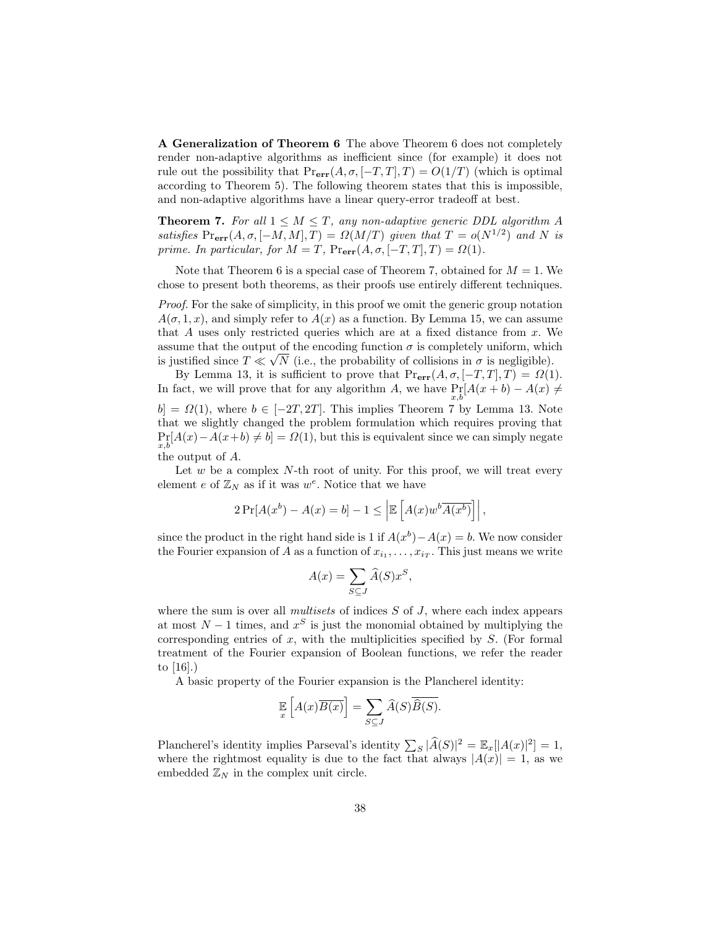A Generalization of Theorem 6 The above Theorem 6 does not completely render non-adaptive algorithms as inefficient since (for example) it does not rule out the possibility that  $Pr_{err}(A, \sigma, [-T, T], T) = O(1/T)$  (which is optimal according to Theorem 5). The following theorem states that this is impossible, and non-adaptive algorithms have a linear query-error tradeoff at best.

**Theorem 7.** For all  $1 \leq M \leq T$ , any non-adaptive generic DDL algorithm A satisfies  $Pr_{err}(A, \sigma, [-M, M], T) = \Omega(M/T)$  given that  $T = o(N^{1/2})$  and N is prime. In particular, for  $M = T$ ,  $Pr_{err}(A, \sigma, [-T, T], T) = \Omega(1)$ .

Note that Theorem 6 is a special case of Theorem 7, obtained for  $M = 1$ . We chose to present both theorems, as their proofs use entirely different techniques.

Proof. For the sake of simplicity, in this proof we omit the generic group notation  $A(\sigma, 1, x)$ , and simply refer to  $A(x)$  as a function. By Lemma 15, we can assume that A uses only restricted queries which are at a fixed distance from  $x$ . We assume that the output of the encoding function  $\sigma$  is completely uniform, which is justified since  $T \ll \sqrt{N}$  (i.e., the probability of collisions in  $\sigma$  is negligible).

By Lemma 13, it is sufficient to prove that  $Pr_{err}(A, \sigma, [-T, T], T) = \Omega(1)$ . In fact, we will prove that for any algorithm A, we have  $\Pr_{x,b}[A(x+b) - A(x) \neq$  $b = \Omega(1)$ , where  $b \in [-2T, 2T]$ . This implies Theorem 7 by Lemma 13. Note that we slightly changed the problem formulation which requires proving that  $Pr_{x,b}[A(x)-A(x+b) \neq b] = \Omega(1)$ , but this is equivalent since we can simply negate the output of A.

Let  $w$  be a complex  $N$ -th root of unity. For this proof, we will treat every element e of  $\mathbb{Z}_N$  as if it was  $w^e$ . Notice that we have

$$
2\Pr[A(x^{b}) - A(x) = b] - 1 \leq \left| \mathbb{E}\left[A(x)w^{b}\overline{A(x^{b})} \right] \right|,
$$

since the product in the right hand side is 1 if  $A(x^b) - A(x) = b$ . We now consider the Fourier expansion of A as a function of  $x_{i_1}, \ldots, x_{i_T}$ . This just means we write

$$
A(x) = \sum_{S \subseteq J} \widehat{A}(S) x^S,
$$

where the sum is over all *multisets* of indices  $S$  of  $J$ , where each index appears at most  $N-1$  times, and  $x^S$  is just the monomial obtained by multiplying the corresponding entries of  $x$ , with the multiplicities specified by  $S$ . (For formal treatment of the Fourier expansion of Boolean functions, we refer the reader to [16].)

A basic property of the Fourier expansion is the Plancherel identity:

$$
\mathop{\mathbb{E}}_{x}\left[A(x)\overline{B(x)}\right] = \sum_{S \subseteq J} \widehat{A}(S)\overline{\widehat{B}(S)}.
$$

Plancherel's identity implies Parseval's identity  $\sum_{S} |\widehat{A}(S)|^2 = \mathbb{E}_x[|A(x)|^2] = 1$ , where the rightmost equality is due to the fact that always  $|A(x)| = 1$ , as we embedded  $\mathbb{Z}_N$  in the complex unit circle.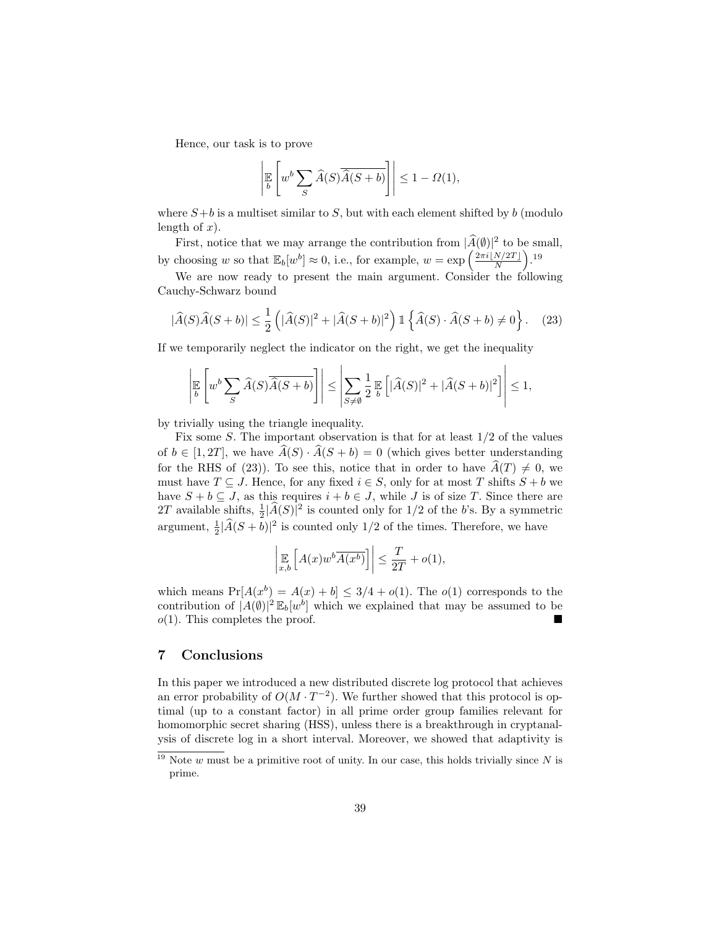Hence, our task is to prove

$$
\left| \mathbb{E}\left[ w^b \sum_{S} \widehat{A}(S) \overline{\widehat{A}(S+b)} \right] \right| \le 1 - \Omega(1),
$$

where  $S+b$  is a multiset similar to S, but with each element shifted by b (modulo length of  $x$ ).

First, notice that we may arrange the contribution from  $|\hat{A}(\emptyset)|^2$  to be small, by choosing w so that  $\mathbb{E}_b[w^b] \approx 0$ , i.e., for example,  $w = \exp\left(\frac{2\pi i \lfloor N/2T \rfloor}{N}\right)$  $\frac{N/2T\rfloor}{N}$ ). 19

We are now ready to present the main argument. Consider the following Cauchy-Schwarz bound

$$
|\widehat{A}(S)\widehat{A}(S+b)| \le \frac{1}{2}\left(|\widehat{A}(S)|^2 + |\widehat{A}(S+b)|^2\right) \mathbb{1}\left\{\widehat{A}(S)\cdot\widehat{A}(S+b)\neq 0\right\}.
$$
 (23)

If we temporarily neglect the indicator on the right, we get the inequality

$$
\left|\mathop{\mathbb{E}}_{b}\left[w^{b}\sum_{S}\widehat{A}(S)\overline{\widehat{A}(S+b)}\right]\right|\leq\left|\sum_{S\neq\emptyset}\frac{1}{2}\mathop{\mathbb{E}}_{b}\left[|\widehat{A}(S)|^{2}+|\widehat{A}(S+b)|^{2}\right]\right|\leq1,
$$

by trivially using the triangle inequality.

Fix some S. The important observation is that for at least  $1/2$  of the values of  $b \in [1, 2T]$ , we have  $\widehat{A}(S) \cdot \widehat{A}(S + b) = 0$  (which gives better understanding for the RHS of (23)). To see this, notice that in order to have  $\widehat{A}(T) \neq 0$ , we must have  $T \subseteq J$ . Hence, for any fixed  $i \in S$ , only for at most T shifts  $S + b$  we have  $S + b \subseteq J$ , as this requires  $i + b \in J$ , while J is of size T. Since there are 2T available shifts,  $\frac{1}{2}|\widehat{A}(S)|^2$  is counted only for 1/2 of the b's. By a symmetric argument,  $\frac{1}{2}|\widehat{A}(S+b)|^2$  is counted only 1/2 of the times. Therefore, we have

$$
\left| \mathop{\mathbb{E}}_{x,b} \left[ A(x) w^b \overline{A(x^b)} \right] \right| \leq \frac{T}{2T} + o(1),
$$

which means  $Pr[A(x^b) = A(x) + b] \leq 3/4 + o(1)$ . The  $o(1)$  corresponds to the contribution of  $|A(\emptyset)|^2 \mathbb{E}_b[w^b]$  which we explained that may be assumed to be  $o(1)$ . This completes the proof.

# 7 Conclusions

In this paper we introduced a new distributed discrete log protocol that achieves an error probability of  $O(M \cdot T^{-2})$ . We further showed that this protocol is optimal (up to a constant factor) in all prime order group families relevant for homomorphic secret sharing (HSS), unless there is a breakthrough in cryptanalysis of discrete log in a short interval. Moreover, we showed that adaptivity is

<sup>&</sup>lt;sup>19</sup> Note w must be a primitive root of unity. In our case, this holds trivially since N is prime.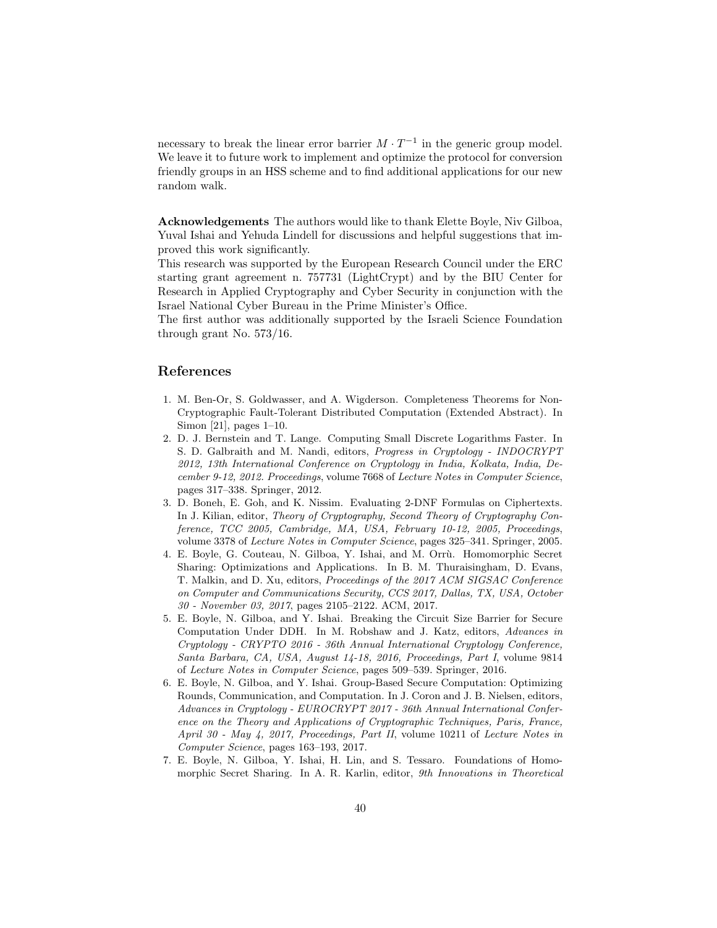necessary to break the linear error barrier  $M \cdot T^{-1}$  in the generic group model. We leave it to future work to implement and optimize the protocol for conversion friendly groups in an HSS scheme and to find additional applications for our new random walk.

Acknowledgements The authors would like to thank Elette Boyle, Niv Gilboa, Yuval Ishai and Yehuda Lindell for discussions and helpful suggestions that improved this work significantly.

This research was supported by the European Research Council under the ERC starting grant agreement n. 757731 (LightCrypt) and by the BIU Center for Research in Applied Cryptography and Cyber Security in conjunction with the Israel National Cyber Bureau in the Prime Minister's Office.

The first author was additionally supported by the Israeli Science Foundation through grant No. 573/16.

### References

- 1. M. Ben-Or, S. Goldwasser, and A. Wigderson. Completeness Theorems for Non-Cryptographic Fault-Tolerant Distributed Computation (Extended Abstract). In Simon [21], pages 1–10.
- 2. D. J. Bernstein and T. Lange. Computing Small Discrete Logarithms Faster. In S. D. Galbraith and M. Nandi, editors, Progress in Cryptology - INDOCRYPT 2012, 13th International Conference on Cryptology in India, Kolkata, India, December 9-12, 2012. Proceedings, volume 7668 of Lecture Notes in Computer Science, pages 317–338. Springer, 2012.
- 3. D. Boneh, E. Goh, and K. Nissim. Evaluating 2-DNF Formulas on Ciphertexts. In J. Kilian, editor, Theory of Cryptography, Second Theory of Cryptography Conference, TCC 2005, Cambridge, MA, USA, February 10-12, 2005, Proceedings, volume 3378 of Lecture Notes in Computer Science, pages 325–341. Springer, 2005.
- 4. E. Boyle, G. Couteau, N. Gilboa, Y. Ishai, and M. Orrù. Homomorphic Secret Sharing: Optimizations and Applications. In B. M. Thuraisingham, D. Evans, T. Malkin, and D. Xu, editors, Proceedings of the 2017 ACM SIGSAC Conference on Computer and Communications Security, CCS 2017, Dallas, TX, USA, October 30 - November 03, 2017, pages 2105–2122. ACM, 2017.
- 5. E. Boyle, N. Gilboa, and Y. Ishai. Breaking the Circuit Size Barrier for Secure Computation Under DDH. In M. Robshaw and J. Katz, editors, Advances in Cryptology - CRYPTO 2016 - 36th Annual International Cryptology Conference, Santa Barbara, CA, USA, August 14-18, 2016, Proceedings, Part I, volume 9814 of Lecture Notes in Computer Science, pages 509–539. Springer, 2016.
- 6. E. Boyle, N. Gilboa, and Y. Ishai. Group-Based Secure Computation: Optimizing Rounds, Communication, and Computation. In J. Coron and J. B. Nielsen, editors, Advances in Cryptology - EUROCRYPT 2017 - 36th Annual International Conference on the Theory and Applications of Cryptographic Techniques, Paris, France, April 30 - May 4, 2017, Proceedings, Part II, volume 10211 of Lecture Notes in Computer Science, pages 163–193, 2017.
- 7. E. Boyle, N. Gilboa, Y. Ishai, H. Lin, and S. Tessaro. Foundations of Homomorphic Secret Sharing. In A. R. Karlin, editor, 9th Innovations in Theoretical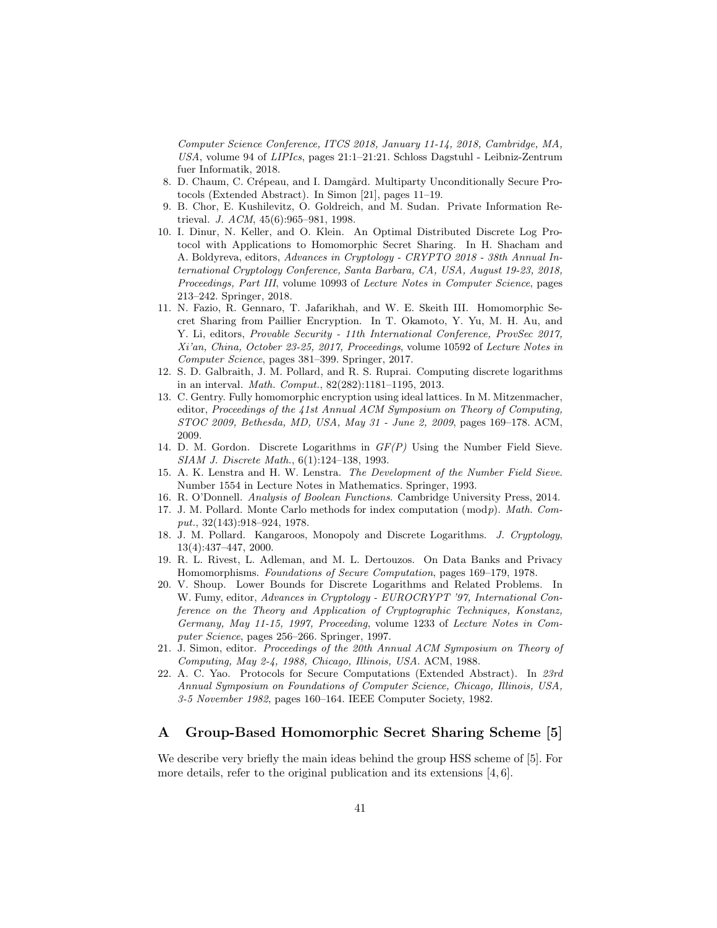Computer Science Conference, ITCS 2018, January 11-14, 2018, Cambridge, MA, USA, volume 94 of LIPIcs, pages 21:1–21:21. Schloss Dagstuhl - Leibniz-Zentrum fuer Informatik, 2018.

- 8. D. Chaum, C. Crépeau, and I. Damgård. Multiparty Unconditionally Secure Protocols (Extended Abstract). In Simon [21], pages 11–19.
- 9. B. Chor, E. Kushilevitz, O. Goldreich, and M. Sudan. Private Information Retrieval. J. ACM, 45(6):965–981, 1998.
- 10. I. Dinur, N. Keller, and O. Klein. An Optimal Distributed Discrete Log Protocol with Applications to Homomorphic Secret Sharing. In H. Shacham and A. Boldyreva, editors, Advances in Cryptology - CRYPTO 2018 - 38th Annual International Cryptology Conference, Santa Barbara, CA, USA, August 19-23, 2018, Proceedings, Part III, volume 10993 of Lecture Notes in Computer Science, pages 213–242. Springer, 2018.
- 11. N. Fazio, R. Gennaro, T. Jafarikhah, and W. E. Skeith III. Homomorphic Secret Sharing from Paillier Encryption. In T. Okamoto, Y. Yu, M. H. Au, and Y. Li, editors, Provable Security - 11th International Conference, ProvSec 2017, Xi'an, China, October 23-25, 2017, Proceedings, volume 10592 of Lecture Notes in Computer Science, pages 381–399. Springer, 2017.
- 12. S. D. Galbraith, J. M. Pollard, and R. S. Ruprai. Computing discrete logarithms in an interval. Math. Comput., 82(282):1181–1195, 2013.
- 13. C. Gentry. Fully homomorphic encryption using ideal lattices. In M. Mitzenmacher, editor, Proceedings of the 41st Annual ACM Symposium on Theory of Computing, STOC 2009, Bethesda, MD, USA, May 31 - June 2, 2009, pages 169–178. ACM, 2009.
- 14. D. M. Gordon. Discrete Logarithms in  $GF(P)$  Using the Number Field Sieve. SIAM J. Discrete Math., 6(1):124–138, 1993.
- 15. A. K. Lenstra and H. W. Lenstra. The Development of the Number Field Sieve. Number 1554 in Lecture Notes in Mathematics. Springer, 1993.
- 16. R. O'Donnell. Analysis of Boolean Functions. Cambridge University Press, 2014.
- 17. J. M. Pollard. Monte Carlo methods for index computation (modp). Math. Comput., 32(143):918–924, 1978.
- 18. J. M. Pollard. Kangaroos, Monopoly and Discrete Logarithms. J. Cryptology, 13(4):437–447, 2000.
- 19. R. L. Rivest, L. Adleman, and M. L. Dertouzos. On Data Banks and Privacy Homomorphisms. Foundations of Secure Computation, pages 169–179, 1978.
- 20. V. Shoup. Lower Bounds for Discrete Logarithms and Related Problems. In W. Fumy, editor, Advances in Cryptology - EUROCRYPT '97, International Conference on the Theory and Application of Cryptographic Techniques, Konstanz, Germany, May 11-15, 1997, Proceeding, volume 1233 of Lecture Notes in Computer Science, pages 256–266. Springer, 1997.
- 21. J. Simon, editor. Proceedings of the 20th Annual ACM Symposium on Theory of Computing, May 2-4, 1988, Chicago, Illinois, USA. ACM, 1988.
- 22. A. C. Yao. Protocols for Secure Computations (Extended Abstract). In 23rd Annual Symposium on Foundations of Computer Science, Chicago, Illinois, USA, 3-5 November 1982, pages 160–164. IEEE Computer Society, 1982.

# A Group-Based Homomorphic Secret Sharing Scheme [5]

We describe very briefly the main ideas behind the group HSS scheme of [5]. For more details, refer to the original publication and its extensions [4, 6].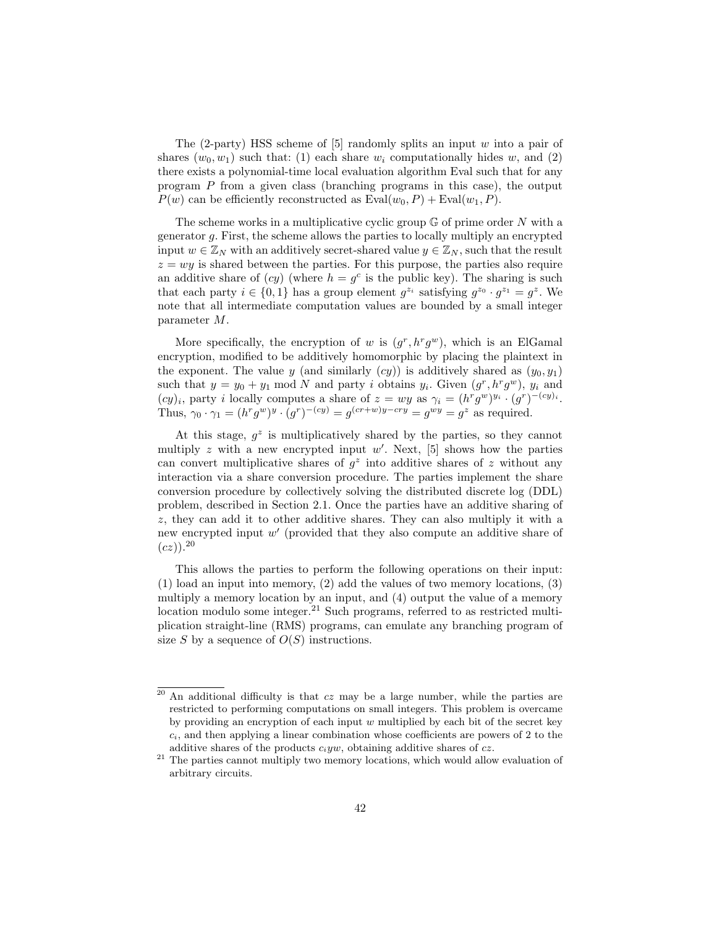The (2-party) HSS scheme of  $[5]$  randomly splits an input w into a pair of shares  $(w_0, w_1)$  such that: (1) each share  $w_i$  computationally hides w, and (2) there exists a polynomial-time local evaluation algorithm Eval such that for any program  $P$  from a given class (branching programs in this case), the output  $P(w)$  can be efficiently reconstructed as  $Eval(w_0, P) + eval(w_1, P)$ .

The scheme works in a multiplicative cyclic group  $\mathbb G$  of prime order N with a generator g. First, the scheme allows the parties to locally multiply an encrypted input  $w \in \mathbb{Z}_N$  with an additively secret-shared value  $y \in \mathbb{Z}_N$ , such that the result  $z = wy$  is shared between the parties. For this purpose, the parties also require an additive share of  $(cy)$  (where  $h = g<sup>c</sup>$  is the public key). The sharing is such that each party  $i \in \{0, 1\}$  has a group element  $g^{z_i}$  satisfying  $g^{z_0} \cdot g^{z_1} = g^z$ . We note that all intermediate computation values are bounded by a small integer parameter M.

More specifically, the encryption of w is  $(g^r, h^r g^w)$ , which is an ElGamal encryption, modified to be additively homomorphic by placing the plaintext in the exponent. The value y (and similarly  $(cy)$ ) is additively shared as  $(y_0, y_1)$ such that  $y = y_0 + y_1 \mod N$  and party i obtains  $y_i$ . Given  $(g^r, h^r g^w)$ ,  $y_i$  and  $(cy)_i$ , party *i* locally computes a share of  $z = wy$  as  $\gamma_i = (h^r g^w)^{y_i} \cdot (g^r)^{-(cy)_i}$ . Thus,  $\gamma_0 \cdot \gamma_1 = (h^r g^w)^y \cdot (g^r)^{-(cy)} = g^{(cr+w)y-cry} = g^{wy} = g^z$  as required.

At this stage,  $g^z$  is multiplicatively shared by the parties, so they cannot multiply z with a new encrypted input  $w'$ . Next, [5] shows how the parties can convert multiplicative shares of  $g^z$  into additive shares of z without any interaction via a share conversion procedure. The parties implement the share conversion procedure by collectively solving the distributed discrete log (DDL) problem, described in Section 2.1. Once the parties have an additive sharing of z, they can add it to other additive shares. They can also multiply it with a new encrypted input  $w'$  (provided that they also compute an additive share of  $(cz)$ ).<sup>20</sup>

This allows the parties to perform the following operations on their input: (1) load an input into memory, (2) add the values of two memory locations, (3) multiply a memory location by an input, and (4) output the value of a memory location modulo some integer.<sup>21</sup> Such programs, referred to as restricted multiplication straight-line (RMS) programs, can emulate any branching program of size S by a sequence of  $O(S)$  instructions.

 $20$  An additional difficulty is that  $cz$  may be a large number, while the parties are restricted to performing computations on small integers. This problem is overcame by providing an encryption of each input  $w$  multiplied by each bit of the secret key  $c_i$ , and then applying a linear combination whose coefficients are powers of 2 to the additive shares of the products  $c_i yw$ , obtaining additive shares of  $cz$ .

<sup>&</sup>lt;sup>21</sup> The parties cannot multiply two memory locations, which would allow evaluation of arbitrary circuits.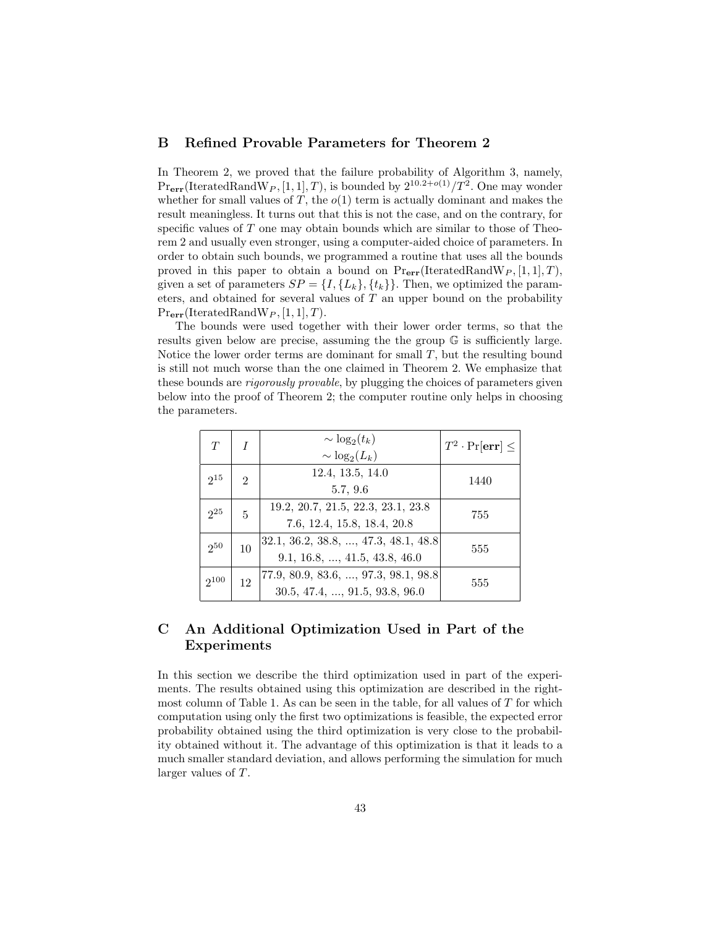# B Refined Provable Parameters for Theorem 2

In Theorem 2, we proved that the failure probability of Algorithm 3, namely,  $Pr<sub>err</sub>(IteratedRandW<sub>P</sub>, [1, 1], T)$ , is bounded by  $2^{10.2+o(1)}/T^2$ . One may wonder whether for small values of  $T$ , the  $o(1)$  term is actually dominant and makes the result meaningless. It turns out that this is not the case, and on the contrary, for specific values of  $T$  one may obtain bounds which are similar to those of Theorem 2 and usually even stronger, using a computer-aided choice of parameters. In order to obtain such bounds, we programmed a routine that uses all the bounds proved in this paper to obtain a bound on  $Pr_{err}(\text{IteratedRandW}_P, [1, 1], T),$ given a set of parameters  $SP = \{I, \{L_k\}, \{t_k\}\}\.$  Then, we optimized the parameters, and obtained for several values of  $T$  an upper bound on the probability  $Pr_{err}(\text{IteratedRandW}_P, [1, 1], T).$ 

The bounds were used together with their lower order terms, so that the results given below are precise, assuming the the group G is sufficiently large. Notice the lower order terms are dominant for small  $T$ , but the resulting bound is still not much worse than the one claimed in Theorem 2. We emphasize that these bounds are rigorously provable, by plugging the choices of parameters given below into the proof of Theorem 2; the computer routine only helps in choosing the parameters.

| T        |                | $\sim \log_2(t_k)$<br>$\sim \log_2(L_k)$                                | $T^2 \cdot \Pr[\mathbf{err}] \leq$ |
|----------|----------------|-------------------------------------------------------------------------|------------------------------------|
| $2^{15}$ | $\overline{2}$ | 12.4, 13.5, 14.0<br>5.7, 9.6                                            | 1440                               |
| $2^{25}$ | 5              | 19.2, 20.7, 21.5, 22.3, 23.1, 23.8<br>7.6, 12.4, 15.8, 18.4, 20.8       | 755                                |
| $2^{50}$ | 10             | $32.1, 36.2, 38.8, , 47.3, 48.1, 48.8$<br>9.1, 16.8, , 41.5, 43.8, 46.0 | 555                                |
| 2100     | 12             | 77.9, 80.9, 83.6, , 97.3, 98.1, 98.8<br>30.5, 47.4, , 91.5, 93.8, 96.0  | 555                                |

# C An Additional Optimization Used in Part of the Experiments

In this section we describe the third optimization used in part of the experiments. The results obtained using this optimization are described in the rightmost column of Table 1. As can be seen in the table, for all values of  $T$  for which computation using only the first two optimizations is feasible, the expected error probability obtained using the third optimization is very close to the probability obtained without it. The advantage of this optimization is that it leads to a much smaller standard deviation, and allows performing the simulation for much larger values of T.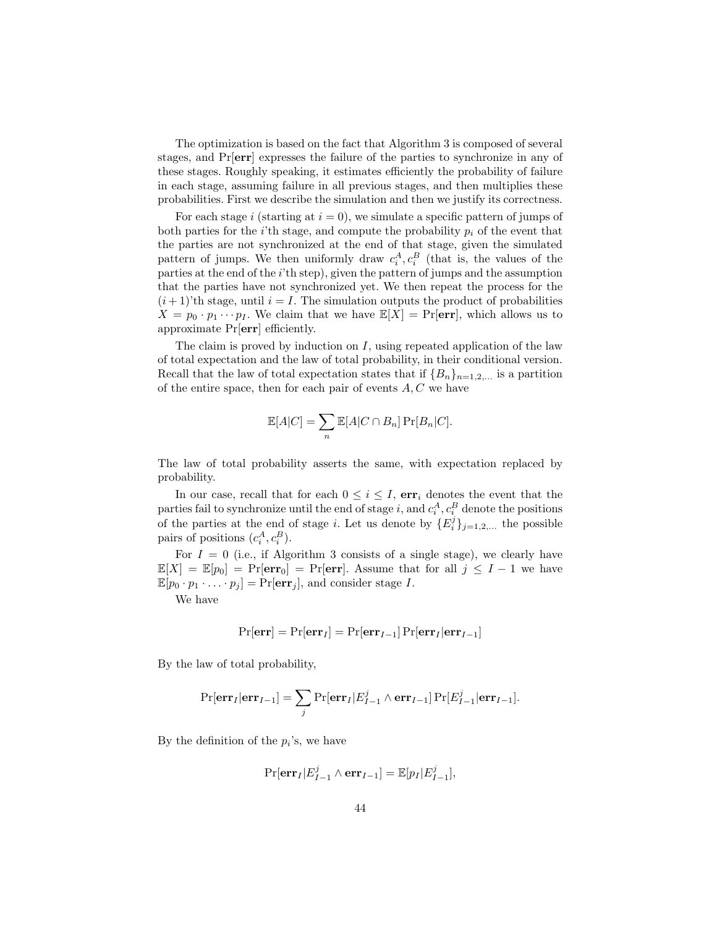The optimization is based on the fact that Algorithm 3 is composed of several stages, and Pr[err] expresses the failure of the parties to synchronize in any of these stages. Roughly speaking, it estimates efficiently the probability of failure in each stage, assuming failure in all previous stages, and then multiplies these probabilities. First we describe the simulation and then we justify its correctness.

For each stage i (starting at  $i = 0$ ), we simulate a specific pattern of jumps of both parties for the *i*'th stage, and compute the probability  $p_i$  of the event that the parties are not synchronized at the end of that stage, given the simulated pattern of jumps. We then uniformly draw  $c_i^A, c_i^B$  (that is, the values of the parties at the end of the i'th step), given the pattern of jumps and the assumption that the parties have not synchronized yet. We then repeat the process for the  $(i+1)$ 'th stage, until  $i = I$ . The simulation outputs the product of probabilities  $X = p_0 \cdot p_1 \cdots p_I$ . We claim that we have  $\mathbb{E}[X] = \Pr[\text{err}]$ , which allows us to approximate Pr[err] efficiently.

The claim is proved by induction on  $I$ , using repeated application of the law of total expectation and the law of total probability, in their conditional version. Recall that the law of total expectation states that if  ${B_n}_{n=1,2,...}$  is a partition of the entire space, then for each pair of events  $A, C$  we have

$$
\mathbb{E}[A|C] = \sum_{n} \mathbb{E}[A|C \cap B_n] \Pr[B_n|C].
$$

The law of total probability asserts the same, with expectation replaced by probability.

In our case, recall that for each  $0 \leq i \leq I$ ,  $err_i$  denotes the event that the parties fail to synchronize until the end of stage  $i$ , and  $c_i^A, c_i^B$  denote the positions of the parties at the end of stage *i*. Let us denote by  ${E_i^j}_{j=1,2,...}$  the possible pairs of positions  $(c_i^A, c_i^B)$ .

For  $I = 0$  (i.e., if Algorithm 3 consists of a single stage), we clearly have  $\mathbb{E}[X] = \mathbb{E}[p_0] = \Pr[\mathbf{err}_0] = \Pr[\mathbf{err}]$ . Assume that for all  $j \leq I - 1$  we have  $\mathbb{E}[p_0 \cdot p_1 \cdot \ldots \cdot p_j] = \Pr[\mathbf{err}_j]$ , and consider stage *I*.

We have

$$
Pr[err] = Pr[err_I] = Pr[err_{I-1}] Pr[err_I|err_{I-1}]
$$

By the law of total probability,

$$
\Pr[\mathbf{err}_I|\mathbf{err}_{I-1}] = \sum_j \Pr[\mathbf{err}_I|E_{I-1}^j \wedge \mathbf{err}_{I-1}] \Pr[E_{I-1}^j|\mathbf{err}_{I-1}].
$$

By the definition of the  $p_i$ 's, we have

$$
\Pr[\mathbf{err}_I | E^j_{I-1} \wedge \mathbf{err}_{I-1}] = \mathbb{E}[p_I | E^j_{I-1}],
$$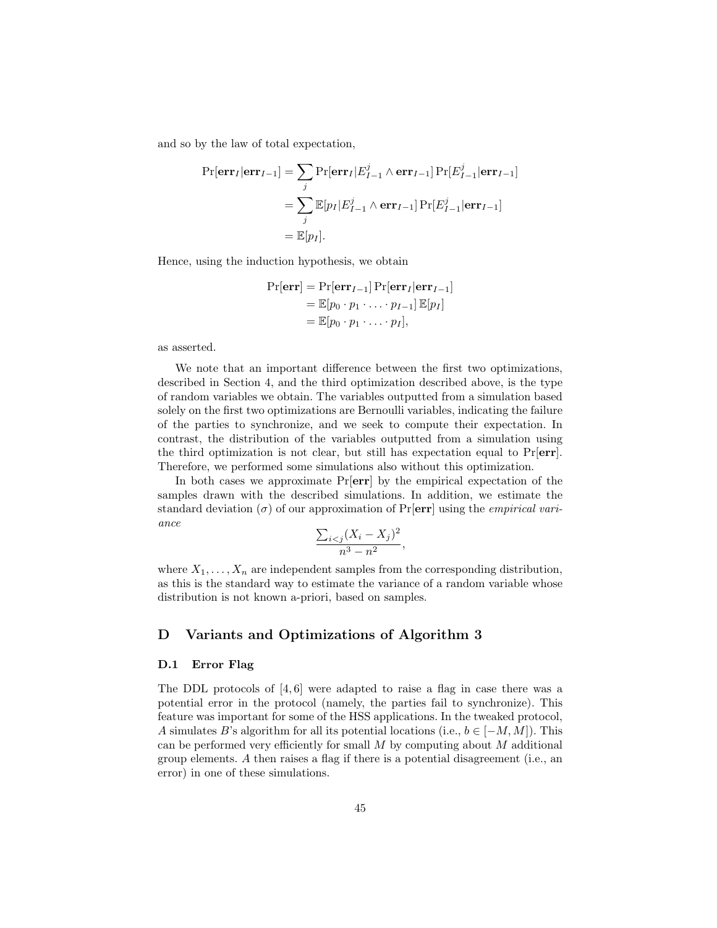and so by the law of total expectation,

$$
\Pr[\text{err}_I|\text{err}_{I-1}] = \sum_j \Pr[\text{err}_I|E_{I-1}^j \wedge \text{err}_{I-1}] \Pr[E_{I-1}^j|\text{err}_{I-1}]
$$

$$
= \sum_j \mathbb{E}[p_I|E_{I-1}^j \wedge \text{err}_{I-1}] \Pr[E_{I-1}^j|\text{err}_{I-1}]
$$

$$
= \mathbb{E}[p_I].
$$

Hence, using the induction hypothesis, we obtain

$$
\Pr[\mathbf{err}] = \Pr[\mathbf{err}_{I-1}] \Pr[\mathbf{err}_{I}|\mathbf{err}_{I-1}]
$$
  
=  $\mathbb{E}[p_0 \cdot p_1 \cdot \ldots \cdot p_{I-1}] \mathbb{E}[p_I]$   
=  $\mathbb{E}[p_0 \cdot p_1 \cdot \ldots \cdot p_I],$ 

as asserted.

We note that an important difference between the first two optimizations, described in Section 4, and the third optimization described above, is the type of random variables we obtain. The variables outputted from a simulation based solely on the first two optimizations are Bernoulli variables, indicating the failure of the parties to synchronize, and we seek to compute their expectation. In contrast, the distribution of the variables outputted from a simulation using the third optimization is not clear, but still has expectation equal to Pr[err]. Therefore, we performed some simulations also without this optimization.

In both cases we approximate  $Pr[err]$  by the empirical expectation of the samples drawn with the described simulations. In addition, we estimate the standard deviation  $(\sigma)$  of our approximation of Pr[err] using the *empirical vari*ance

$$
\frac{\sum_{i < j} (X_i - X_j)^2}{n^3 - n^2},
$$

where  $X_1, \ldots, X_n$  are independent samples from the corresponding distribution, as this is the standard way to estimate the variance of a random variable whose distribution is not known a-priori, based on samples.

# D Variants and Optimizations of Algorithm 3

### D.1 Error Flag

The DDL protocols of [4, 6] were adapted to raise a flag in case there was a potential error in the protocol (namely, the parties fail to synchronize). This feature was important for some of the HSS applications. In the tweaked protocol, A simulates B's algorithm for all its potential locations (i.e.,  $b \in [-M, M]$ ). This can be performed very efficiently for small  $M$  by computing about  $M$  additional group elements. A then raises a flag if there is a potential disagreement (i.e., an error) in one of these simulations.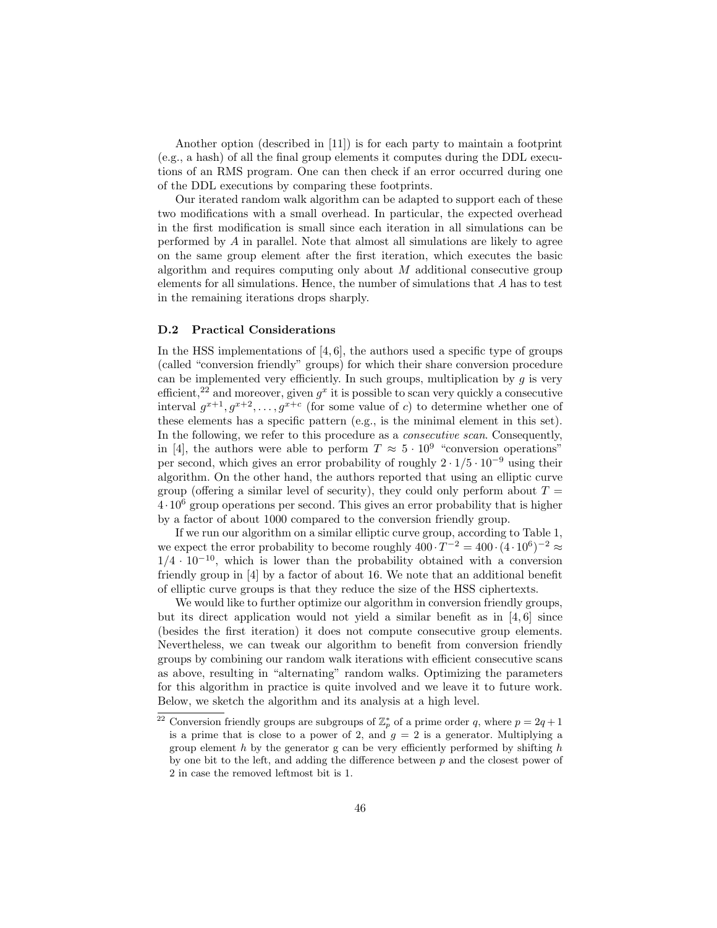Another option (described in [11]) is for each party to maintain a footprint (e.g., a hash) of all the final group elements it computes during the DDL executions of an RMS program. One can then check if an error occurred during one of the DDL executions by comparing these footprints.

Our iterated random walk algorithm can be adapted to support each of these two modifications with a small overhead. In particular, the expected overhead in the first modification is small since each iteration in all simulations can be performed by A in parallel. Note that almost all simulations are likely to agree on the same group element after the first iteration, which executes the basic algorithm and requires computing only about  $M$  additional consecutive group elements for all simulations. Hence, the number of simulations that A has to test in the remaining iterations drops sharply.

#### D.2 Practical Considerations

In the HSS implementations of  $[4, 6]$ , the authors used a specific type of groups (called "conversion friendly" groups) for which their share conversion procedure can be implemented very efficiently. In such groups, multiplication by  $g$  is very efficient,<sup>22</sup> and moreover, given  $g^x$  it is possible to scan very quickly a consecutive interval  $g^{x+1}, g^{x+2}, \ldots, g^{x+c}$  (for some value of c) to determine whether one of these elements has a specific pattern (e.g., is the minimal element in this set). In the following, we refer to this procedure as a consecutive scan. Consequently, in [4], the authors were able to perform  $T \approx 5 \cdot 10^9$  "conversion operations" per second, which gives an error probability of roughly  $2 \cdot 1/5 \cdot 10^{-9}$  using their algorithm. On the other hand, the authors reported that using an elliptic curve group (offering a similar level of security), they could only perform about  $T =$  $4 \cdot 10^6$  group operations per second. This gives an error probability that is higher by a factor of about 1000 compared to the conversion friendly group.

If we run our algorithm on a similar elliptic curve group, according to Table 1, we expect the error probability to become roughly  $400 \cdot T^{-2} = 400 \cdot (4 \cdot 10^6)^{-2} \approx$  $1/4 \cdot 10^{-10}$ , which is lower than the probability obtained with a conversion friendly group in [4] by a factor of about 16. We note that an additional benefit of elliptic curve groups is that they reduce the size of the HSS ciphertexts.

We would like to further optimize our algorithm in conversion friendly groups, but its direct application would not yield a similar benefit as in [4, 6] since (besides the first iteration) it does not compute consecutive group elements. Nevertheless, we can tweak our algorithm to benefit from conversion friendly groups by combining our random walk iterations with efficient consecutive scans as above, resulting in "alternating" random walks. Optimizing the parameters for this algorithm in practice is quite involved and we leave it to future work. Below, we sketch the algorithm and its analysis at a high level.

<sup>&</sup>lt;sup>22</sup> Conversion friendly groups are subgroups of  $\mathbb{Z}_p^*$  of a prime order q, where  $p = 2q + 1$ is a prime that is close to a power of 2, and  $g = 2$  is a generator. Multiplying a group element  $h$  by the generator g can be very efficiently performed by shifting  $h$ by one bit to the left, and adding the difference between  $p$  and the closest power of 2 in case the removed leftmost bit is 1.